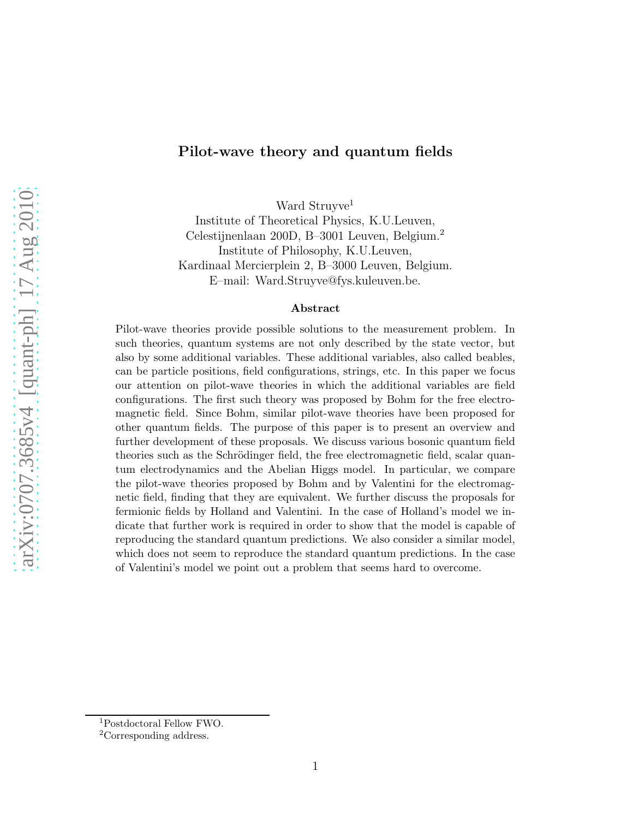### Pilot-wave theory and quantum fields

Ward Struyve<sup>1</sup>

Institute of Theoretical Physics, K.U.Leuven, Celestijnenlaan 200D, B–3001 Leuven, Belgium.<sup>2</sup> Institute of Philosophy, K.U.Leuven, Kardinaal Mercierplein 2, B–3000 Leuven, Belgium. E–mail: Ward.Struyve@fys.kuleuven.be.

#### Abstract

Pilot-wave theories provide possible solutions to the measurement problem. In such theories, quantum systems are not only described by the state vector, but also by some additional variables. These additional variables, also called beables, can be particle positions, field configurations, strings, etc. In this paper we focus our attention on pilot-wave theories in which the additional variables are field configurations. The first such theory was proposed by Bohm for the free electromagnetic field. Since Bohm, similar pilot-wave theories have been proposed for other quantum fields. The purpose of this paper is to present an overview and further development of these proposals. We discuss various bosonic quantum field theories such as the Schrödinger field, the free electromagnetic field, scalar quantum electrodynamics and the Abelian Higgs model. In particular, we compare the pilot-wave theories proposed by Bohm and by Valentini for the electromagnetic field, finding that they are equivalent. We further discuss the proposals for fermionic fields by Holland and Valentini. In the case of Holland's model we indicate that further work is required in order to show that the model is capable of reproducing the standard quantum predictions. We also consider a similar model, which does not seem to reproduce the standard quantum predictions. In the case of Valentini's model we point out a problem that seems hard to overcome.

<sup>1</sup>Postdoctoral Fellow FWO.

<sup>2</sup>Corresponding address.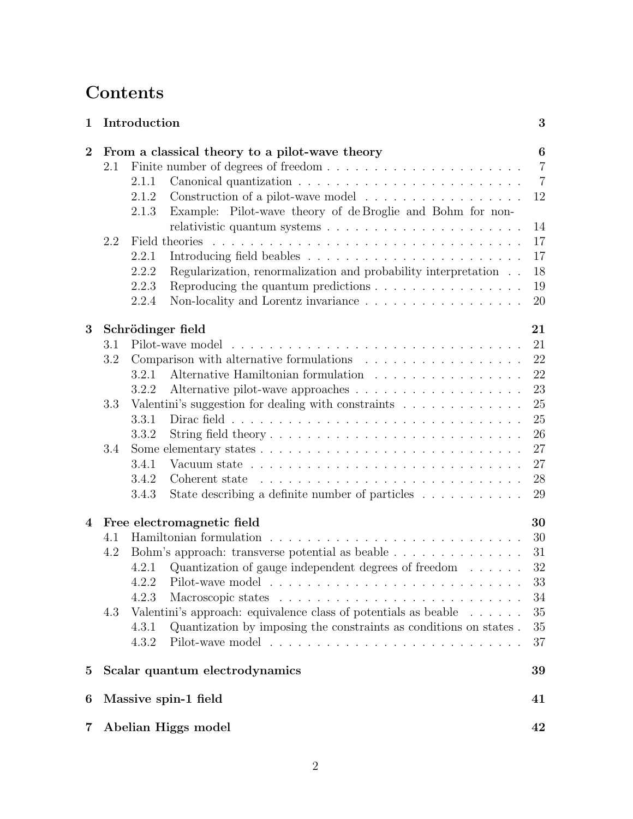# Contents

| $\mathbf 1$ | Introduction                                   |                                                                                                                                                                                                                                                           |                |  |  |  |
|-------------|------------------------------------------------|-----------------------------------------------------------------------------------------------------------------------------------------------------------------------------------------------------------------------------------------------------------|----------------|--|--|--|
| $\bf{2}$    | From a classical theory to a pilot-wave theory |                                                                                                                                                                                                                                                           |                |  |  |  |
|             | 2.1                                            |                                                                                                                                                                                                                                                           | $\overline{7}$ |  |  |  |
|             |                                                | 2.1.1                                                                                                                                                                                                                                                     | $\overline{7}$ |  |  |  |
|             |                                                | 2.1.2                                                                                                                                                                                                                                                     | 12             |  |  |  |
|             |                                                | Example: Pilot-wave theory of de Broglie and Bohm for non-<br>2.1.3                                                                                                                                                                                       |                |  |  |  |
|             |                                                |                                                                                                                                                                                                                                                           | 14             |  |  |  |
|             | 2.2                                            |                                                                                                                                                                                                                                                           | 17             |  |  |  |
|             |                                                | 2.2.1                                                                                                                                                                                                                                                     | 17             |  |  |  |
|             |                                                | Regularization, renormalization and probability interpretation<br>2.2.2                                                                                                                                                                                   | 18             |  |  |  |
|             |                                                | 2.2.3                                                                                                                                                                                                                                                     | 19             |  |  |  |
|             |                                                | 2.2.4                                                                                                                                                                                                                                                     | 20             |  |  |  |
| 3           | Schrödinger field<br>21                        |                                                                                                                                                                                                                                                           |                |  |  |  |
|             | 3.1                                            |                                                                                                                                                                                                                                                           | 21             |  |  |  |
|             | 3.2                                            | Comparison with alternative formulations $\ldots \ldots \ldots \ldots \ldots$                                                                                                                                                                             | 22             |  |  |  |
|             |                                                | Alternative Hamiltonian formulation<br>3.2.1                                                                                                                                                                                                              | 22             |  |  |  |
|             |                                                | 3.2.2                                                                                                                                                                                                                                                     | 23             |  |  |  |
|             | 3.3                                            | Valentini's suggestion for dealing with constraints $\ldots \ldots \ldots \ldots$                                                                                                                                                                         | 25             |  |  |  |
|             |                                                | 3.3.1                                                                                                                                                                                                                                                     | 25             |  |  |  |
|             |                                                | 3.3.2<br>String field theory                                                                                                                                                                                                                              | 26             |  |  |  |
|             | 3.4                                            |                                                                                                                                                                                                                                                           | 27             |  |  |  |
|             |                                                | 3.4.1                                                                                                                                                                                                                                                     | 27             |  |  |  |
|             |                                                | 3.4.2<br>Coherent state<br>and the company of the company of the company of the company of the company of the company of the company of the company of the company of the company of the company of the company of the company of the company of the comp | 28             |  |  |  |
|             |                                                | State describing a definite number of particles<br>3.4.3                                                                                                                                                                                                  | 29             |  |  |  |
| 4           | 30<br>Free electromagnetic field               |                                                                                                                                                                                                                                                           |                |  |  |  |
|             | 4.1                                            |                                                                                                                                                                                                                                                           | 30             |  |  |  |
|             | 4.2                                            | Bohm's approach: transverse potential as beable                                                                                                                                                                                                           | 31             |  |  |  |
|             |                                                | Quantization of gauge independent degrees of freedom $\dots$ .<br>4.2.1                                                                                                                                                                                   | 32             |  |  |  |
|             |                                                |                                                                                                                                                                                                                                                           | 33             |  |  |  |
|             |                                                | 4.2.3                                                                                                                                                                                                                                                     | 34             |  |  |  |
|             | 4.3                                            | Valentini's approach: equivalence class of potentials as beable                                                                                                                                                                                           | 35             |  |  |  |
|             |                                                | Quantization by imposing the constraints as conditions on states.<br>4.3.1                                                                                                                                                                                | 35             |  |  |  |
|             |                                                | 4.3.2                                                                                                                                                                                                                                                     | 37             |  |  |  |
| $\bf{5}$    | Scalar quantum electrodynamics                 |                                                                                                                                                                                                                                                           |                |  |  |  |
| 6           | Massive spin-1 field                           |                                                                                                                                                                                                                                                           |                |  |  |  |
| 7           | Abelian Higgs model                            |                                                                                                                                                                                                                                                           |                |  |  |  |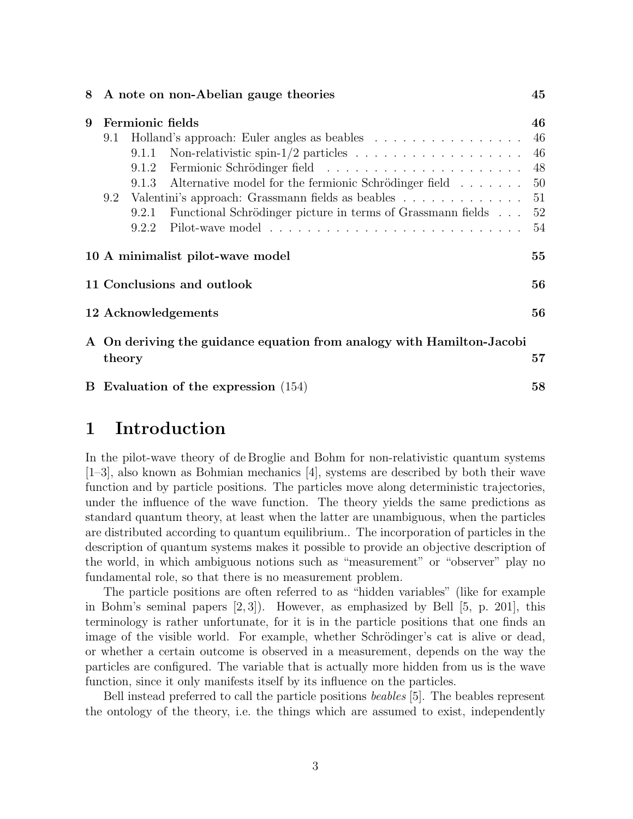|   |                                                                                 |                  | 8 A note on non-Abelian gauge theories                                             | 45 |  |  |  |
|---|---------------------------------------------------------------------------------|------------------|------------------------------------------------------------------------------------|----|--|--|--|
| 9 |                                                                                 | Fermionic fields |                                                                                    | 46 |  |  |  |
|   | 9.1                                                                             |                  | Holland's approach: Euler angles as beables                                        | 46 |  |  |  |
|   |                                                                                 | 9.1.1            |                                                                                    | 46 |  |  |  |
|   |                                                                                 | 9.1.2            |                                                                                    | 48 |  |  |  |
|   |                                                                                 |                  | 9.1.3 Alternative model for the fermionic Schrödinger field $\dots \dots \dots$ 50 |    |  |  |  |
|   |                                                                                 |                  | 9.2 Valentini's approach: Grassmann fields as beables 51                           |    |  |  |  |
|   |                                                                                 | 9.2.1            | Functional Schrödinger picture in terms of Grassmann fields 52                     |    |  |  |  |
|   |                                                                                 | 9.2.2            |                                                                                    | 54 |  |  |  |
|   | 10 A minimalist pilot-wave model                                                |                  |                                                                                    |    |  |  |  |
|   | 11 Conclusions and outlook                                                      |                  |                                                                                    |    |  |  |  |
|   | 12 Acknowledgements                                                             |                  |                                                                                    |    |  |  |  |
|   | A On deriving the guidance equation from analogy with Hamilton-Jacobi<br>theory |                  |                                                                                    |    |  |  |  |

B Evaluation of the expression  $(154)$  58

## 1 Introduction

In the pilot-wave theory of de Broglie and Bohm for non-relativistic quantum systems [1–3], also known as Bohmian mechanics [4], systems are described by both their wave function and by particle positions. The particles move along deterministic trajectories, under the influence of the wave function. The theory yields the same predictions as standard quantum theory, at least when the latter are unambiguous, when the particles are distributed according to quantum equilibrium.. The incorporation of particles in the description of quantum systems makes it possible to provide an objective description of the world, in which ambiguous notions such as "measurement" or "observer" play no fundamental role, so that there is no measurement problem.

The particle positions are often referred to as "hidden variables" (like for example in Bohm's seminal papers [2, 3]). However, as emphasized by Bell [5, p. 201], this terminology is rather unfortunate, for it is in the particle positions that one finds an image of the visible world. For example, whether Schrödinger's cat is alive or dead, or whether a certain outcome is observed in a measurement, depends on the way the particles are configured. The variable that is actually more hidden from us is the wave function, since it only manifests itself by its influence on the particles.

Bell instead preferred to call the particle positions *beables* [5]. The beables represent the ontology of the theory, i.e. the things which are assumed to exist, independently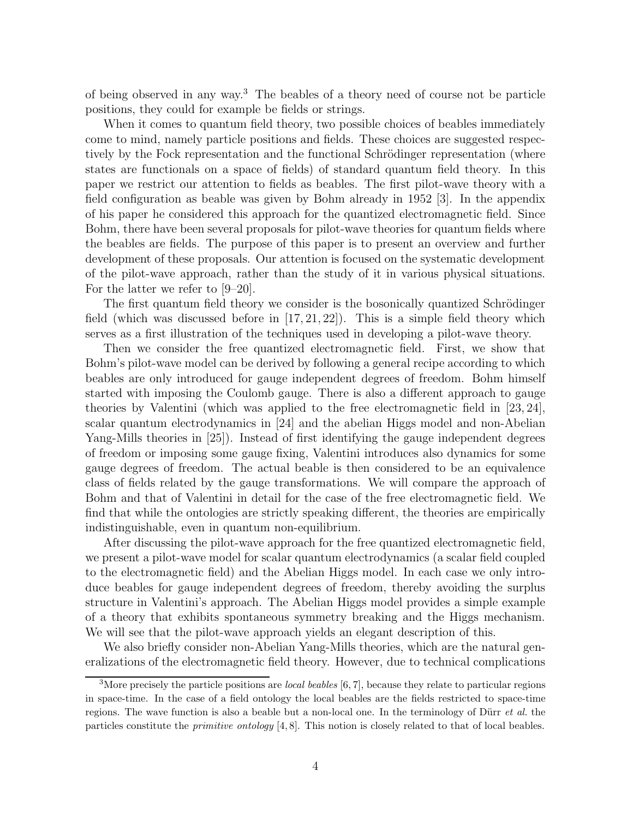of being observed in any way.<sup>3</sup> The beables of a theory need of course not be particle positions, they could for example be fields or strings.

When it comes to quantum field theory, two possible choices of beables immediately come to mind, namely particle positions and fields. These choices are suggested respectively by the Fock representation and the functional Schrödinger representation (where states are functionals on a space of fields) of standard quantum field theory. In this paper we restrict our attention to fields as beables. The first pilot-wave theory with a field configuration as beable was given by Bohm already in 1952 [3]. In the appendix of his paper he considered this approach for the quantized electromagnetic field. Since Bohm, there have been several proposals for pilot-wave theories for quantum fields where the beables are fields. The purpose of this paper is to present an overview and further development of these proposals. Our attention is focused on the systematic development of the pilot-wave approach, rather than the study of it in various physical situations. For the latter we refer to [9–20].

The first quantum field theory we consider is the bosonically quantized Schrödinger field (which was discussed before in  $[17, 21, 22]$ ). This is a simple field theory which serves as a first illustration of the techniques used in developing a pilot-wave theory.

Then we consider the free quantized electromagnetic field. First, we show that Bohm's pilot-wave model can be derived by following a general recipe according to which beables are only introduced for gauge independent degrees of freedom. Bohm himself started with imposing the Coulomb gauge. There is also a different approach to gauge theories by Valentini (which was applied to the free electromagnetic field in [23, 24], scalar quantum electrodynamics in [24] and the abelian Higgs model and non-Abelian Yang-Mills theories in [25]). Instead of first identifying the gauge independent degrees of freedom or imposing some gauge fixing, Valentini introduces also dynamics for some gauge degrees of freedom. The actual beable is then considered to be an equivalence class of fields related by the gauge transformations. We will compare the approach of Bohm and that of Valentini in detail for the case of the free electromagnetic field. We find that while the ontologies are strictly speaking different, the theories are empirically indistinguishable, even in quantum non-equilibrium.

After discussing the pilot-wave approach for the free quantized electromagnetic field, we present a pilot-wave model for scalar quantum electrodynamics (a scalar field coupled to the electromagnetic field) and the Abelian Higgs model. In each case we only introduce beables for gauge independent degrees of freedom, thereby avoiding the surplus structure in Valentini's approach. The Abelian Higgs model provides a simple example of a theory that exhibits spontaneous symmetry breaking and the Higgs mechanism. We will see that the pilot-wave approach yields an elegant description of this.

We also briefly consider non-Abelian Yang-Mills theories, which are the natural generalizations of the electromagnetic field theory. However, due to technical complications

<sup>&</sup>lt;sup>3</sup>More precisely the particle positions are *local beables* [6, 7], because they relate to particular regions in space-time. In the case of a field ontology the local beables are the fields restricted to space-time regions. The wave function is also a beable but a non-local one. In the terminology of Dürr  $et$  al. the particles constitute the primitive ontology [4, 8]. This notion is closely related to that of local beables.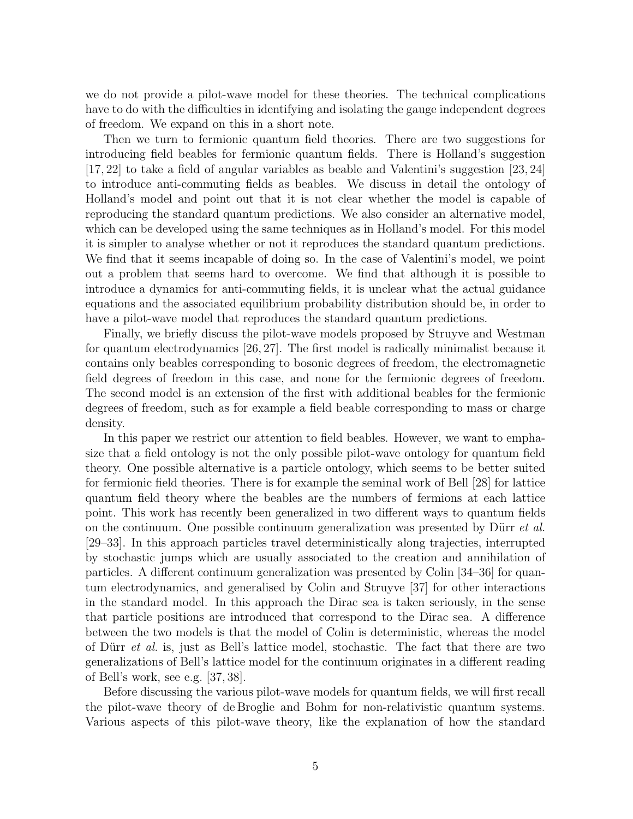we do not provide a pilot-wave model for these theories. The technical complications have to do with the difficulties in identifying and isolating the gauge independent degrees of freedom. We expand on this in a short note.

Then we turn to fermionic quantum field theories. There are two suggestions for introducing field beables for fermionic quantum fields. There is Holland's suggestion [17, 22] to take a field of angular variables as beable and Valentini's suggestion [23, 24] to introduce anti-commuting fields as beables. We discuss in detail the ontology of Holland's model and point out that it is not clear whether the model is capable of reproducing the standard quantum predictions. We also consider an alternative model, which can be developed using the same techniques as in Holland's model. For this model it is simpler to analyse whether or not it reproduces the standard quantum predictions. We find that it seems incapable of doing so. In the case of Valentini's model, we point out a problem that seems hard to overcome. We find that although it is possible to introduce a dynamics for anti-commuting fields, it is unclear what the actual guidance equations and the associated equilibrium probability distribution should be, in order to have a pilot-wave model that reproduces the standard quantum predictions.

Finally, we briefly discuss the pilot-wave models proposed by Struyve and Westman for quantum electrodynamics [26, 27]. The first model is radically minimalist because it contains only beables corresponding to bosonic degrees of freedom, the electromagnetic field degrees of freedom in this case, and none for the fermionic degrees of freedom. The second model is an extension of the first with additional beables for the fermionic degrees of freedom, such as for example a field beable corresponding to mass or charge density.

In this paper we restrict our attention to field beables. However, we want to emphasize that a field ontology is not the only possible pilot-wave ontology for quantum field theory. One possible alternative is a particle ontology, which seems to be better suited for fermionic field theories. There is for example the seminal work of Bell [28] for lattice quantum field theory where the beables are the numbers of fermions at each lattice point. This work has recently been generalized in two different ways to quantum fields on the continuum. One possible continuum generalization was presented by Dürr *et al.* [29–33]. In this approach particles travel deterministically along trajecties, interrupted by stochastic jumps which are usually associated to the creation and annihilation of particles. A different continuum generalization was presented by Colin [34–36] for quantum electrodynamics, and generalised by Colin and Struyve [37] for other interactions in the standard model. In this approach the Dirac sea is taken seriously, in the sense that particle positions are introduced that correspond to the Dirac sea. A difference between the two models is that the model of Colin is deterministic, whereas the model of Dürr *et al.* is, just as Bell's lattice model, stochastic. The fact that there are two generalizations of Bell's lattice model for the continuum originates in a different reading of Bell's work, see e.g. [37, 38].

Before discussing the various pilot-wave models for quantum fields, we will first recall the pilot-wave theory of de Broglie and Bohm for non-relativistic quantum systems. Various aspects of this pilot-wave theory, like the explanation of how the standard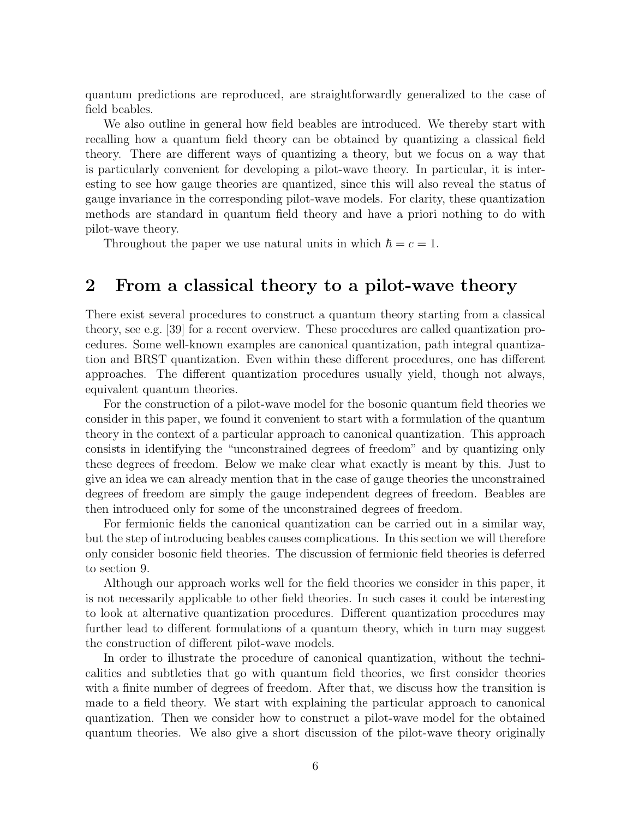quantum predictions are reproduced, are straightforwardly generalized to the case of field beables.

We also outline in general how field beables are introduced. We thereby start with recalling how a quantum field theory can be obtained by quantizing a classical field theory. There are different ways of quantizing a theory, but we focus on a way that is particularly convenient for developing a pilot-wave theory. In particular, it is interesting to see how gauge theories are quantized, since this will also reveal the status of gauge invariance in the corresponding pilot-wave models. For clarity, these quantization methods are standard in quantum field theory and have a priori nothing to do with pilot-wave theory.

Throughout the paper we use natural units in which  $\hbar = c = 1$ .

## 2 From a classical theory to a pilot-wave theory

There exist several procedures to construct a quantum theory starting from a classical theory, see e.g. [39] for a recent overview. These procedures are called quantization procedures. Some well-known examples are canonical quantization, path integral quantization and BRST quantization. Even within these different procedures, one has different approaches. The different quantization procedures usually yield, though not always, equivalent quantum theories.

For the construction of a pilot-wave model for the bosonic quantum field theories we consider in this paper, we found it convenient to start with a formulation of the quantum theory in the context of a particular approach to canonical quantization. This approach consists in identifying the "unconstrained degrees of freedom" and by quantizing only these degrees of freedom. Below we make clear what exactly is meant by this. Just to give an idea we can already mention that in the case of gauge theories the unconstrained degrees of freedom are simply the gauge independent degrees of freedom. Beables are then introduced only for some of the unconstrained degrees of freedom.

For fermionic fields the canonical quantization can be carried out in a similar way, but the step of introducing beables causes complications. In this section we will therefore only consider bosonic field theories. The discussion of fermionic field theories is deferred to section 9.

Although our approach works well for the field theories we consider in this paper, it is not necessarily applicable to other field theories. In such cases it could be interesting to look at alternative quantization procedures. Different quantization procedures may further lead to different formulations of a quantum theory, which in turn may suggest the construction of different pilot-wave models.

In order to illustrate the procedure of canonical quantization, without the technicalities and subtleties that go with quantum field theories, we first consider theories with a finite number of degrees of freedom. After that, we discuss how the transition is made to a field theory. We start with explaining the particular approach to canonical quantization. Then we consider how to construct a pilot-wave model for the obtained quantum theories. We also give a short discussion of the pilot-wave theory originally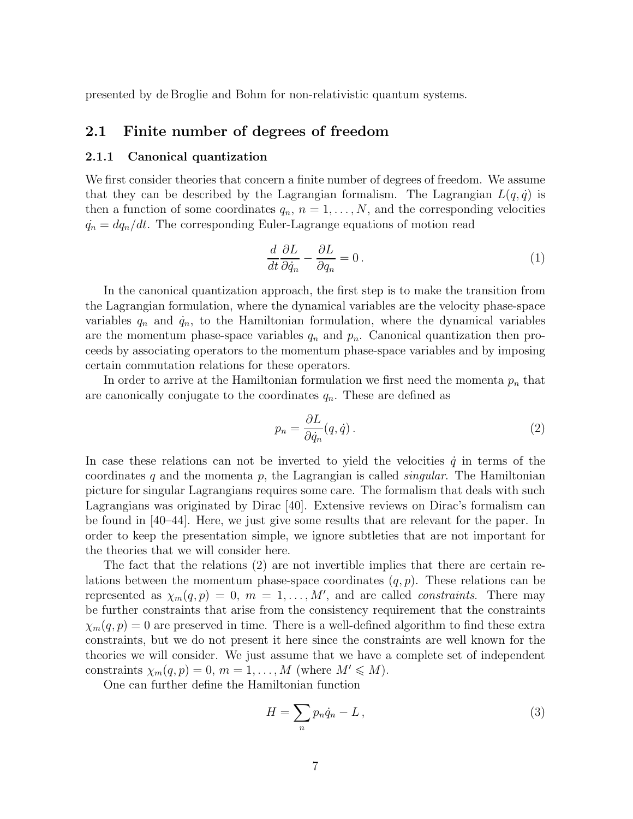presented by de Broglie and Bohm for non-relativistic quantum systems.

### 2.1 Finite number of degrees of freedom

#### 2.1.1 Canonical quantization

We first consider theories that concern a finite number of degrees of freedom. We assume that they can be described by the Lagrangian formalism. The Lagrangian  $L(q, \dot{q})$  is then a function of some coordinates  $q_n$ ,  $n = 1, \ldots, N$ , and the corresponding velocities  $q_n = dq_n/dt$ . The corresponding Euler-Lagrange equations of motion read

$$
\frac{d}{dt}\frac{\partial L}{\partial \dot{q}_n} - \frac{\partial L}{\partial q_n} = 0.
$$
\n(1)

In the canonical quantization approach, the first step is to make the transition from the Lagrangian formulation, where the dynamical variables are the velocity phase-space variables  $q_n$  and  $\dot{q}_n$ , to the Hamiltonian formulation, where the dynamical variables are the momentum phase-space variables  $q_n$  and  $p_n$ . Canonical quantization then proceeds by associating operators to the momentum phase-space variables and by imposing certain commutation relations for these operators.

In order to arrive at the Hamiltonian formulation we first need the momenta  $p_n$  that are canonically conjugate to the coordinates  $q_n$ . These are defined as

$$
p_n = \frac{\partial L}{\partial \dot{q}_n}(q, \dot{q}).\tag{2}
$$

In case these relations can not be inverted to yield the velocities  $\dot{q}$  in terms of the coordinates q and the momenta p, the Lagrangian is called *singular*. The Hamiltonian picture for singular Lagrangians requires some care. The formalism that deals with such Lagrangians was originated by Dirac [40]. Extensive reviews on Dirac's formalism can be found in [40–44]. Here, we just give some results that are relevant for the paper. In order to keep the presentation simple, we ignore subtleties that are not important for the theories that we will consider here.

The fact that the relations (2) are not invertible implies that there are certain relations between the momentum phase-space coordinates  $(q, p)$ . These relations can be represented as  $\chi_m(q, p) = 0, m = 1, ..., M'$ , and are called *constraints*. There may be further constraints that arise from the consistency requirement that the constraints  $\chi_m(q, p) = 0$  are preserved in time. There is a well-defined algorithm to find these extra constraints, but we do not present it here since the constraints are well known for the theories we will consider. We just assume that we have a complete set of independent constraints  $\chi_m(q, p) = 0, m = 1, \ldots, M$  (where  $M' \leqslant M$ ).

One can further define the Hamiltonian function

$$
H = \sum_{n} p_n \dot{q}_n - L \,, \tag{3}
$$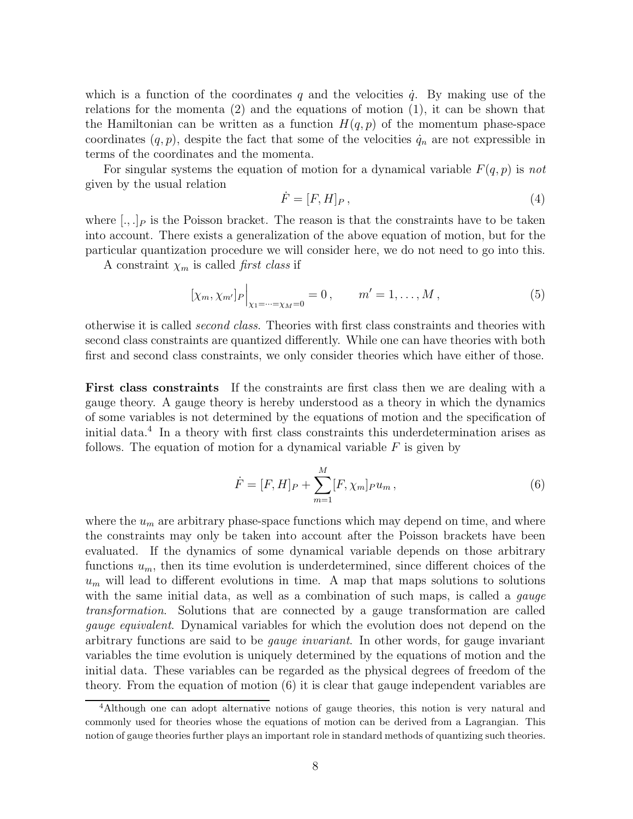which is a function of the coordinates q and the velocities  $\dot{q}$ . By making use of the relations for the momenta  $(2)$  and the equations of motion  $(1)$ , it can be shown that the Hamiltonian can be written as a function  $H(q, p)$  of the momentum phase-space coordinates  $(q, p)$ , despite the fact that some of the velocities  $\dot{q}_n$  are not expressible in terms of the coordinates and the momenta.

For singular systems the equation of motion for a dynamical variable  $F(q, p)$  is not given by the usual relation

$$
\dot{F} = [F, H]_P, \tag{4}
$$

where  $[.,.]$  is the Poisson bracket. The reason is that the constraints have to be taken into account. There exists a generalization of the above equation of motion, but for the particular quantization procedure we will consider here, we do not need to go into this.

A constraint  $\chi_m$  is called *first class* if

$$
[\chi_m, \chi_{m'}]_P\Big|_{\chi_1 = \dots = \chi_M = 0} = 0, \qquad m' = 1, \dots, M,
$$
 (5)

otherwise it is called *second class*. Theories with first class constraints and theories with second class constraints are quantized differently. While one can have theories with both first and second class constraints, we only consider theories which have either of those.

First class constraints If the constraints are first class then we are dealing with a gauge theory. A gauge theory is hereby understood as a theory in which the dynamics of some variables is not determined by the equations of motion and the specification of initial data.<sup>4</sup> In a theory with first class constraints this underdetermination arises as follows. The equation of motion for a dynamical variable  $F$  is given by

$$
\dot{F} = [F, H]_P + \sum_{m=1}^{M} [F, \chi_m]_P u_m, \qquad (6)
$$

where the  $u_m$  are arbitrary phase-space functions which may depend on time, and where the constraints may only be taken into account after the Poisson brackets have been evaluated. If the dynamics of some dynamical variable depends on those arbitrary functions  $u_m$ , then its time evolution is underdetermined, since different choices of the  $u_m$  will lead to different evolutions in time. A map that maps solutions to solutions with the same initial data, as well as a combination of such maps, is called a *gauge transformation*. Solutions that are connected by a gauge transformation are called *gauge equivalent*. Dynamical variables for which the evolution does not depend on the arbitrary functions are said to be *gauge invariant*. In other words, for gauge invariant variables the time evolution is uniquely determined by the equations of motion and the initial data. These variables can be regarded as the physical degrees of freedom of the theory. From the equation of motion (6) it is clear that gauge independent variables are

<sup>4</sup>Although one can adopt alternative notions of gauge theories, this notion is very natural and commonly used for theories whose the equations of motion can be derived from a Lagrangian. This notion of gauge theories further plays an important role in standard methods of quantizing such theories.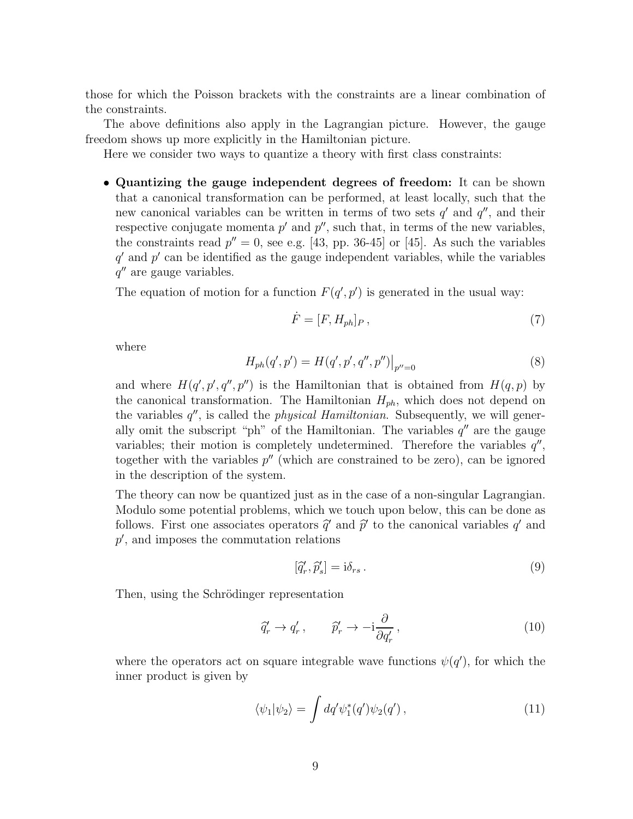those for which the Poisson brackets with the constraints are a linear combination of the constraints.

The above definitions also apply in the Lagrangian picture. However, the gauge freedom shows up more explicitly in the Hamiltonian picture.

Here we consider two ways to quantize a theory with first class constraints:

• Quantizing the gauge independent degrees of freedom: It can be shown that a canonical transformation can be performed, at least locally, such that the new canonical variables can be written in terms of two sets  $q'$  and  $q''$ , and their respective conjugate momenta  $p'$  and  $p''$ , such that, in terms of the new variables, the constraints read  $p'' = 0$ , see e.g. [43, pp. 36-45] or [45]. As such the variables  $q'$  and  $p'$  can be identified as the gauge independent variables, while the variables  $q''$  are gauge variables.

The equation of motion for a function  $F(q', p')$  is generated in the usual way:

$$
\dot{F} = [F, H_{ph}]_P, \tag{7}
$$

where

$$
H_{ph}(q',p') = H(q',p',q'',p'')\big|_{p''=0}
$$
\n(8)

and where  $H(q', p', q'', p'')$  is the Hamiltonian that is obtained from  $H(q, p)$  by the canonical transformation. The Hamiltonian  $H_{ph}$ , which does not depend on the variables q ′′, is called the *physical Hamiltonian*. Subsequently, we will generally omit the subscript "ph" of the Hamiltonian. The variables  $q''$  are the gauge variables; their motion is completely undetermined. Therefore the variables  $q''$ , together with the variables  $p''$  (which are constrained to be zero), can be ignored in the description of the system.

The theory can now be quantized just as in the case of a non-singular Lagrangian. Modulo some potential problems, which we touch upon below, this can be done as follows. First one associates operators  $\hat{q}'$  and  $\hat{p}'$  to the canonical variables  $q'$  and  $p'$  and  $p'$  and integrate the commutation validing p ′ , and imposes the commutation relations

$$
[\hat{q}'_r, \hat{p}'_s] = i\delta_{rs} \,. \tag{9}
$$

Then, using the Schrödinger representation

$$
\widehat{q}'_r \to q'_r, \qquad \widehat{p}'_r \to -i\frac{\partial}{\partial q'_r},\tag{10}
$$

where the operators act on square integrable wave functions  $\psi(q')$ , for which the inner product is given by

$$
\langle \psi_1 | \psi_2 \rangle = \int dq' \psi_1^*(q') \psi_2(q') , \qquad (11)
$$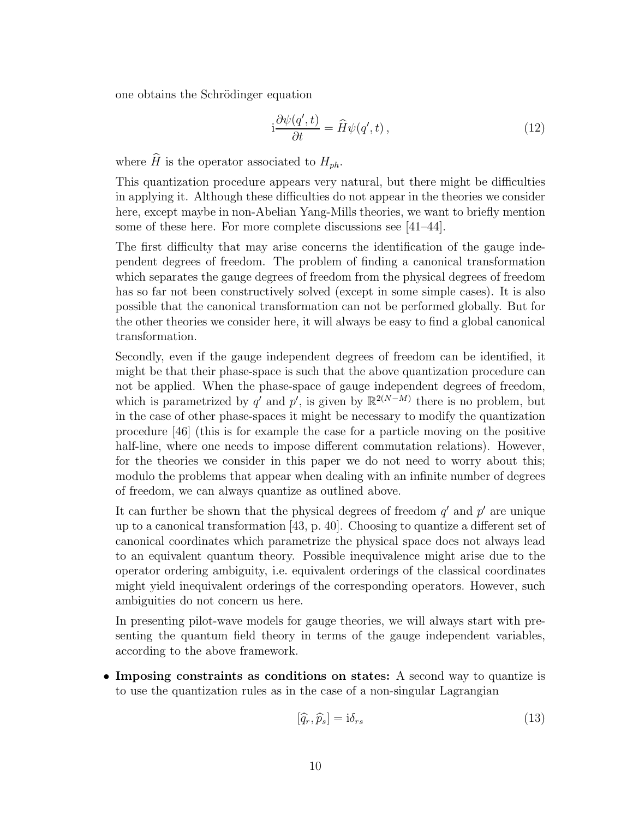one obtains the Schrödinger equation

$$
i\frac{\partial\psi(q',t)}{\partial t} = \widehat{H}\psi(q',t)\,,\tag{12}
$$

where  $\widehat{H}$  is the operator associated to  $H_{ph}$ .

This quantization procedure appears very natural, but there might be difficulties in applying it. Although these difficulties do not appear in the theories we consider here, except maybe in non-Abelian Yang-Mills theories, we want to briefly mention some of these here. For more complete discussions see [41–44].

The first difficulty that may arise concerns the identification of the gauge independent degrees of freedom. The problem of finding a canonical transformation which separates the gauge degrees of freedom from the physical degrees of freedom has so far not been constructively solved (except in some simple cases). It is also possible that the canonical transformation can not be performed globally. But for the other theories we consider here, it will always be easy to find a global canonical transformation.

Secondly, even if the gauge independent degrees of freedom can be identified, it might be that their phase-space is such that the above quantization procedure can not be applied. When the phase-space of gauge independent degrees of freedom, which is parametrized by q' and p', is given by  $\mathbb{R}^{2(N-M)}$  there is no problem, but in the case of other phase-spaces it might be necessary to modify the quantization procedure [46] (this is for example the case for a particle moving on the positive half-line, where one needs to impose different commutation relations). However, for the theories we consider in this paper we do not need to worry about this; modulo the problems that appear when dealing with an infinite number of degrees of freedom, we can always quantize as outlined above.

It can further be shown that the physical degrees of freedom  $q'$  and  $p'$  are unique up to a canonical transformation [43, p. 40]. Choosing to quantize a different set of canonical coordinates which parametrize the physical space does not always lead to an equivalent quantum theory. Possible inequivalence might arise due to the operator ordering ambiguity, i.e. equivalent orderings of the classical coordinates might yield inequivalent orderings of the corresponding operators. However, such ambiguities do not concern us here.

In presenting pilot-wave models for gauge theories, we will always start with presenting the quantum field theory in terms of the gauge independent variables, according to the above framework.

• Imposing constraints as conditions on states: A second way to quantize is to use the quantization rules as in the case of a non-singular Lagrangian

$$
[\widehat{q}_r, \widehat{p}_s] = i\delta_{rs} \tag{13}
$$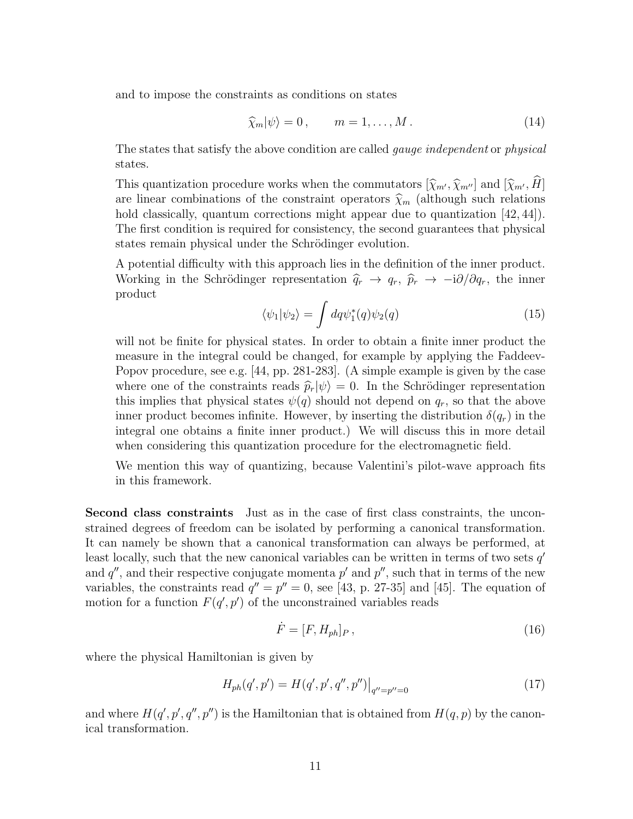and to impose the constraints as conditions on states

$$
\widehat{\chi}_m|\psi\rangle = 0, \qquad m = 1, \dots, M. \tag{14}
$$

The states that satisfy the above condition are called *gauge independent* or *physical* states.

This quantization procedure works when the commutators  $[\widehat{\chi}_{m'}, \widehat{\chi}_{m''}]$  and  $[\widehat{\chi}_{m'}, H]$ are linear combinations of the constraint operators  $\widehat{\chi}_m$  (although such relations hold classically, quantum corrections might appear due to quantization  $(42, 44)$ . The first condition is required for consistency, the second guarantees that physical states remain physical under the Schrödinger evolution.

A potential difficulty with this approach lies in the definition of the inner product. Working in the Schrödinger representation  $\hat{q}_r \to q_r$ ,  $\hat{p}_r \to -i\partial/\partial q_r$ , the inner product

$$
\langle \psi_1 | \psi_2 \rangle = \int dq \psi_1^*(q) \psi_2(q) \tag{15}
$$

will not be finite for physical states. In order to obtain a finite inner product the measure in the integral could be changed, for example by applying the Faddeev-Popov procedure, see e.g.  $[44, pp. 281-283]$ . (A simple example is given by the case where one of the constraints reads  $\hat{p}_r|\psi\rangle = 0$ . In the Schrödinger representation this implies that physical states  $\psi(q)$  should not depend on  $q_r$ , so that the above inner product becomes infinite. However, by inserting the distribution  $\delta(q_r)$  in the integral one obtains a finite inner product.) We will discuss this in more detail when considering this quantization procedure for the electromagnetic field.

We mention this way of quantizing, because Valentini's pilot-wave approach fits in this framework.

Second class constraints Just as in the case of first class constraints, the unconstrained degrees of freedom can be isolated by performing a canonical transformation. It can namely be shown that a canonical transformation can always be performed, at least locally, such that the new canonical variables can be written in terms of two sets  $q'$ and  $q''$ , and their respective conjugate momenta  $p'$  and  $p''$ , such that in terms of the new variables, the constraints read  $q'' = p'' = 0$ , see [43, p. 27-35] and [45]. The equation of motion for a function  $F(q', p')$  of the unconstrained variables reads

$$
\dot{F} = [F, H_{ph}]_P, \qquad (16)
$$

where the physical Hamiltonian is given by

$$
H_{ph}(q',p') = H(q',p',q'',p'')\big|_{q''=p''=0}
$$
\n(17)

and where  $H(q', p', q'', p'')$  is the Hamiltonian that is obtained from  $H(q, p)$  by the canonical transformation.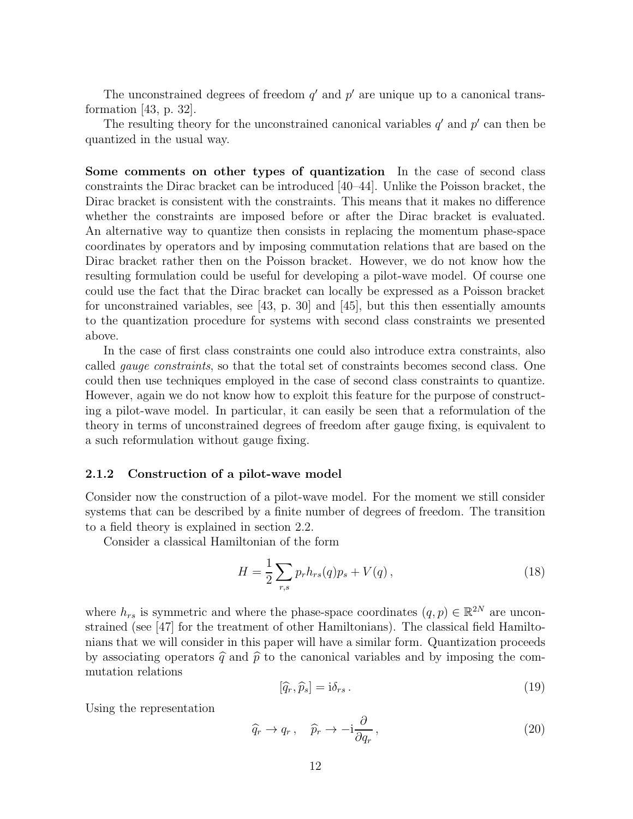The unconstrained degrees of freedom  $q'$  and  $p'$  are unique up to a canonical transformation  $|43$ , p. 32.

The resulting theory for the unconstrained canonical variables  $q'$  and  $p'$  can then be quantized in the usual way.

Some comments on other types of quantization In the case of second class constraints the Dirac bracket can be introduced [40–44]. Unlike the Poisson bracket, the Dirac bracket is consistent with the constraints. This means that it makes no difference whether the constraints are imposed before or after the Dirac bracket is evaluated. An alternative way to quantize then consists in replacing the momentum phase-space coordinates by operators and by imposing commutation relations that are based on the Dirac bracket rather then on the Poisson bracket. However, we do not know how the resulting formulation could be useful for developing a pilot-wave model. Of course one could use the fact that the Dirac bracket can locally be expressed as a Poisson bracket for unconstrained variables, see [43, p. 30] and [45], but this then essentially amounts to the quantization procedure for systems with second class constraints we presented above.

In the case of first class constraints one could also introduce extra constraints, also called *gauge constraints*, so that the total set of constraints becomes second class. One could then use techniques employed in the case of second class constraints to quantize. However, again we do not know how to exploit this feature for the purpose of constructing a pilot-wave model. In particular, it can easily be seen that a reformulation of the theory in terms of unconstrained degrees of freedom after gauge fixing, is equivalent to a such reformulation without gauge fixing.

#### 2.1.2 Construction of a pilot-wave model

Consider now the construction of a pilot-wave model. For the moment we still consider systems that can be described by a finite number of degrees of freedom. The transition to a field theory is explained in section 2.2.

Consider a classical Hamiltonian of the form

$$
H = \frac{1}{2} \sum_{r,s} p_r h_{rs}(q) p_s + V(q) , \qquad (18)
$$

where  $h_{rs}$  is symmetric and where the phase-space coordinates  $(q, p) \in \mathbb{R}^{2N}$  are unconstrained (see [47] for the treatment of other Hamiltonians). The classical field Hamiltonians that we will consider in this paper will have a similar form. Quantization proceeds by associating operators  $\hat{q}$  and  $\hat{p}$  to the canonical variables and by imposing the commutation relations

$$
[\widehat{q}_r, \widehat{p}_s] = \mathrm{i}\delta_{rs} \,. \tag{19}
$$

Using the representation

$$
\widehat{q}_r \to q_r \,, \quad \widehat{p}_r \to -\mathrm{i}\frac{\partial}{\partial q_r} \,, \tag{20}
$$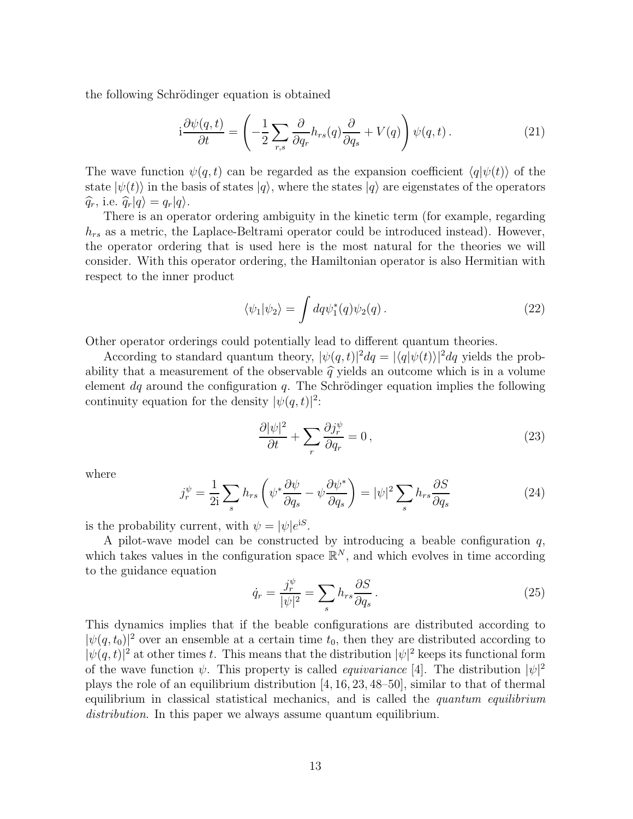the following Schrödinger equation is obtained

$$
i\frac{\partial\psi(q,t)}{\partial t} = \left(-\frac{1}{2}\sum_{r,s}\frac{\partial}{\partial q_r}h_{rs}(q)\frac{\partial}{\partial q_s} + V(q)\right)\psi(q,t).
$$
 (21)

The wave function  $\psi(q, t)$  can be regarded as the expansion coefficient  $\langle q|\psi(t)\rangle$  of the state  $|\psi(t)\rangle$  in the basis of states  $|q\rangle$ , where the states  $|q\rangle$  are eigenstates of the operators  $\widehat{q}_r$ , i.e.  $\widehat{q}_r|q\rangle = q_r|q\rangle.$ 

There is an operator ordering ambiguity in the kinetic term (for example, regarding  $h_{rs}$  as a metric, the Laplace-Beltrami operator could be introduced instead). However, the operator ordering that is used here is the most natural for the theories we will consider. With this operator ordering, the Hamiltonian operator is also Hermitian with respect to the inner product

$$
\langle \psi_1 | \psi_2 \rangle = \int dq \psi_1^*(q) \psi_2(q) . \tag{22}
$$

Other operator orderings could potentially lead to different quantum theories.

According to standard quantum theory,  $|\psi(q, t)|^2 dq = |\langle q|\psi(t)\rangle|^2 dq$  yields the probability that a measurement of the observable  $\hat{q}$  yields an outcome which is in a volume element  $dq$  around the configuration  $q$ . The Schrödinger equation implies the following continuity equation for the density  $|\psi(q, t)|^2$ :

$$
\frac{\partial |\psi|^2}{\partial t} + \sum_r \frac{\partial j_r^{\psi}}{\partial q_r} = 0, \qquad (23)
$$

where

$$
j_r^{\psi} = \frac{1}{2i} \sum_s h_{rs} \left( \psi^* \frac{\partial \psi}{\partial q_s} - \psi \frac{\partial \psi^*}{\partial q_s} \right) = |\psi|^2 \sum_s h_{rs} \frac{\partial S}{\partial q_s} \tag{24}
$$

is the probability current, with  $\psi = |\psi|e^{iS}$ .

A pilot-wave model can be constructed by introducing a beable configuration  $q$ , which takes values in the configuration space  $\mathbb{R}^N$ , and which evolves in time according to the guidance equation

$$
\dot{q}_r = \frac{j_r^{\psi}}{|\psi|^2} = \sum_s h_{rs} \frac{\partial S}{\partial q_s}.
$$
\n(25)

This dynamics implies that if the beable configurations are distributed according to  $|\psi(q, t_0)|^2$  over an ensemble at a certain time  $t_0$ , then they are distributed according to  $|\psi(q,t)|^2$  at other times t. This means that the distribution  $|\psi|^2$  keeps its functional form of the wave function  $\psi$ . This property is called *equivariance* [4]. The distribution  $|\psi|^2$ plays the role of an equilibrium distribution [4, 16, 23, 48–50], similar to that of thermal equilibrium in classical statistical mechanics, and is called the *quantum equilibrium distribution*. In this paper we always assume quantum equilibrium.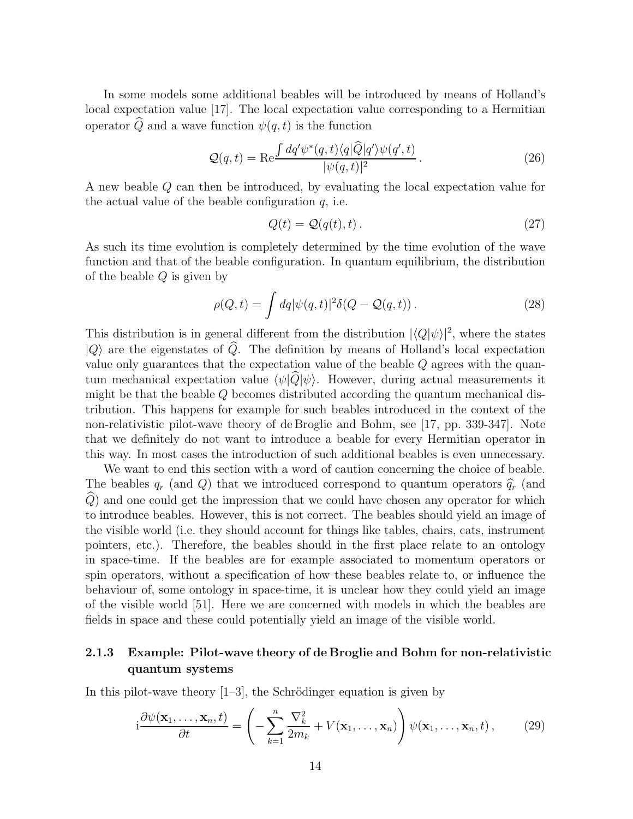In some models some additional beables will be introduced by means of Holland's local expectation value [17]. The local expectation value corresponding to a Hermitian operator  $\widehat{Q}$  and a wave function  $\psi(q, t)$  is the function

$$
\mathcal{Q}(q,t) = \text{Re}\frac{\int dq' \psi^*(q,t) \langle q|\widehat{Q}|q'\rangle \psi(q',t)}{|\psi(q,t)|^2}.
$$
\n(26)

A new beable Q can then be introduced, by evaluating the local expectation value for the actual value of the beable configuration  $q$ , i.e.

$$
Q(t) = Q(q(t), t). \tag{27}
$$

As such its time evolution is completely determined by the time evolution of the wave function and that of the beable configuration. In quantum equilibrium, the distribution of the beable Q is given by

$$
\rho(Q,t) = \int dq |\psi(q,t)|^2 \delta(Q - \mathcal{Q}(q,t)). \tag{28}
$$

This distribution is in general different from the distribution  $|\langle Q|\psi\rangle|^2$ , where the states  $|Q\rangle$  are the eigenstates of  $\widehat{Q}$ . The definition by means of Holland's local expectation value only guarantees that the expectation value of the beable Q agrees with the quantum mechanical expectation value  $\langle \psi | \hat{Q} | \psi \rangle$ . However, during actual measurements it might be that the beable Q becomes distributed according the quantum mechanical distribution. This happens for example for such beables introduced in the context of the non-relativistic pilot-wave theory of de Broglie and Bohm, see [17, pp. 339-347]. Note that we definitely do not want to introduce a beable for every Hermitian operator in this way. In most cases the introduction of such additional beables is even unnecessary.

We want to end this section with a word of caution concerning the choice of beable. The beables  $q_r$  (and Q) that we introduced correspond to quantum operators  $\hat{q}_r$  (and  $Q$ ) and one could get the impression that we could have chosen any operator for which to introduce beables. However, this is not correct. The beables should yield an image of the visible world (i.e. they should account for things like tables, chairs, cats, instrument pointers, etc.). Therefore, the beables should in the first place relate to an ontology in space-time. If the beables are for example associated to momentum operators or spin operators, without a specification of how these beables relate to, or influence the behaviour of, some ontology in space-time, it is unclear how they could yield an image of the visible world [51]. Here we are concerned with models in which the beables are fields in space and these could potentially yield an image of the visible world.

### 2.1.3 Example: Pilot-wave theory of de Broglie and Bohm for non-relativistic quantum systems

In this pilot-wave theory  $[1-3]$ , the Schrödinger equation is given by

$$
i\frac{\partial\psi(\mathbf{x}_1,\ldots,\mathbf{x}_n,t)}{\partial t} = \left(-\sum_{k=1}^n \frac{\nabla_k^2}{2m_k} + V(\mathbf{x}_1,\ldots,\mathbf{x}_n)\right)\psi(\mathbf{x}_1,\ldots,\mathbf{x}_n,t),\qquad(29)
$$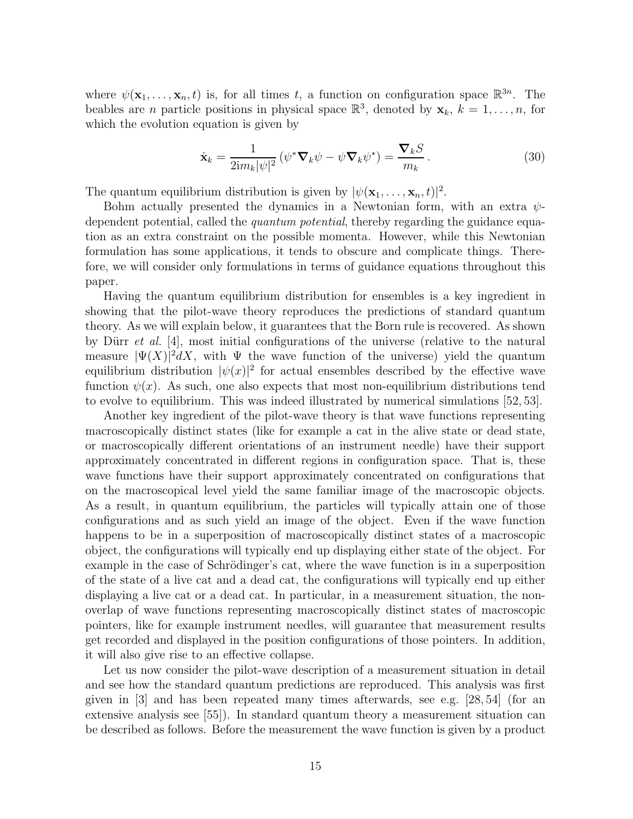where  $\psi(\mathbf{x}_1,\ldots,\mathbf{x}_n,t)$  is, for all times t, a function on configuration space  $\mathbb{R}^{3n}$ . The beables are *n* particle positions in physical space  $\mathbb{R}^3$ , denoted by  $\mathbf{x}_k$ ,  $k = 1, \ldots, n$ , for which the evolution equation is given by

$$
\dot{\mathbf{x}}_k = \frac{1}{2im_k|\psi|^2} \left( \psi^* \nabla_k \psi - \psi \nabla_k \psi^* \right) = \frac{\nabla_k S}{m_k} \,. \tag{30}
$$

The quantum equilibrium distribution is given by  $|\psi(\mathbf{x}_1, \dots, \mathbf{x}_n, t)|^2$ .

Bohm actually presented the dynamics in a Newtonian form, with an extra  $\psi$ dependent potential, called the *quantum potential*, thereby regarding the guidance equation as an extra constraint on the possible momenta. However, while this Newtonian formulation has some applications, it tends to obscure and complicate things. Therefore, we will consider only formulations in terms of guidance equations throughout this paper.

Having the quantum equilibrium distribution for ensembles is a key ingredient in showing that the pilot-wave theory reproduces the predictions of standard quantum theory. As we will explain below, it guarantees that the Born rule is recovered. As shown by Dürr *et al.* [4], most initial configurations of the universe (relative to the natural measure  $|\Psi(X)|^2 dX$ , with  $\Psi$  the wave function of the universe) yield the quantum equilibrium distribution  $|\psi(x)|^2$  for actual ensembles described by the effective wave function  $\psi(x)$ . As such, one also expects that most non-equilibrium distributions tend to evolve to equilibrium. This was indeed illustrated by numerical simulations [52, 53].

Another key ingredient of the pilot-wave theory is that wave functions representing macroscopically distinct states (like for example a cat in the alive state or dead state, or macroscopically different orientations of an instrument needle) have their support approximately concentrated in different regions in configuration space. That is, these wave functions have their support approximately concentrated on configurations that on the macroscopical level yield the same familiar image of the macroscopic objects. As a result, in quantum equilibrium, the particles will typically attain one of those configurations and as such yield an image of the object. Even if the wave function happens to be in a superposition of macroscopically distinct states of a macroscopic object, the configurations will typically end up displaying either state of the object. For example in the case of Schrödinger's cat, where the wave function is in a superposition of the state of a live cat and a dead cat, the configurations will typically end up either displaying a live cat or a dead cat. In particular, in a measurement situation, the nonoverlap of wave functions representing macroscopically distinct states of macroscopic pointers, like for example instrument needles, will guarantee that measurement results get recorded and displayed in the position configurations of those pointers. In addition, it will also give rise to an effective collapse.

Let us now consider the pilot-wave description of a measurement situation in detail and see how the standard quantum predictions are reproduced. This analysis was first given in [3] and has been repeated many times afterwards, see e.g. [28, 54] (for an extensive analysis see [55]). In standard quantum theory a measurement situation can be described as follows. Before the measurement the wave function is given by a product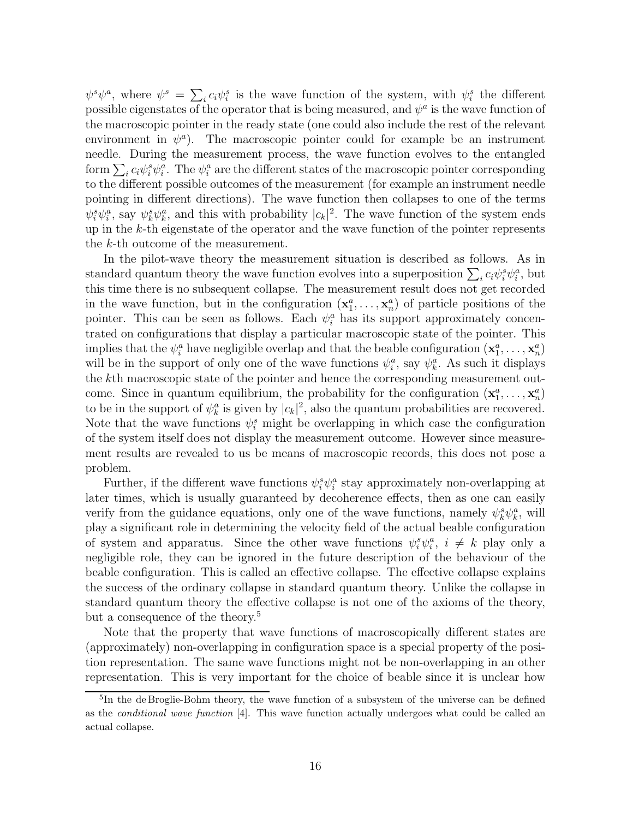$\psi^s \psi^a$ , where  $\psi^s = \sum_i c_i \psi_i^s$  is the wave function of the system, with  $\psi_i^s$  the different possible eigenstates of the operator that is being measured, and  $\psi^a$  is the wave function of the macroscopic pointer in the ready state (one could also include the rest of the relevant environment in  $\psi^a$ ). The macroscopic pointer could for example be an instrument needle. During the measurement process, the wave function evolves to the entangled form  $\sum_i c_i \psi_i^s \psi_i^a$ . The  $\psi_i^a$  are the different states of the macroscopic pointer corresponding to the different possible outcomes of the measurement (for example an instrument needle pointing in different directions). The wave function then collapses to one of the terms  $\psi_i^s \psi_i^a$ , say  $\psi_k^s \psi_k^a$ , and this with probability  $|c_k|^2$ . The wave function of the system ends up in the k-th eigenstate of the operator and the wave function of the pointer represents the k-th outcome of the measurement.

In the pilot-wave theory the measurement situation is described as follows. As in standard quantum theory the wave function evolves into a superposition  $\sum_i c_i \psi_i^s \psi_i^a$ , but this time there is no subsequent collapse. The measurement result does not get recorded in the wave function, but in the configuration  $(\mathbf{x}_1^a, \ldots, \mathbf{x}_n^a)$  of particle positions of the pointer. This can be seen as follows. Each  $\psi_i^a$  has its support approximately concentrated on configurations that display a particular macroscopic state of the pointer. This implies that the  $\psi_i^a$  have negligible overlap and that the beable configuration  $(\mathbf{x}_1^a, \dots, \mathbf{x}_n^a)$ will be in the support of only one of the wave functions  $\psi_i^a$ , say  $\psi_k^a$ . As such it displays the kth macroscopic state of the pointer and hence the corresponding measurement outcome. Since in quantum equilibrium, the probability for the configuration  $(\mathbf{x}_1^a, \ldots, \mathbf{x}_n^a)$ to be in the support of  $\psi_k^a$  is given by  $|c_k|^2$ , also the quantum probabilities are recovered. Note that the wave functions  $\psi_i^s$  might be overlapping in which case the configuration of the system itself does not display the measurement outcome. However since measurement results are revealed to us be means of macroscopic records, this does not pose a problem.

Further, if the different wave functions  $\psi_i^s \psi_i^a$  stay approximately non-overlapping at later times, which is usually guaranteed by decoherence effects, then as one can easily verify from the guidance equations, only one of the wave functions, namely  $\psi_k^s \psi_k^a$ , will play a significant role in determining the velocity field of the actual beable configuration of system and apparatus. Since the other wave functions  $\psi_i^s \psi_i^a$ ,  $i \neq k$  play only a negligible role, they can be ignored in the future description of the behaviour of the beable configuration. This is called an effective collapse. The effective collapse explains the success of the ordinary collapse in standard quantum theory. Unlike the collapse in standard quantum theory the effective collapse is not one of the axioms of the theory, but a consequence of the theory.<sup>5</sup>

Note that the property that wave functions of macroscopically different states are (approximately) non-overlapping in configuration space is a special property of the position representation. The same wave functions might not be non-overlapping in an other representation. This is very important for the choice of beable since it is unclear how

<sup>&</sup>lt;sup>5</sup>In the de Broglie-Bohm theory, the wave function of a subsystem of the universe can be defined as the conditional wave function [4]. This wave function actually undergoes what could be called an actual collapse.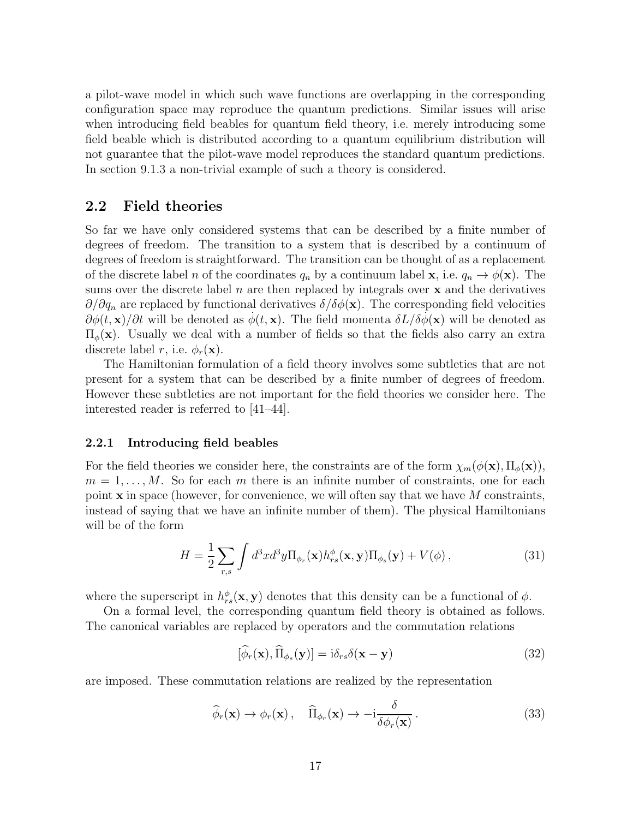a pilot-wave model in which such wave functions are overlapping in the corresponding configuration space may reproduce the quantum predictions. Similar issues will arise when introducing field beables for quantum field theory, i.e. merely introducing some field beable which is distributed according to a quantum equilibrium distribution will not guarantee that the pilot-wave model reproduces the standard quantum predictions. In section 9.1.3 a non-trivial example of such a theory is considered.

### 2.2 Field theories

So far we have only considered systems that can be described by a finite number of degrees of freedom. The transition to a system that is described by a continuum of degrees of freedom is straightforward. The transition can be thought of as a replacement of the discrete label n of the coordinates  $q_n$  by a continuum label x, i.e.  $q_n \to \phi(\mathbf{x})$ . The sums over the discrete label  $n$  are then replaced by integrals over  $x$  and the derivatives  $\partial/\partial q_n$  are replaced by functional derivatives  $\delta/\delta\phi(\mathbf{x})$ . The corresponding field velocities  $\partial \phi(t, \mathbf{x})/\partial t$  will be denoted as  $\phi(t, \mathbf{x})$ . The field momenta  $\delta L/\delta \phi(\mathbf{x})$  will be denoted as  $\Pi_{\phi}(\mathbf{x})$ . Usually we deal with a number of fields so that the fields also carry an extra discrete label r, i.e.  $\phi_r(\mathbf{x})$ .

The Hamiltonian formulation of a field theory involves some subtleties that are not present for a system that can be described by a finite number of degrees of freedom. However these subtleties are not important for the field theories we consider here. The interested reader is referred to [41–44].

#### 2.2.1 Introducing field beables

For the field theories we consider here, the constraints are of the form  $\chi_m(\phi(\mathbf{x}), \Pi_\phi(\mathbf{x}))$ ,  $m = 1, \ldots, M$ . So for each m there is an infinite number of constraints, one for each point  $x$  in space (however, for convenience, we will often say that we have  $M$  constraints, instead of saying that we have an infinite number of them). The physical Hamiltonians will be of the form

$$
H = \frac{1}{2} \sum_{r,s} \int d^3x d^3y \Pi_{\phi_r}(\mathbf{x}) h_{rs}^{\phi}(\mathbf{x}, \mathbf{y}) \Pi_{\phi_s}(\mathbf{y}) + V(\phi) , \qquad (31)
$$

where the superscript in  $h_{rs}^{\phi}(\mathbf{x}, \mathbf{y})$  denotes that this density can be a functional of  $\phi$ .

On a formal level, the corresponding quantum field theory is obtained as follows. The canonical variables are replaced by operators and the commutation relations

$$
[\widehat{\phi}_r(\mathbf{x}), \widehat{\Pi}_{\phi_s}(\mathbf{y})] = i\delta_{rs}\delta(\mathbf{x} - \mathbf{y})
$$
\n(32)

are imposed. These commutation relations are realized by the representation

$$
\widehat{\phi}_r(\mathbf{x}) \to \phi_r(\mathbf{x}), \quad \widehat{\Pi}_{\phi_r}(\mathbf{x}) \to -i\frac{\delta}{\delta \phi_r(\mathbf{x})}.
$$
\n(33)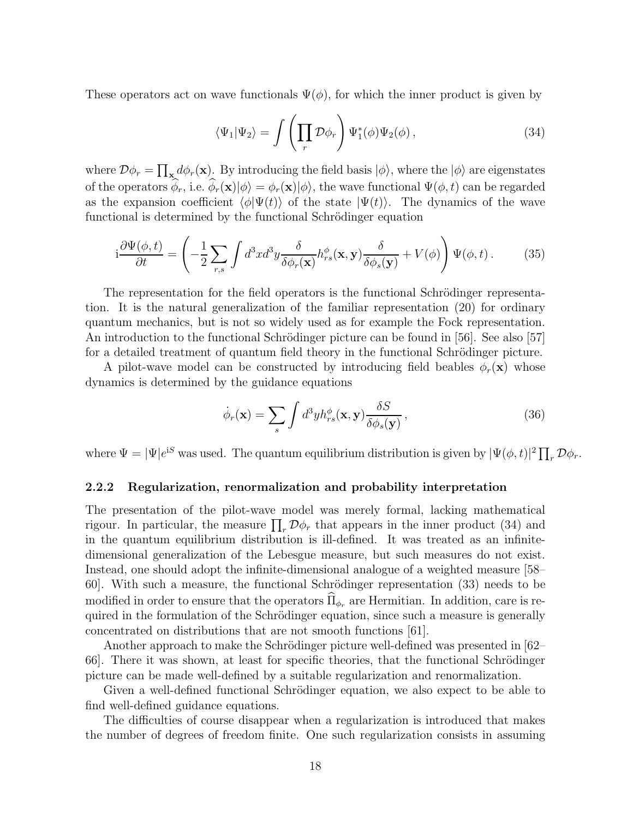These operators act on wave functionals  $\Psi(\phi)$ , for which the inner product is given by

$$
\langle \Psi_1 | \Psi_2 \rangle = \int \left( \prod_r \mathcal{D} \phi_r \right) \Psi_1^*(\phi) \Psi_2(\phi) , \qquad (34)
$$

where  $\mathcal{D}\phi_r = \prod_{\mathbf{x}} d\phi_r(\mathbf{x})$ . By introducing the field basis  $|\phi\rangle$ , where the  $|\phi\rangle$  are eigenstates of the operators  $\widehat{\phi}_r$ , i.e.  $\widehat{\phi}_r(\mathbf{x})|\phi\rangle = \phi_r(\mathbf{x})|\phi\rangle$ , the wave functional  $\Psi(\phi, t)$  can be regarded as the expansion coefficient  $\langle \phi | \Psi(t) \rangle$  of the state  $|\Psi(t)\rangle$ . The dynamics of the wave functional is determined by the functional Schrödinger equation

$$
i\frac{\partial\Psi(\phi,t)}{\partial t} = \left(-\frac{1}{2}\sum_{r,s}\int d^3x d^3y \frac{\delta}{\delta\phi_r(\mathbf{x})}h_{rs}^{\phi}(\mathbf{x},\mathbf{y})\frac{\delta}{\delta\phi_s(\mathbf{y})} + V(\phi)\right)\Psi(\phi,t).
$$
 (35)

The representation for the field operators is the functional Schrödinger representation. It is the natural generalization of the familiar representation (20) for ordinary quantum mechanics, but is not so widely used as for example the Fock representation. An introduction to the functional Schrödinger picture can be found in [56]. See also [57] for a detailed treatment of quantum field theory in the functional Schrödinger picture.

A pilot-wave model can be constructed by introducing field beables  $\phi_r(\mathbf{x})$  whose dynamics is determined by the guidance equations

$$
\dot{\phi}_r(\mathbf{x}) = \sum_s \int d^3y h_{rs}^{\phi}(\mathbf{x}, \mathbf{y}) \frac{\delta S}{\delta \phi_s(\mathbf{y})},
$$
\n(36)

where  $\Psi = |\Psi|e^{iS}$  was used. The quantum equilibrium distribution is given by  $|\Psi(\phi, t)|^2 \prod_r \mathcal{D}\phi_r$ .

#### 2.2.2 Regularization, renormalization and probability interpretation

The presentation of the pilot-wave model was merely formal, lacking mathematical rigour. In particular, the measure  $\prod_r \mathcal{D}\phi_r$  that appears in the inner product (34) and in the quantum equilibrium distribution is ill-defined. It was treated as an infinitedimensional generalization of the Lebesgue measure, but such measures do not exist. Instead, one should adopt the infinite-dimensional analogue of a weighted measure [58– 60. With such a measure, the functional Schrödinger representation (33) needs to be modified in order to ensure that the operators  $\widehat{\Pi}_{\phi_r}$  are Hermitian. In addition, care is required in the formulation of the Schrödinger equation, since such a measure is generally concentrated on distributions that are not smooth functions [61].

Another approach to make the Schrödinger picture well-defined was presented in  $[62-$ 66. There it was shown, at least for specific theories, that the functional Schrödinger picture can be made well-defined by a suitable regularization and renormalization.

Given a well-defined functional Schrödinger equation, we also expect to be able to find well-defined guidance equations.

The difficulties of course disappear when a regularization is introduced that makes the number of degrees of freedom finite. One such regularization consists in assuming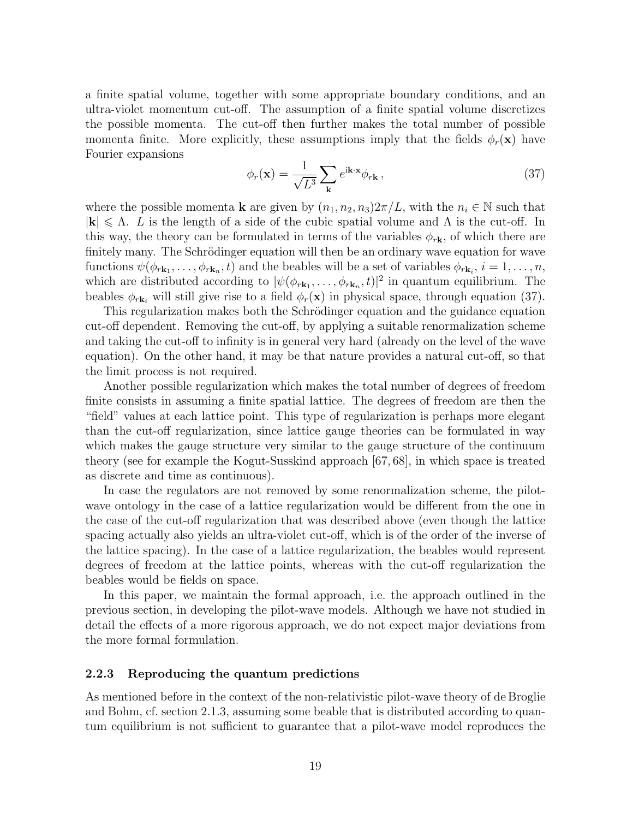a finite spatial volume, together with some appropriate boundary conditions, and an ultra-violet momentum cut-off. The assumption of a finite spatial volume discretizes the possible momenta. The cut-off then further makes the total number of possible momenta finite. More explicitly, these assumptions imply that the fields  $\phi_r(\mathbf{x})$  have Fourier expansions

$$
\phi_r(\mathbf{x}) = \frac{1}{\sqrt{L^3}} \sum_{\mathbf{k}} e^{i\mathbf{k} \cdot \mathbf{x}} \phi_{r\mathbf{k}},
$$
\n(37)

where the possible momenta **k** are given by  $(n_1, n_2, n_3)2\pi/L$ , with the  $n_i \in \mathbb{N}$  such that  $|{\bf k}| \leq \Lambda$ . L is the length of a side of the cubic spatial volume and  $\Lambda$  is the cut-off. In this way, the theory can be formulated in terms of the variables  $\phi_{r\mathbf{k}}$ , of which there are finitely many. The Schrödinger equation will then be an ordinary wave equation for wave functions  $\psi(\phi_{r\mathbf{k}_1},\ldots,\phi_{r\mathbf{k}_n},t)$  and the beables will be a set of variables  $\phi_{r\mathbf{k}_i}, i=1,\ldots,n$ , which are distributed according to  $|\psi(\phi_{r\mathbf{k}_1}, \dots, \phi_{r\mathbf{k}_n}, t)|^2$  in quantum equilibrium. The beables  $\phi_{r\mathbf{k}_i}$  will still give rise to a field  $\phi_r(\mathbf{x})$  in physical space, through equation (37).

This regularization makes both the Schrödinger equation and the guidance equation cut-off dependent. Removing the cut-off, by applying a suitable renormalization scheme and taking the cut-off to infinity is in general very hard (already on the level of the wave equation). On the other hand, it may be that nature provides a natural cut-off, so that the limit process is not required.

Another possible regularization which makes the total number of degrees of freedom finite consists in assuming a finite spatial lattice. The degrees of freedom are then the "field" values at each lattice point. This type of regularization is perhaps more elegant than the cut-off regularization, since lattice gauge theories can be formulated in way which makes the gauge structure very similar to the gauge structure of the continuum theory (see for example the Kogut-Susskind approach [67, 68], in which space is treated as discrete and time as continuous).

In case the regulators are not removed by some renormalization scheme, the pilotwave ontology in the case of a lattice regularization would be different from the one in the case of the cut-off regularization that was described above (even though the lattice spacing actually also yields an ultra-violet cut-off, which is of the order of the inverse of the lattice spacing). In the case of a lattice regularization, the beables would represent degrees of freedom at the lattice points, whereas with the cut-off regularization the beables would be fields on space.

In this paper, we maintain the formal approach, i.e. the approach outlined in the previous section, in developing the pilot-wave models. Although we have not studied in detail the effects of a more rigorous approach, we do not expect major deviations from the more formal formulation.

#### 2.2.3 Reproducing the quantum predictions

As mentioned before in the context of the non-relativistic pilot-wave theory of de Broglie and Bohm, cf. section 2.1.3, assuming some beable that is distributed according to quantum equilibrium is not sufficient to guarantee that a pilot-wave model reproduces the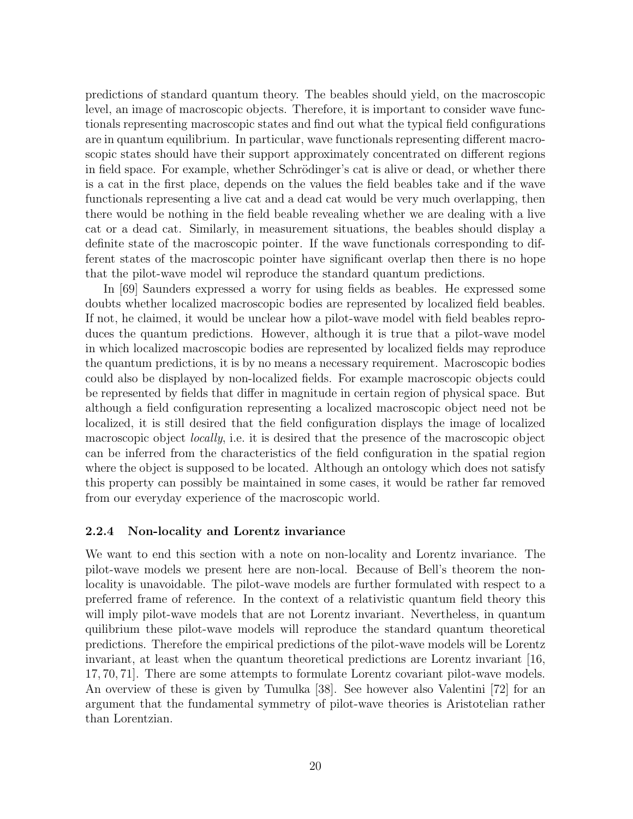predictions of standard quantum theory. The beables should yield, on the macroscopic level, an image of macroscopic objects. Therefore, it is important to consider wave functionals representing macroscopic states and find out what the typical field configurations are in quantum equilibrium. In particular, wave functionals representing different macroscopic states should have their support approximately concentrated on different regions in field space. For example, whether Schrödinger's cat is alive or dead, or whether there is a cat in the first place, depends on the values the field beables take and if the wave functionals representing a live cat and a dead cat would be very much overlapping, then there would be nothing in the field beable revealing whether we are dealing with a live cat or a dead cat. Similarly, in measurement situations, the beables should display a definite state of the macroscopic pointer. If the wave functionals corresponding to different states of the macroscopic pointer have significant overlap then there is no hope that the pilot-wave model wil reproduce the standard quantum predictions.

In [69] Saunders expressed a worry for using fields as beables. He expressed some doubts whether localized macroscopic bodies are represented by localized field beables. If not, he claimed, it would be unclear how a pilot-wave model with field beables reproduces the quantum predictions. However, although it is true that a pilot-wave model in which localized macroscopic bodies are represented by localized fields may reproduce the quantum predictions, it is by no means a necessary requirement. Macroscopic bodies could also be displayed by non-localized fields. For example macroscopic objects could be represented by fields that differ in magnitude in certain region of physical space. But although a field configuration representing a localized macroscopic object need not be localized, it is still desired that the field configuration displays the image of localized macroscopic object *locally*, i.e. it is desired that the presence of the macroscopic object can be inferred from the characteristics of the field configuration in the spatial region where the object is supposed to be located. Although an ontology which does not satisfy this property can possibly be maintained in some cases, it would be rather far removed from our everyday experience of the macroscopic world.

#### 2.2.4 Non-locality and Lorentz invariance

We want to end this section with a note on non-locality and Lorentz invariance. The pilot-wave models we present here are non-local. Because of Bell's theorem the nonlocality is unavoidable. The pilot-wave models are further formulated with respect to a preferred frame of reference. In the context of a relativistic quantum field theory this will imply pilot-wave models that are not Lorentz invariant. Nevertheless, in quantum quilibrium these pilot-wave models will reproduce the standard quantum theoretical predictions. Therefore the empirical predictions of the pilot-wave models will be Lorentz invariant, at least when the quantum theoretical predictions are Lorentz invariant [16, 17, 70, 71]. There are some attempts to formulate Lorentz covariant pilot-wave models. An overview of these is given by Tumulka [38]. See however also Valentini [72] for an argument that the fundamental symmetry of pilot-wave theories is Aristotelian rather than Lorentzian.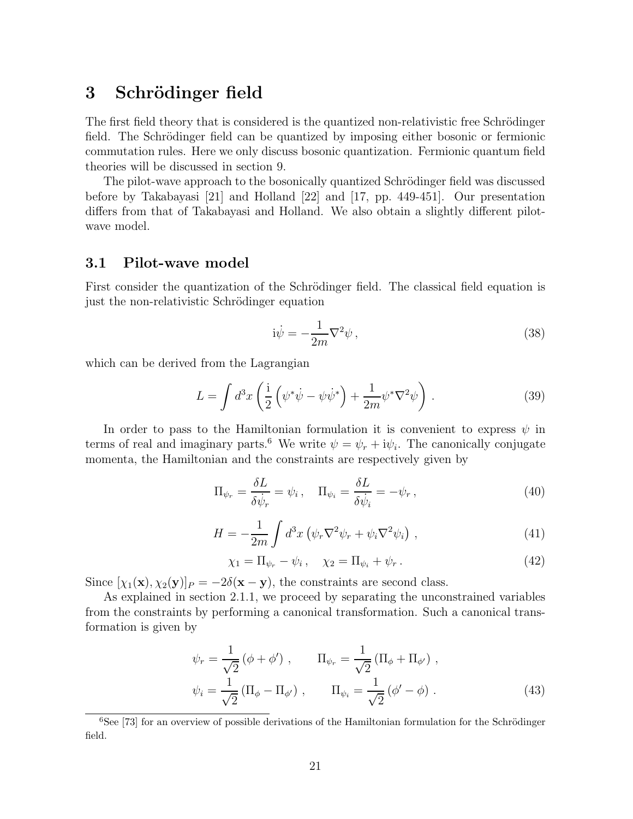## 3 Schrödinger field

The first field theory that is considered is the quantized non-relativistic free Schrödinger field. The Schrödinger field can be quantized by imposing either bosonic or fermionic commutation rules. Here we only discuss bosonic quantization. Fermionic quantum field theories will be discussed in section 9.

The pilot-wave approach to the bosonically quantized Schrödinger field was discussed before by Takabayasi [21] and Holland [22] and [17, pp. 449-451]. Our presentation differs from that of Takabayasi and Holland. We also obtain a slightly different pilotwave model.

### 3.1 Pilot-wave model

First consider the quantization of the Schrödinger field. The classical field equation is just the non-relativistic Schrödinger equation

$$
i\dot{\psi} = -\frac{1}{2m}\nabla^2\psi\,,\tag{38}
$$

which can be derived from the Lagrangian

$$
L = \int d^3x \left( \frac{i}{2} \left( \psi^* \dot{\psi} - \psi \dot{\psi}^* \right) + \frac{1}{2m} \psi^* \nabla^2 \psi \right) . \tag{39}
$$

In order to pass to the Hamiltonian formulation it is convenient to express  $\psi$  in terms of real and imaginary parts.<sup>6</sup> We write  $\psi = \psi_r + i\psi_i$ . The canonically conjugate momenta, the Hamiltonian and the constraints are respectively given by

$$
\Pi_{\psi_r} = \frac{\delta L}{\delta \dot{\psi}_r} = \psi_i \,, \quad \Pi_{\psi_i} = \frac{\delta L}{\delta \dot{\psi}_i} = -\psi_r \,, \tag{40}
$$

$$
H = -\frac{1}{2m} \int d^3x \left( \psi_r \nabla^2 \psi_r + \psi_i \nabla^2 \psi_i \right) , \qquad (41)
$$

$$
\chi_1 = \Pi_{\psi_r} - \psi_i \,, \quad \chi_2 = \Pi_{\psi_i} + \psi_r \,. \tag{42}
$$

Since  $[\chi_1(\mathbf{x}), \chi_2(\mathbf{y})]_P = -2\delta(\mathbf{x} - \mathbf{y})$ , the constraints are second class.

As explained in section 2.1.1, we proceed by separating the unconstrained variables from the constraints by performing a canonical transformation. Such a canonical transformation is given by

$$
\psi_r = \frac{1}{\sqrt{2}} (\phi + \phi'), \qquad \Pi_{\psi_r} = \frac{1}{\sqrt{2}} (\Pi_{\phi} + \Pi_{\phi'}), \n\psi_i = \frac{1}{\sqrt{2}} (\Pi_{\phi} - \Pi_{\phi'}), \qquad \Pi_{\psi_i} = \frac{1}{\sqrt{2}} (\phi' - \phi).
$$
\n(43)

 ${}^{6}$ See [73] for an overview of possible derivations of the Hamiltonian formulation for the Schrödinger field.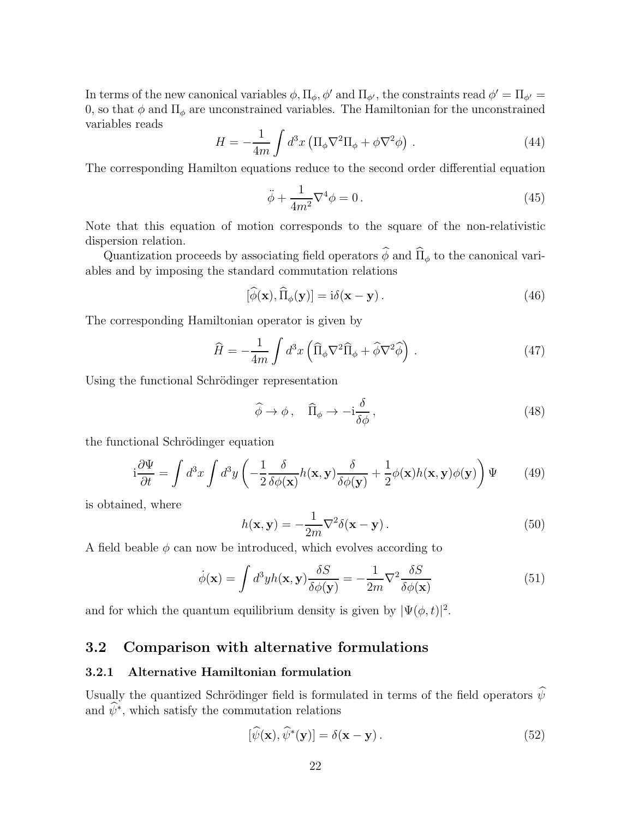In terms of the new canonical variables  $\phi$ ,  $\Pi_\phi$ ,  $\phi'$  and  $\Pi_{\phi'}$ , the constraints read  $\phi' = \Pi_{\phi'} =$ 0, so that  $\phi$  and  $\Pi_{\phi}$  are unconstrained variables. The Hamiltonian for the unconstrained variables reads

$$
H = -\frac{1}{4m} \int d^3x \left( \Pi_{\phi} \nabla^2 \Pi_{\phi} + \phi \nabla^2 \phi \right) . \tag{44}
$$

The corresponding Hamilton equations reduce to the second order differential equation

$$
\ddot{\phi} + \frac{1}{4m^2} \nabla^4 \phi = 0. \tag{45}
$$

Note that this equation of motion corresponds to the square of the non-relativistic dispersion relation.

Quantization proceeds by associating field operators  $\widehat{\phi}$  and  $\widehat{\Pi}_{\phi}$  to the canonical variables and by imposing the standard commutation relations

$$
[\widehat{\phi}(\mathbf{x}), \widehat{\Pi}_{\phi}(\mathbf{y})] = i\delta(\mathbf{x} - \mathbf{y}).
$$
\n(46)

The corresponding Hamiltonian operator is given by

$$
\widehat{H} = -\frac{1}{4m} \int d^3x \left( \widehat{\Pi}_{\phi} \nabla^2 \widehat{\Pi}_{\phi} + \widehat{\phi} \nabla^2 \widehat{\phi} \right) . \tag{47}
$$

Using the functional Schrödinger representation

$$
\widehat{\phi} \to \phi \,, \quad \widehat{\Pi}_{\phi} \to -i\frac{\delta}{\delta\phi} \,, \tag{48}
$$

the functional Schrödinger equation

$$
i\frac{\partial\Psi}{\partial t} = \int d^3x \int d^3y \left( -\frac{1}{2} \frac{\delta}{\delta\phi(\mathbf{x})} h(\mathbf{x}, \mathbf{y}) \frac{\delta}{\delta\phi(\mathbf{y})} + \frac{1}{2} \phi(\mathbf{x}) h(\mathbf{x}, \mathbf{y}) \phi(\mathbf{y}) \right) \Psi
$$
(49)

is obtained, where

$$
h(\mathbf{x}, \mathbf{y}) = -\frac{1}{2m} \nabla^2 \delta(\mathbf{x} - \mathbf{y}).
$$
\n(50)

A field beable  $\phi$  can now be introduced, which evolves according to

$$
\dot{\phi}(\mathbf{x}) = \int d^3y h(\mathbf{x}, \mathbf{y}) \frac{\delta S}{\delta \phi(\mathbf{y})} = -\frac{1}{2m} \nabla^2 \frac{\delta S}{\delta \phi(\mathbf{x})}
$$
(51)

and for which the quantum equilibrium density is given by  $|\Psi(\phi, t)|^2$ .

### 3.2 Comparison with alternative formulations

### 3.2.1 Alternative Hamiltonian formulation

Usually the quantized Schrödinger field is formulated in terms of the field operators  $\hat{\psi}$ and  $\psi^*$ , which satisfy the commutation relations

$$
[\widehat{\psi}(\mathbf{x}), \widehat{\psi}^*(\mathbf{y})] = \delta(\mathbf{x} - \mathbf{y}). \tag{52}
$$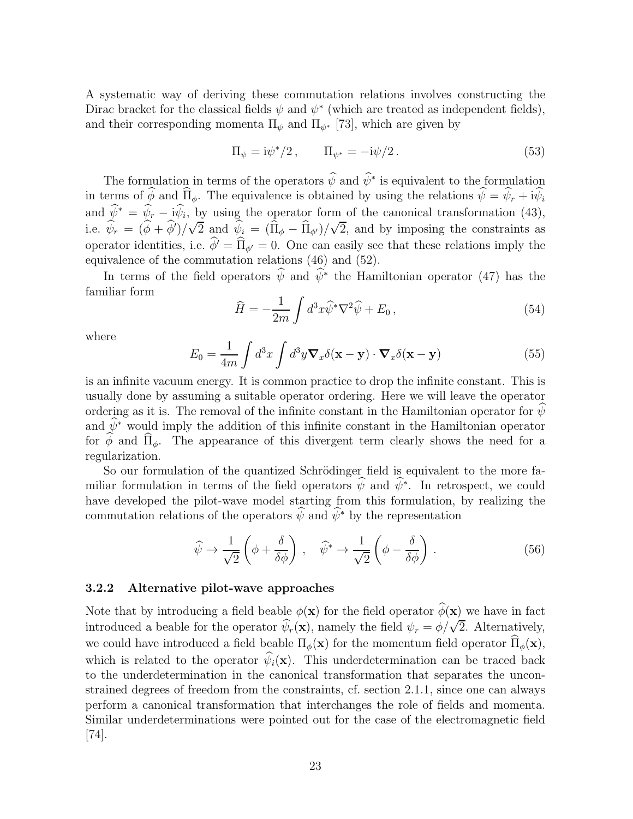A systematic way of deriving these commutation relations involves constructing the Dirac bracket for the classical fields  $\psi$  and  $\psi^*$  (which are treated as independent fields), and their corresponding momenta  $\Pi_{\psi}$  and  $\Pi_{\psi^*}$  [73], which are given by

$$
\Pi_{\psi} = i\psi^*/2 \,, \qquad \Pi_{\psi^*} = -i\psi/2 \,. \tag{53}
$$

The formulation in terms of the operators  $\psi$  and  $\psi^*$  is equivalent to the formulation in terms of  $\hat{\phi}$  and  $\hat{\Pi}_{\phi}$ . The equivalence is obtained by using the relations  $\hat{\psi} = \hat{\psi}_r + i\hat{\psi}_i$ and  $\psi^* = \psi_r - i\psi_i$ , by using the operator form of the canonical transformation (43), i.e.  $\hat{\psi}_r = (\hat{\phi} + \hat{\phi}')/\sqrt{2}$  and  $\hat{\psi}_i = (\hat{\Pi}_{\phi} - \hat{\Pi}_{\phi'})/\sqrt{2}$ , and by imposing the constraints as operator identities, i.e.  $\hat{\phi}' = \hat{\Pi}_{\phi'} = 0$ . One can easily see that these relations imply the equivalence of the commutation relations (46) and (52).

In terms of the field operators  $\psi$  and  $\psi^*$  the Hamiltonian operator (47) has the familiar form

$$
\widehat{H} = -\frac{1}{2m} \int d^3x \widehat{\psi}^* \nabla^2 \widehat{\psi} + E_0 , \qquad (54)
$$

where

$$
E_0 = \frac{1}{4m} \int d^3x \int d^3y \nabla_x \delta(\mathbf{x} - \mathbf{y}) \cdot \nabla_x \delta(\mathbf{x} - \mathbf{y}) \tag{55}
$$

is an infinite vacuum energy. It is common practice to drop the infinite constant. This is usually done by assuming a suitable operator ordering. Here we will leave the operator ordering as it is. The removal of the infinite constant in the Hamiltonian operator for  $\psi$ and  $\hat{\psi}^*$  would imply the addition of this infinite constant in the Hamiltonian operator for  $\hat{\phi}$  and  $\hat{\Pi}_{\phi}$ . The appearance of this divergent term clearly shows the need for a regularization.

So our formulation of the quantized Schrödinger field is equivalent to the more familiar formulation in terms of the field operators  $\psi$  and  $\psi^*$ . In retrospect, we could have developed the pilot-wave model starting from this formulation, by realizing the commutation relations of the operators  $\hat{\psi}$  and  $\hat{\psi}^*$  by the representation

$$
\widehat{\psi} \to \frac{1}{\sqrt{2}} \left( \phi + \frac{\delta}{\delta \phi} \right) , \quad \widehat{\psi}^* \to \frac{1}{\sqrt{2}} \left( \phi - \frac{\delta}{\delta \phi} \right) . \tag{56}
$$

#### 3.2.2 Alternative pilot-wave approaches

Note that by introducing a field beable  $\phi(\mathbf{x})$  for the field operator  $\widehat{\phi}(\mathbf{x})$  we have in fact introduced a beable for the operator  $\hat{\psi}_r(\mathbf{x})$ , namely the field  $\psi_r = \phi/\sqrt{2}$ . Alternatively, we could have introduced a field beable  $\Pi_{\phi}(\mathbf{x})$  for the momentum field operator  $\widehat{\Pi}_{\phi}(\mathbf{x}),$ which is related to the operator  $\widehat{\psi}_i(\mathbf{x})$ . This underdetermination can be traced back to the underdetermination in the canonical transformation that separates the unconstrained degrees of freedom from the constraints, cf. section 2.1.1, since one can always perform a canonical transformation that interchanges the role of fields and momenta. Similar underdeterminations were pointed out for the case of the electromagnetic field [74].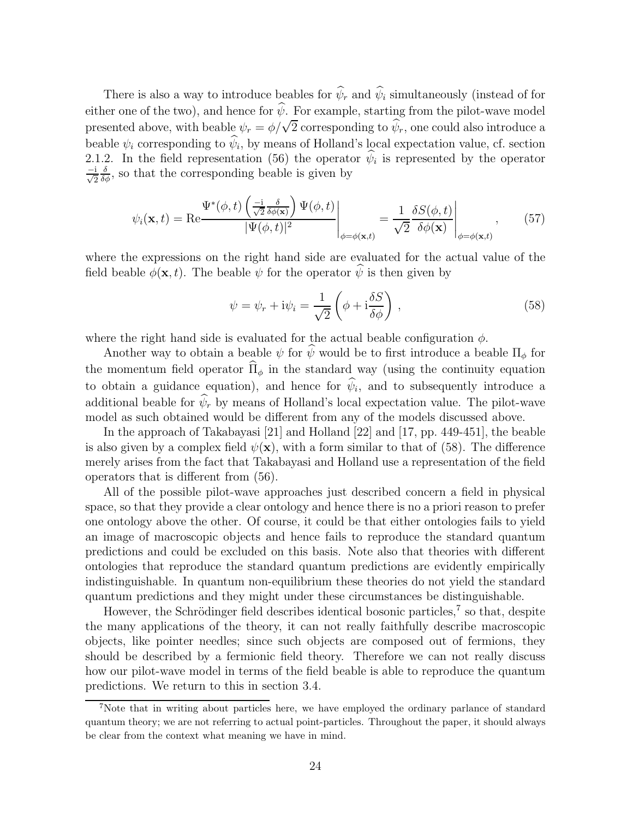There is also a way to introduce beables for  $\psi_r$  and  $\psi_i$  simultaneously (instead of for either one of the two), and hence for  $\hat{\psi}$ . For example, starting from the pilot-wave model presented above, with beable  $\psi_r = \phi / \sqrt{2}$  corresponding to  $\widetilde{\psi_r}$ , one could also introduce a beable  $\psi_i$  corresponding to  $\psi_i$ , by means of Holland's local expectation value, cf. section 2.1.2. In the field representation (56) the operator  $\psi_i$  is represented by the operator  $\frac{-i}{\sqrt{2}}$  $\frac{\delta}{\delta \phi}$ , so that the corresponding beable is given by

$$
\psi_i(\mathbf{x},t) = \text{Re}\frac{\Psi^*(\phi,t) \left(\frac{-i}{\sqrt{2}}\frac{\delta}{\delta\phi(\mathbf{x})}\right)\Psi(\phi,t)}{|\Psi(\phi,t)|^2}\bigg|_{\phi=\phi(\mathbf{x},t)} = \frac{1}{\sqrt{2}}\frac{\delta S(\phi,t)}{\delta\phi(\mathbf{x})}\bigg|_{\phi=\phi(\mathbf{x},t)},\qquad(57)
$$

where the expressions on the right hand side are evaluated for the actual value of the field beable  $\phi(\mathbf{x}, t)$ . The beable  $\psi$  for the operator  $\widehat{\psi}$  is then given by

$$
\psi = \psi_r + i\psi_i = \frac{1}{\sqrt{2}} \left( \phi + i \frac{\delta S}{\delta \phi} \right), \qquad (58)
$$

where the right hand side is evaluated for the actual beable configuration  $\phi$ .

Another way to obtain a beable  $\psi$  for  $\widehat{\psi}$  would be to first introduce a beable  $\Pi_{\phi}$  for the momentum field operator  $\widehat{\Pi}_{\phi}$  in the standard way (using the continuity equation to obtain a guidance equation), and hence for  $\psi_i$ , and to subsequently introduce a additional beable for  $\hat{\psi}_r$  by means of Holland's local expectation value. The pilot-wave model as such obtained would be different from any of the models discussed above.

In the approach of Takabayasi [21] and Holland [22] and [17, pp. 449-451], the beable is also given by a complex field  $\psi(\mathbf{x})$ , with a form similar to that of (58). The difference merely arises from the fact that Takabayasi and Holland use a representation of the field operators that is different from (56).

All of the possible pilot-wave approaches just described concern a field in physical space, so that they provide a clear ontology and hence there is no a priori reason to prefer one ontology above the other. Of course, it could be that either ontologies fails to yield an image of macroscopic objects and hence fails to reproduce the standard quantum predictions and could be excluded on this basis. Note also that theories with different ontologies that reproduce the standard quantum predictions are evidently empirically indistinguishable. In quantum non-equilibrium these theories do not yield the standard quantum predictions and they might under these circumstances be distinguishable.

However, the Schrödinger field describes identical bosonic particles,<sup>7</sup> so that, despite the many applications of the theory, it can not really faithfully describe macroscopic objects, like pointer needles; since such objects are composed out of fermions, they should be described by a fermionic field theory. Therefore we can not really discuss how our pilot-wave model in terms of the field beable is able to reproduce the quantum predictions. We return to this in section 3.4.

<sup>7</sup>Note that in writing about particles here, we have employed the ordinary parlance of standard quantum theory; we are not referring to actual point-particles. Throughout the paper, it should always be clear from the context what meaning we have in mind.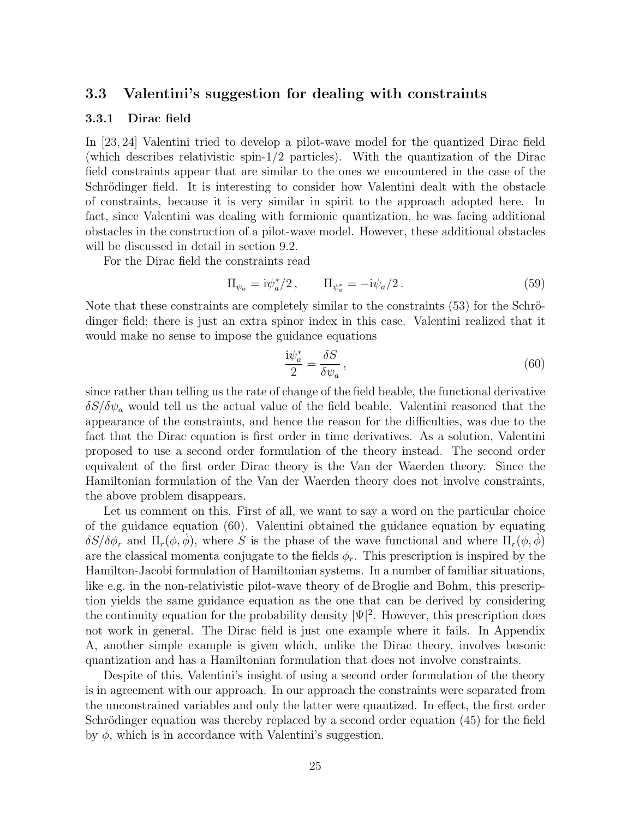### 3.3 Valentini's suggestion for dealing with constraints

### 3.3.1 Dirac field

In [23, 24] Valentini tried to develop a pilot-wave model for the quantized Dirac field (which describes relativistic spin-1/2 particles). With the quantization of the Dirac field constraints appear that are similar to the ones we encountered in the case of the Schrödinger field. It is interesting to consider how Valentini dealt with the obstacle of constraints, because it is very similar in spirit to the approach adopted here. In fact, since Valentini was dealing with fermionic quantization, he was facing additional obstacles in the construction of a pilot-wave model. However, these additional obstacles will be discussed in detail in section 9.2.

For the Dirac field the constraints read

$$
\Pi_{\psi_a} = i\psi_a^*/2 \,, \qquad \Pi_{\psi_a^*} = -i\psi_a/2 \,. \tag{59}
$$

Note that these constraints are completely similar to the constraints  $(53)$  for the Schrödinger field; there is just an extra spinor index in this case. Valentini realized that it would make no sense to impose the guidance equations

$$
\frac{\mathrm{i}\psi_a^*}{2} = \frac{\delta S}{\delta \psi_a},\tag{60}
$$

since rather than telling us the rate of change of the field beable, the functional derivative  $\delta S/\delta \psi_a$  would tell us the actual value of the field beable. Valentini reasoned that the appearance of the constraints, and hence the reason for the difficulties, was due to the fact that the Dirac equation is first order in time derivatives. As a solution, Valentini proposed to use a second order formulation of the theory instead. The second order equivalent of the first order Dirac theory is the Van der Waerden theory. Since the Hamiltonian formulation of the Van der Waerden theory does not involve constraints, the above problem disappears.

Let us comment on this. First of all, we want to say a word on the particular choice of the guidance equation (60). Valentini obtained the guidance equation by equating  $\delta S/\delta\phi_r$  and  $\Pi_r(\phi,\phi)$ , where S is the phase of the wave functional and where  $\Pi_r(\phi,\phi)$ are the classical momenta conjugate to the fields  $\phi_r$ . This prescription is inspired by the Hamilton-Jacobi formulation of Hamiltonian systems. In a number of familiar situations, like e.g. in the non-relativistic pilot-wave theory of de Broglie and Bohm, this prescription yields the same guidance equation as the one that can be derived by considering the continuity equation for the probability density  $|\Psi|^2$ . However, this prescription does not work in general. The Dirac field is just one example where it fails. In Appendix A, another simple example is given which, unlike the Dirac theory, involves bosonic quantization and has a Hamiltonian formulation that does not involve constraints.

Despite of this, Valentini's insight of using a second order formulation of the theory is in agreement with our approach. In our approach the constraints were separated from the unconstrained variables and only the latter were quantized. In effect, the first order Schrödinger equation was thereby replaced by a second order equation (45) for the field by  $\phi$ , which is in accordance with Valentini's suggestion.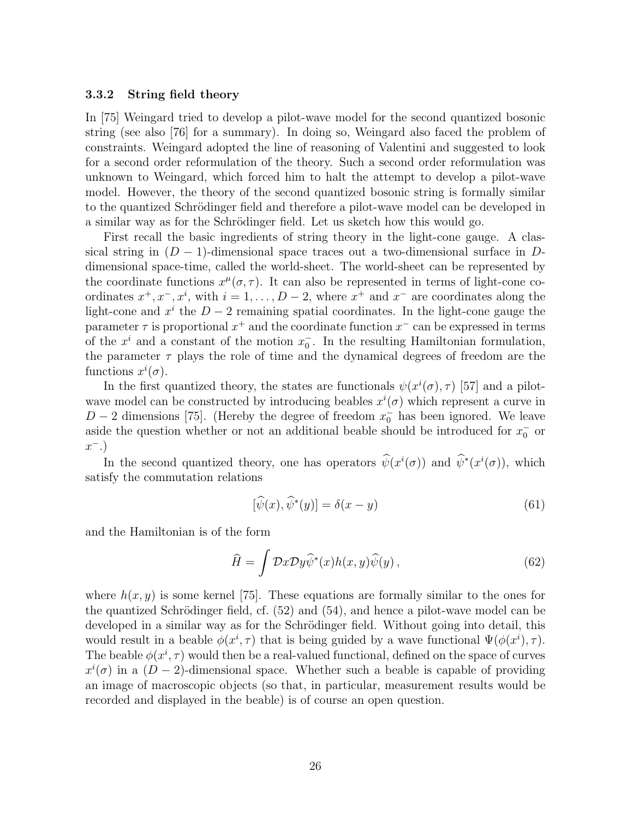#### 3.3.2 String field theory

In [75] Weingard tried to develop a pilot-wave model for the second quantized bosonic string (see also [76] for a summary). In doing so, Weingard also faced the problem of constraints. Weingard adopted the line of reasoning of Valentini and suggested to look for a second order reformulation of the theory. Such a second order reformulation was unknown to Weingard, which forced him to halt the attempt to develop a pilot-wave model. However, the theory of the second quantized bosonic string is formally similar to the quantized Schrödinger field and therefore a pilot-wave model can be developed in a similar way as for the Schrödinger field. Let us sketch how this would go.

First recall the basic ingredients of string theory in the light-cone gauge. A classical string in  $(D-1)$ -dimensional space traces out a two-dimensional surface in Ddimensional space-time, called the world-sheet. The world-sheet can be represented by the coordinate functions  $x^{\mu}(\sigma, \tau)$ . It can also be represented in terms of light-cone coordinates  $x^+, x^-, x^i$ , with  $i = 1, ..., D - 2$ , where  $x^+$  and  $x^-$  are coordinates along the light-cone and  $x^i$  the  $D-2$  remaining spatial coordinates. In the light-cone gauge the parameter  $\tau$  is proportional  $x^+$  and the coordinate function  $x^-$  can be expressed in terms of the  $x^i$  and a constant of the motion  $x_0^-$ . In the resulting Hamiltonian formulation, the parameter  $\tau$  plays the role of time and the dynamical degrees of freedom are the functions  $x^i(\sigma)$ .

In the first quantized theory, the states are functionals  $\psi(x^i(\sigma), \tau)$  [57] and a pilotwave model can be constructed by introducing beables  $x^{i}(\sigma)$  which represent a curve in  $D-2$  dimensions [75]. (Hereby the degree of freedom  $x_0^-$  has been ignored. We leave aside the question whether or not an additional beable should be introduced for  $x_0^-$  or  $x^{-}$ .)

In the second quantized theory, one has operators  $\psi(x^i(\sigma))$  and  $\psi^*(x^i(\sigma))$ , which satisfy the commutation relations

$$
[\widehat{\psi}(x), \widehat{\psi}^*(y)] = \delta(x - y) \tag{61}
$$

and the Hamiltonian is of the form

$$
\widehat{H} = \int \mathcal{D}x \mathcal{D}y \widehat{\psi}^*(x) h(x, y) \widehat{\psi}(y) , \qquad (62)
$$

where  $h(x, y)$  is some kernel [75]. These equations are formally similar to the ones for the quantized Schrödinger field, cf.  $(52)$  and  $(54)$ , and hence a pilot-wave model can be developed in a similar way as for the Schrödinger field. Without going into detail, this would result in a beable  $\phi(x^i, \tau)$  that is being guided by a wave functional  $\Psi(\phi(x^i), \tau)$ . The beable  $\phi(x^i, \tau)$  would then be a real-valued functional, defined on the space of curves  $x^{i}(\sigma)$  in a  $(D-2)$ -dimensional space. Whether such a beable is capable of providing an image of macroscopic objects (so that, in particular, measurement results would be recorded and displayed in the beable) is of course an open question.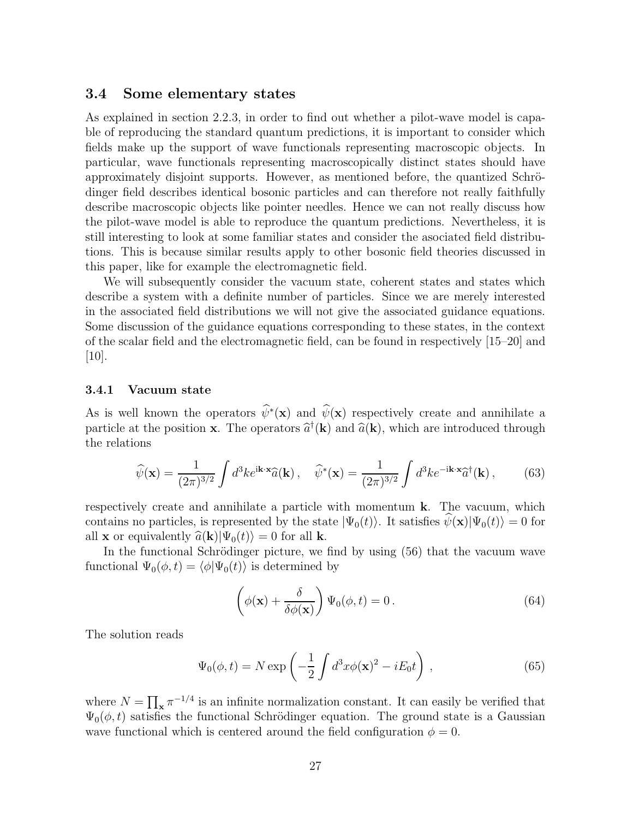#### 3.4 Some elementary states

As explained in section 2.2.3, in order to find out whether a pilot-wave model is capable of reproducing the standard quantum predictions, it is important to consider which fields make up the support of wave functionals representing macroscopic objects. In particular, wave functionals representing macroscopically distinct states should have approximately disjoint supports. However, as mentioned before, the quantized Schrödinger field describes identical bosonic particles and can therefore not really faithfully describe macroscopic objects like pointer needles. Hence we can not really discuss how the pilot-wave model is able to reproduce the quantum predictions. Nevertheless, it is still interesting to look at some familiar states and consider the asociated field distributions. This is because similar results apply to other bosonic field theories discussed in this paper, like for example the electromagnetic field.

We will subsequently consider the vacuum state, coherent states and states which describe a system with a definite number of particles. Since we are merely interested in the associated field distributions we will not give the associated guidance equations. Some discussion of the guidance equations corresponding to these states, in the context of the scalar field and the electromagnetic field, can be found in respectively [15–20] and [10].

#### 3.4.1 Vacuum state

As is well known the operators  $\psi^*(\mathbf{x})$  and  $\psi(\mathbf{x})$  respectively create and annihilate a particle at the position **x**. The operators  $\hat{a}^{\dagger}(\mathbf{k})$  and  $\hat{a}(\mathbf{k})$ , which are introduced through the relations

$$
\widehat{\psi}(\mathbf{x}) = \frac{1}{(2\pi)^{3/2}} \int d^3k e^{i\mathbf{k}\cdot\mathbf{x}} \widehat{a}(\mathbf{k}), \quad \widehat{\psi}^*(\mathbf{x}) = \frac{1}{(2\pi)^{3/2}} \int d^3k e^{-i\mathbf{k}\cdot\mathbf{x}} \widehat{a}^\dagger(\mathbf{k}), \tag{63}
$$

respectively create and annihilate a particle with momentum  $\bf{k}$ . The vacuum, which contains no particles, is represented by the state  $|\Psi_0(t)\rangle$ . It satisfies  $\psi(\mathbf{x})|\Psi_0(t)\rangle = 0$  for all **x** or equivalently  $\hat{a}(\mathbf{k})|\Psi_0(t)\rangle = 0$  for all **k**.

In the functional Schrödinger picture, we find by using  $(56)$  that the vacuum wave functional  $\Psi_0(\phi, t) = \langle \phi | \Psi_0(t) \rangle$  is determined by

$$
\left(\phi(\mathbf{x}) + \frac{\delta}{\delta\phi(\mathbf{x})}\right)\Psi_0(\phi, t) = 0.
$$
\n(64)

The solution reads

$$
\Psi_0(\phi, t) = N \exp\left(-\frac{1}{2} \int d^3x \phi(\mathbf{x})^2 - iE_0 t\right),\tag{65}
$$

where  $N = \prod_{\mathbf{x}} \pi^{-1/4}$  is an infinite normalization constant. It can easily be verified that  $\Psi_0(\phi, t)$  satisfies the functional Schrödinger equation. The ground state is a Gaussian wave functional which is centered around the field configuration  $\phi = 0$ .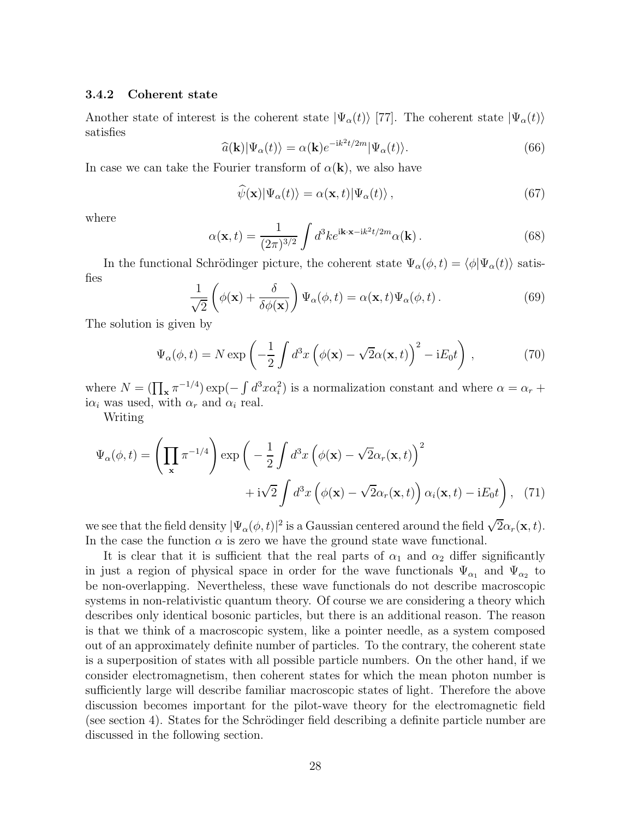#### 3.4.2 Coherent state

Another state of interest is the coherent state  $|\Psi_{\alpha}(t)\rangle$  [77]. The coherent state  $|\Psi_{\alpha}(t)\rangle$ satisfies

$$
\widehat{a}(\mathbf{k})|\Psi_{\alpha}(t)\rangle = \alpha(\mathbf{k})e^{-\mathrm{i}k^{2}t/2m}|\Psi_{\alpha}(t)\rangle.
$$
\n(66)

In case we can take the Fourier transform of  $\alpha(\mathbf{k})$ , we also have

$$
\widehat{\psi}(\mathbf{x})|\Psi_{\alpha}(t)\rangle = \alpha(\mathbf{x},t)|\Psi_{\alpha}(t)\rangle, \qquad (67)
$$

where

$$
\alpha(\mathbf{x},t) = \frac{1}{(2\pi)^{3/2}} \int d^3k e^{i\mathbf{k}\cdot\mathbf{x} - i k^2 t/2m} \alpha(\mathbf{k}).
$$
\n(68)

In the functional Schrödinger picture, the coherent state  $\Psi_{\alpha}(\phi, t) = \langle \phi | \Psi_{\alpha}(t) \rangle$  satisfies

$$
\frac{1}{\sqrt{2}}\left(\phi(\mathbf{x}) + \frac{\delta}{\delta\phi(\mathbf{x})}\right)\Psi_{\alpha}(\phi, t) = \alpha(\mathbf{x}, t)\Psi_{\alpha}(\phi, t).
$$
\n(69)

The solution is given by

$$
\Psi_{\alpha}(\phi, t) = N \exp\left(-\frac{1}{2} \int d^3x \left(\phi(\mathbf{x}) - \sqrt{2}\alpha(\mathbf{x}, t)\right)^2 - iE_0 t\right),\tag{70}
$$

where  $N = (\prod_{x} \pi^{-1/4}) \exp(-\int d^3x \alpha_i^2)$  is a normalization constant and where  $\alpha = \alpha_r +$ i $\alpha_i$  was used, with  $\alpha_r$  and  $\alpha_i$  real.

Writing

$$
\Psi_{\alpha}(\phi, t) = \left(\prod_{\mathbf{x}} \pi^{-1/4}\right) \exp\left(-\frac{1}{2} \int d^3x \left(\phi(\mathbf{x}) - \sqrt{2}\alpha_r(\mathbf{x}, t)\right)^2 + i\sqrt{2} \int d^3x \left(\phi(\mathbf{x}) - \sqrt{2}\alpha_r(\mathbf{x}, t)\right) \alpha_i(\mathbf{x}, t) - iE_0 t\right), \quad (71)
$$

we see that the field density  $|\Psi_{\alpha}(\phi, t)|^2$  is a Gaussian centered around the field  $\sqrt{2}\alpha_r(\mathbf{x}, t)$ . In the case the function  $\alpha$  is zero we have the ground state wave functional.

It is clear that it is sufficient that the real parts of  $\alpha_1$  and  $\alpha_2$  differ significantly in just a region of physical space in order for the wave functionals  $\Psi_{\alpha_1}$  and  $\Psi_{\alpha_2}$  to be non-overlapping. Nevertheless, these wave functionals do not describe macroscopic systems in non-relativistic quantum theory. Of course we are considering a theory which describes only identical bosonic particles, but there is an additional reason. The reason is that we think of a macroscopic system, like a pointer needle, as a system composed out of an approximately definite number of particles. To the contrary, the coherent state is a superposition of states with all possible particle numbers. On the other hand, if we consider electromagnetism, then coherent states for which the mean photon number is sufficiently large will describe familiar macroscopic states of light. Therefore the above discussion becomes important for the pilot-wave theory for the electromagnetic field (see section 4). States for the Schrödinger field describing a definite particle number are discussed in the following section.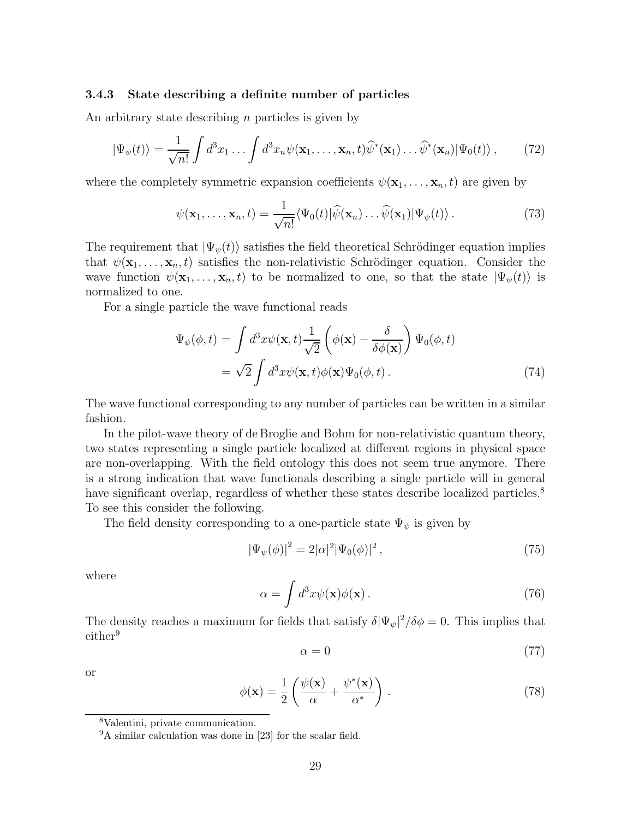#### 3.4.3 State describing a definite number of particles

An arbitrary state describing *n* particles is given by

$$
|\Psi_{\psi}(t)\rangle = \frac{1}{\sqrt{n!}} \int d^3x_1 \dots \int d^3x_n \psi(\mathbf{x}_1, \dots, \mathbf{x}_n, t) \widehat{\psi}^*(\mathbf{x}_1) \dots \widehat{\psi}^*(\mathbf{x}_n) |\Psi_0(t)\rangle, \tag{72}
$$

where the completely symmetric expansion coefficients  $\psi(\mathbf{x}_1, \dots, \mathbf{x}_n, t)$  are given by

$$
\psi(\mathbf{x}_1,\ldots,\mathbf{x}_n,t)=\frac{1}{\sqrt{n!}}\langle\Psi_0(t)|\widehat{\psi}(\mathbf{x}_n)\ldots\widehat{\psi}(\mathbf{x}_1)|\Psi_{\psi}(t)\rangle.
$$
 (73)

The requirement that  $|\Psi_{\psi}(t)\rangle$  satisfies the field theoretical Schrödinger equation implies that  $\psi(\mathbf{x}_1,\ldots,\mathbf{x}_n,t)$  satisfies the non-relativistic Schrödinger equation. Consider the wave function  $\psi(\mathbf{x}_1,\ldots,\mathbf{x}_n,t)$  to be normalized to one, so that the state  $|\Psi_{\psi}(t)\rangle$  is normalized to one.

For a single particle the wave functional reads

$$
\Psi_{\psi}(\phi, t) = \int d^{3}x \psi(\mathbf{x}, t) \frac{1}{\sqrt{2}} \left( \phi(\mathbf{x}) - \frac{\delta}{\delta \phi(\mathbf{x})} \right) \Psi_{0}(\phi, t)
$$

$$
= \sqrt{2} \int d^{3}x \psi(\mathbf{x}, t) \phi(\mathbf{x}) \Psi_{0}(\phi, t).
$$
(74)

The wave functional corresponding to any number of particles can be written in a similar fashion.

In the pilot-wave theory of de Broglie and Bohm for non-relativistic quantum theory, two states representing a single particle localized at different regions in physical space are non-overlapping. With the field ontology this does not seem true anymore. There is a strong indication that wave functionals describing a single particle will in general have significant overlap, regardless of whether these states describe localized particles.<sup>8</sup> To see this consider the following.

The field density corresponding to a one-particle state  $\Psi_{\psi}$  is given by

$$
|\Psi_{\psi}(\phi)|^2 = 2|\alpha|^2 |\Psi_0(\phi)|^2 , \qquad (75)
$$

where

$$
\alpha = \int d^3x \psi(\mathbf{x}) \phi(\mathbf{x}). \tag{76}
$$

The density reaches a maximum for fields that satisfy  $\delta |\Psi_{\psi}|^2 / \delta \phi = 0$ . This implies that either<sup>9</sup>

$$
\alpha = 0 \tag{77}
$$

or

$$
\phi(\mathbf{x}) = \frac{1}{2} \left( \frac{\psi(\mathbf{x})}{\alpha} + \frac{\psi^*(\mathbf{x})}{\alpha^*} \right).
$$
\n(78)

<sup>8</sup>Valentini, private communication.

<sup>&</sup>lt;sup>9</sup>A similar calculation was done in [23] for the scalar field.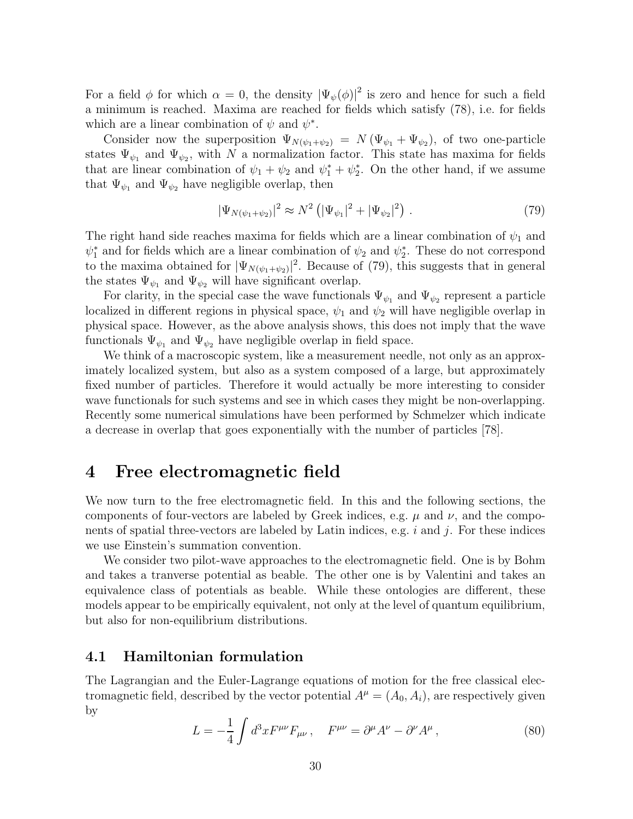For a field  $\phi$  for which  $\alpha = 0$ , the density  $|\Psi_{\psi}(\phi)|^2$  is zero and hence for such a field a minimum is reached. Maxima are reached for fields which satisfy (78), i.e. for fields which are a linear combination of  $\psi$  and  $\psi^*$ .

Consider now the superposition  $\Psi_{N(\psi_1+\psi_2)} = N(\Psi_{\psi_1} + \Psi_{\psi_2})$ , of two one-particle states  $\Psi_{\psi_1}$  and  $\Psi_{\psi_2}$ , with N a normalization factor. This state has maxima for fields that are linear combination of  $\psi_1 + \psi_2$  and  $\psi_1^* + \psi_2^*$ . On the other hand, if we assume that  $\Psi_{\psi_1}$  and  $\Psi_{\psi_2}$  have negligible overlap, then

$$
|\Psi_{N(\psi_1+\psi_2)}|^2 \approx N^2 \left( |\Psi_{\psi_1}|^2 + |\Psi_{\psi_2}|^2 \right) \,. \tag{79}
$$

The right hand side reaches maxima for fields which are a linear combination of  $\psi_1$  and  $\psi_1^*$  and for fields which are a linear combination of  $\psi_2$  and  $\psi_2^*$ . These do not correspond to the maxima obtained for  $|\Psi_{N(\psi_1+\psi_2)}|^2$ . Because of (79), this suggests that in general the states  $\Psi_{\psi_1}$  and  $\Psi_{\psi_2}$  will have significant overlap.

For clarity, in the special case the wave functionals  $\Psi_{\psi_1}$  and  $\Psi_{\psi_2}$  represent a particle localized in different regions in physical space,  $\psi_1$  and  $\psi_2$  will have negligible overlap in physical space. However, as the above analysis shows, this does not imply that the wave functionals  $\Psi_{\psi_1}$  and  $\Psi_{\psi_2}$  have negligible overlap in field space.

We think of a macroscopic system, like a measurement needle, not only as an approximately localized system, but also as a system composed of a large, but approximately fixed number of particles. Therefore it would actually be more interesting to consider wave functionals for such systems and see in which cases they might be non-overlapping. Recently some numerical simulations have been performed by Schmelzer which indicate a decrease in overlap that goes exponentially with the number of particles [78].

### 4 Free electromagnetic field

We now turn to the free electromagnetic field. In this and the following sections, the components of four-vectors are labeled by Greek indices, e.g.  $\mu$  and  $\nu$ , and the components of spatial three-vectors are labeled by Latin indices, e.g.  $i$  and  $j$ . For these indices we use Einstein's summation convention.

We consider two pilot-wave approaches to the electromagnetic field. One is by Bohm and takes a tranverse potential as beable. The other one is by Valentini and takes an equivalence class of potentials as beable. While these ontologies are different, these models appear to be empirically equivalent, not only at the level of quantum equilibrium, but also for non-equilibrium distributions.

### 4.1 Hamiltonian formulation

The Lagrangian and the Euler-Lagrange equations of motion for the free classical electromagnetic field, described by the vector potential  $A^{\mu} = (A_0, A_i)$ , are respectively given by

$$
L = -\frac{1}{4} \int d^3x F^{\mu\nu} F_{\mu\nu} \,, \quad F^{\mu\nu} = \partial^{\mu} A^{\nu} - \partial^{\nu} A^{\mu} \,, \tag{80}
$$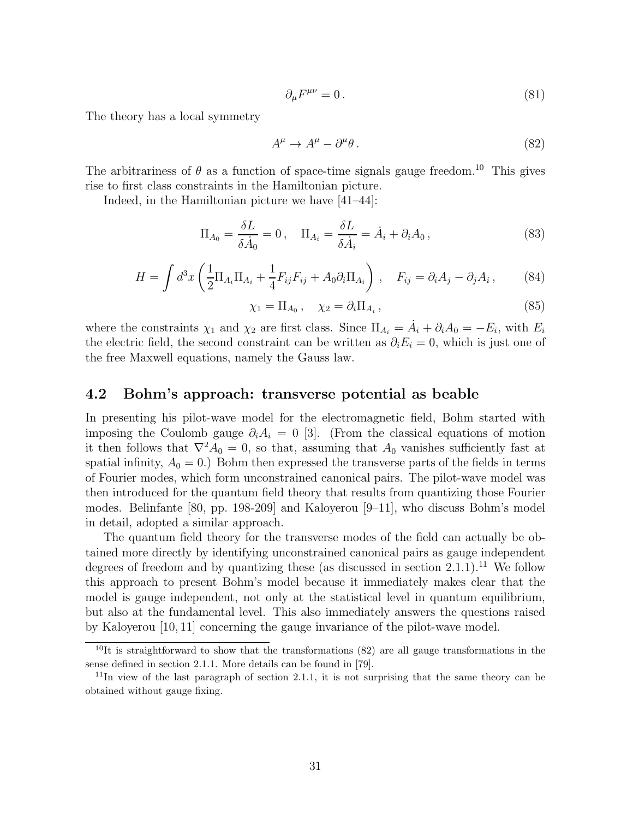$$
\partial_{\mu}F^{\mu\nu} = 0. \tag{81}
$$

The theory has a local symmetry

$$
A^{\mu} \to A^{\mu} - \partial^{\mu} \theta. \tag{82}
$$

The arbitrariness of  $\theta$  as a function of space-time signals gauge freedom.<sup>10</sup> This gives rise to first class constraints in the Hamiltonian picture.

Indeed, in the Hamiltonian picture we have [41–44]:

$$
\Pi_{A_0} = \frac{\delta L}{\delta \dot{A}_0} = 0 \,, \quad \Pi_{A_i} = \frac{\delta L}{\delta \dot{A}_i} = \dot{A}_i + \partial_i A_0 \,, \tag{83}
$$

$$
H = \int d^3x \left( \frac{1}{2} \Pi_{A_i} \Pi_{A_i} + \frac{1}{4} F_{ij} F_{ij} + A_0 \partial_i \Pi_{A_i} \right) , \quad F_{ij} = \partial_i A_j - \partial_j A_i , \tag{84}
$$

$$
\chi_1 = \Pi_{A_0}, \quad \chi_2 = \partial_i \Pi_{A_i}, \tag{85}
$$

where the constraints  $\chi_1$  and  $\chi_2$  are first class. Since  $\Pi_{A_i} = \dot{A}_i + \partial_i A_0 = -E_i$ , with  $E_i$ the electric field, the second constraint can be written as  $\partial_i E_i = 0$ , which is just one of the free Maxwell equations, namely the Gauss law.

### 4.2 Bohm's approach: transverse potential as beable

In presenting his pilot-wave model for the electromagnetic field, Bohm started with imposing the Coulomb gauge  $\partial_i A_i = 0$  [3]. (From the classical equations of motion it then follows that  $\nabla^2 \tilde{A}_0 = 0$ , so that, assuming that  $A_0$  vanishes sufficiently fast at spatial infinity,  $A_0 = 0$ .) Bohm then expressed the transverse parts of the fields in terms of Fourier modes, which form unconstrained canonical pairs. The pilot-wave model was then introduced for the quantum field theory that results from quantizing those Fourier modes. Belinfante [80, pp. 198-209] and Kaloyerou [9–11], who discuss Bohm's model in detail, adopted a similar approach.

The quantum field theory for the transverse modes of the field can actually be obtained more directly by identifying unconstrained canonical pairs as gauge independent degrees of freedom and by quantizing these (as discussed in section  $2.1.1$ ).<sup>11</sup> We follow this approach to present Bohm's model because it immediately makes clear that the model is gauge independent, not only at the statistical level in quantum equilibrium, but also at the fundamental level. This also immediately answers the questions raised by Kaloyerou [10, 11] concerning the gauge invariance of the pilot-wave model.

<sup>&</sup>lt;sup>10</sup>It is straightforward to show that the transformations  $(82)$  are all gauge transformations in the sense defined in section 2.1.1. More details can be found in [79].

 $11$ In view of the last paragraph of section 2.1.1, it is not surprising that the same theory can be obtained without gauge fixing.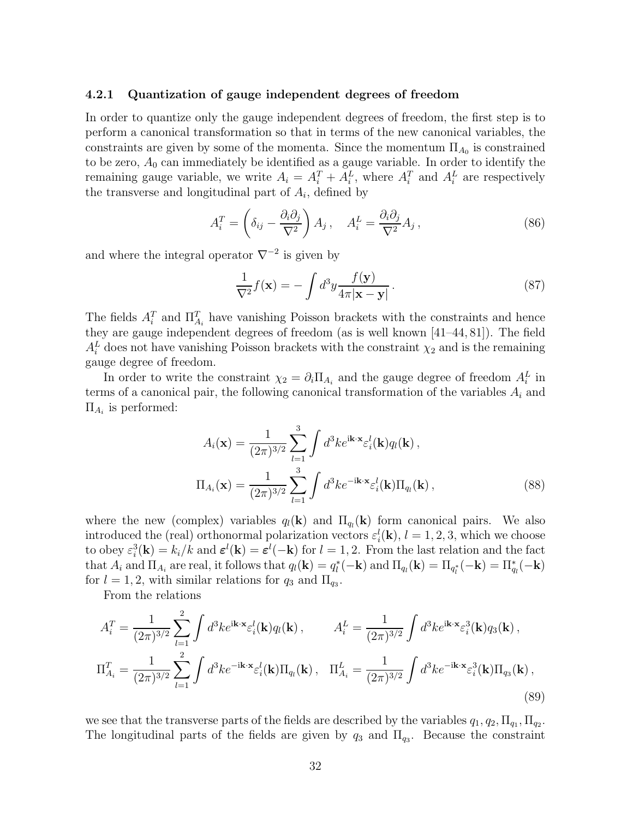#### 4.2.1 Quantization of gauge independent degrees of freedom

In order to quantize only the gauge independent degrees of freedom, the first step is to perform a canonical transformation so that in terms of the new canonical variables, the constraints are given by some of the momenta. Since the momentum  $\Pi_{A_0}$  is constrained to be zero,  $A_0$  can immediately be identified as a gauge variable. In order to identify the remaining gauge variable, we write  $A_i = A_i^T + A_i^L$ , where  $A_i^T$  and  $A_i^L$  are respectively the transverse and longitudinal part of  $A_i$ , defined by

$$
A_i^T = \left(\delta_{ij} - \frac{\partial_i \partial_j}{\nabla^2}\right) A_j, \quad A_i^L = \frac{\partial_i \partial_j}{\nabla^2} A_j,
$$
\n(86)

and where the integral operator  $\nabla^{-2}$  is given by

$$
\frac{1}{\nabla^2} f(\mathbf{x}) = -\int d^3 y \frac{f(\mathbf{y})}{4\pi |\mathbf{x} - \mathbf{y}|}.
$$
 (87)

The fields  $A_i^T$  and  $\Pi_{A_i}^T$  have vanishing Poisson brackets with the constraints and hence they are gauge independent degrees of freedom (as is well known [41–44, 81]). The field  $A_i^L$  does not have vanishing Poisson brackets with the constraint  $\chi_2$  and is the remaining gauge degree of freedom.

In order to write the constraint  $\chi_2 = \partial_i \Pi_{A_i}$  and the gauge degree of freedom  $A_i^L$  in terms of a canonical pair, the following canonical transformation of the variables  $A_i$  and  $\Pi_{A_i}$  is performed:

$$
A_i(\mathbf{x}) = \frac{1}{(2\pi)^{3/2}} \sum_{l=1}^3 \int d^3k e^{i\mathbf{k}\cdot\mathbf{x}} \varepsilon_i^l(\mathbf{k}) q_l(\mathbf{k}),
$$
  

$$
\Pi_{A_i}(\mathbf{x}) = \frac{1}{(2\pi)^{3/2}} \sum_{l=1}^3 \int d^3k e^{-i\mathbf{k}\cdot\mathbf{x}} \varepsilon_i^l(\mathbf{k}) \Pi_{q_l}(\mathbf{k}),
$$
 (88)

where the new (complex) variables  $q_l(\mathbf{k})$  and  $\Pi_{q_l}(\mathbf{k})$  form canonical pairs. We also introduced the (real) orthonormal polarization vectors  $\varepsilon_i^l(\mathbf{k})$ ,  $l = 1, 2, 3$ , which we choose to obey  $\varepsilon_i^3(\mathbf{k}) = k_i/k$  and  $\varepsilon^l(\mathbf{k}) = \varepsilon^l(-\mathbf{k})$  for  $l = 1, 2$ . From the last relation and the fact that  $A_i$  and  $\Pi_{A_i}$  are real, it follows that  $q_l(\mathbf{k}) = q_l^*(-\mathbf{k})$  and  $\Pi_{q_l}(\mathbf{k}) = \Pi_{q_l^*}(-\mathbf{k}) = \Pi_{q_l^*}^*(-\mathbf{k})$ for  $l = 1, 2$ , with similar relations for  $q_3$  and  $\Pi_{q_3}$ .

From the relations

$$
A_i^T = \frac{1}{(2\pi)^{3/2}} \sum_{l=1}^2 \int d^3k e^{i\mathbf{k}\cdot\mathbf{x}} \varepsilon_i^l(\mathbf{k}) q_l(\mathbf{k}), \qquad A_i^L = \frac{1}{(2\pi)^{3/2}} \int d^3k e^{i\mathbf{k}\cdot\mathbf{x}} \varepsilon_i^3(\mathbf{k}) q_3(\mathbf{k}),
$$
  

$$
\Pi_{A_i}^T = \frac{1}{(2\pi)^{3/2}} \sum_{l=1}^2 \int d^3k e^{-i\mathbf{k}\cdot\mathbf{x}} \varepsilon_i^l(\mathbf{k}) \Pi_{q_l}(\mathbf{k}), \quad \Pi_{A_i}^L = \frac{1}{(2\pi)^{3/2}} \int d^3k e^{-i\mathbf{k}\cdot\mathbf{x}} \varepsilon_i^3(\mathbf{k}) \Pi_{q_3}(\mathbf{k}),
$$
(89)

we see that the transverse parts of the fields are described by the variables  $q_1, q_2, \Pi_{q_1}, \Pi_{q_2}$ . The longitudinal parts of the fields are given by  $q_3$  and  $\Pi_{q_3}$ . Because the constraint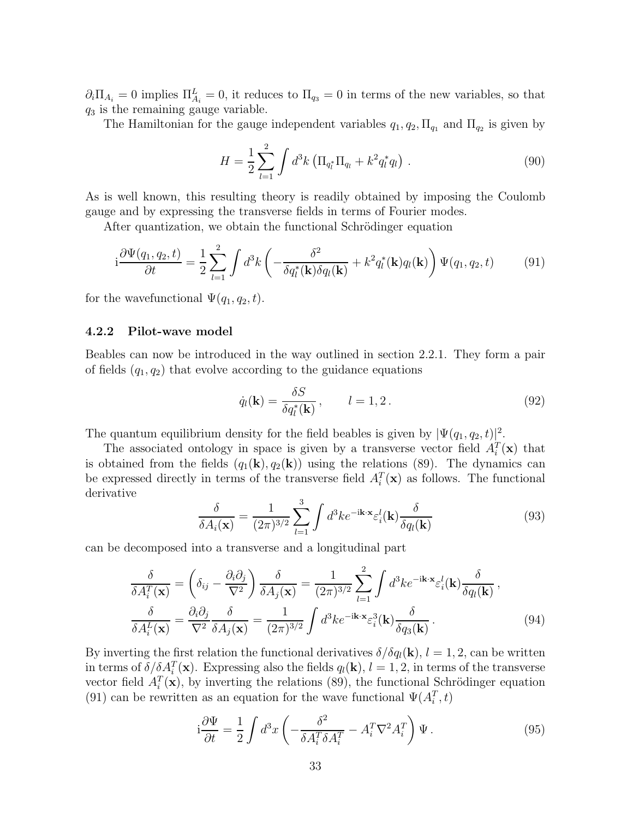$\partial_i \Pi_{A_i} = 0$  implies  $\Pi_{A_i}^L = 0$ , it reduces to  $\Pi_{q_3} = 0$  in terms of the new variables, so that  $q_3$  is the remaining gauge variable.

The Hamiltonian for the gauge independent variables  $q_1, q_2, \Pi_{q_1}$  and  $\Pi_{q_2}$  is given by

$$
H = \frac{1}{2} \sum_{l=1}^{2} \int d^{3}k \left( \Pi_{q_{l}^{*}} \Pi_{q_{l}} + k^{2} q_{l}^{*} q_{l} \right) . \tag{90}
$$

As is well known, this resulting theory is readily obtained by imposing the Coulomb gauge and by expressing the transverse fields in terms of Fourier modes.

After quantization, we obtain the functional Schrödinger equation

$$
i\frac{\partial\Psi(q_1, q_2, t)}{\partial t} = \frac{1}{2} \sum_{l=1}^{2} \int d^3k \left( -\frac{\delta^2}{\delta q_l^*(\mathbf{k}) \delta q_l(\mathbf{k})} + k^2 q_l^*(\mathbf{k}) q_l(\mathbf{k}) \right) \Psi(q_1, q_2, t)
$$
(91)

for the wavefunctional  $\Psi(q_1, q_2, t)$ .

#### 4.2.2 Pilot-wave model

Beables can now be introduced in the way outlined in section 2.2.1. They form a pair of fields  $(q_1, q_2)$  that evolve according to the guidance equations

$$
\dot{q}_l(\mathbf{k}) = \frac{\delta S}{\delta q_l^*(\mathbf{k})}, \qquad l = 1, 2.
$$
\n(92)

The quantum equilibrium density for the field beables is given by  $|\Psi(q_1, q_2, t)|^2$ .

The associated ontology in space is given by a transverse vector field  $A_i^T(\mathbf{x})$  that is obtained from the fields  $(q_1(\mathbf{k}), q_2(\mathbf{k}))$  using the relations (89). The dynamics can be expressed directly in terms of the transverse field  $A_i^T(\mathbf{x})$  as follows. The functional derivative

$$
\frac{\delta}{\delta A_i(\mathbf{x})} = \frac{1}{(2\pi)^{3/2}} \sum_{l=1}^3 \int d^3k e^{-i\mathbf{k}\cdot\mathbf{x}} \varepsilon_i^l(\mathbf{k}) \frac{\delta}{\delta q_l(\mathbf{k})}
$$
(93)

can be decomposed into a transverse and a longitudinal part

$$
\frac{\delta}{\delta A_i^T(\mathbf{x})} = \left(\delta_{ij} - \frac{\partial_i \partial_j}{\nabla^2}\right) \frac{\delta}{\delta A_j(\mathbf{x})} = \frac{1}{(2\pi)^{3/2}} \sum_{l=1}^2 \int d^3k e^{-i\mathbf{k}\cdot\mathbf{x}} \varepsilon_i^l(\mathbf{k}) \frac{\delta}{\delta q_l(\mathbf{k})},
$$
\n
$$
\frac{\delta}{\delta A_i^L(\mathbf{x})} = \frac{\partial_i \partial_j}{\nabla^2} \frac{\delta}{\delta A_j(\mathbf{x})} = \frac{1}{(2\pi)^{3/2}} \int d^3k e^{-i\mathbf{k}\cdot\mathbf{x}} \varepsilon_i^3(\mathbf{k}) \frac{\delta}{\delta q_3(\mathbf{k})}.
$$
\n(94)

By inverting the first relation the functional derivatives  $\delta/\delta q_l(\mathbf{k}), l = 1, 2$ , can be written in terms of  $\delta/\delta A_i^T(\mathbf{x})$ . Expressing also the fields  $q_l(\mathbf{k}), l = 1, 2$ , in terms of the transverse vector field  $A_i^T(\mathbf{x})$ , by inverting the relations (89), the functional Schrödinger equation (91) can be rewritten as an equation for the wave functional  $\Psi(A_i^T, t)$ 

$$
i\frac{\partial \Psi}{\partial t} = \frac{1}{2} \int d^3x \left( -\frac{\delta^2}{\delta A_i^T \delta A_i^T} - A_i^T \nabla^2 A_i^T \right) \Psi.
$$
 (95)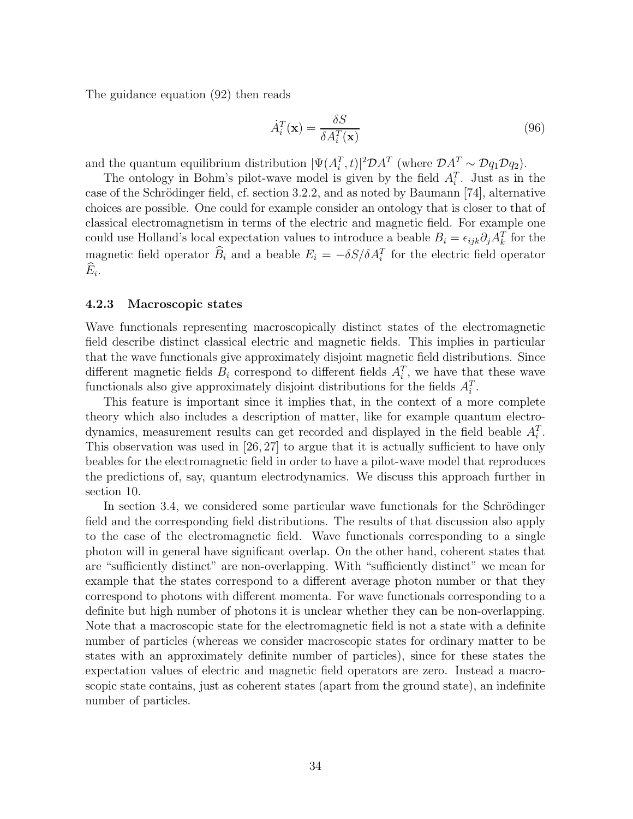The guidance equation (92) then reads

$$
\dot{A}_i^T(\mathbf{x}) = \frac{\delta S}{\delta A_i^T(\mathbf{x})}
$$
\n(96)

and the quantum equilibrium distribution  $|\Psi(A_i^T, t)|^2 \mathcal{D}A^T$  (where  $\mathcal{D}A^T \sim \mathcal{D}q_1 \mathcal{D}q_2$ ).

The ontology in Bohm's pilot-wave model is given by the field  $A_i^T$ . Just as in the case of the Schrödinger field, cf. section 3.2.2, and as noted by Baumann [74], alternative choices are possible. One could for example consider an ontology that is closer to that of classical electromagnetism in terms of the electric and magnetic field. For example one could use Holland's local expectation values to introduce a beable  $B_i = \epsilon_{ijk}\partial_j A_k^T$  for the magnetic field operator  $\hat{B}_i$  and a beable  $E_i = -\delta S/\delta A_i^T$  for the electric field operator  $E_i$ .

#### 4.2.3 Macroscopic states

Wave functionals representing macroscopically distinct states of the electromagnetic field describe distinct classical electric and magnetic fields. This implies in particular that the wave functionals give approximately disjoint magnetic field distributions. Since different magnetic fields  $B_i$  correspond to different fields  $A_i^T$ , we have that these wave functionals also give approximately disjoint distributions for the fields  $A_i^T$ .

This feature is important since it implies that, in the context of a more complete theory which also includes a description of matter, like for example quantum electrodynamics, measurement results can get recorded and displayed in the field beable  $A_i^T$ . This observation was used in [26, 27] to argue that it is actually sufficient to have only beables for the electromagnetic field in order to have a pilot-wave model that reproduces the predictions of, say, quantum electrodynamics. We discuss this approach further in section 10.

In section 3.4, we considered some particular wave functionals for the Schrödinger field and the corresponding field distributions. The results of that discussion also apply to the case of the electromagnetic field. Wave functionals corresponding to a single photon will in general have significant overlap. On the other hand, coherent states that are "sufficiently distinct" are non-overlapping. With "sufficiently distinct" we mean for example that the states correspond to a different average photon number or that they correspond to photons with different momenta. For wave functionals corresponding to a definite but high number of photons it is unclear whether they can be non-overlapping. Note that a macroscopic state for the electromagnetic field is not a state with a definite number of particles (whereas we consider macroscopic states for ordinary matter to be states with an approximately definite number of particles), since for these states the expectation values of electric and magnetic field operators are zero. Instead a macroscopic state contains, just as coherent states (apart from the ground state), an indefinite number of particles.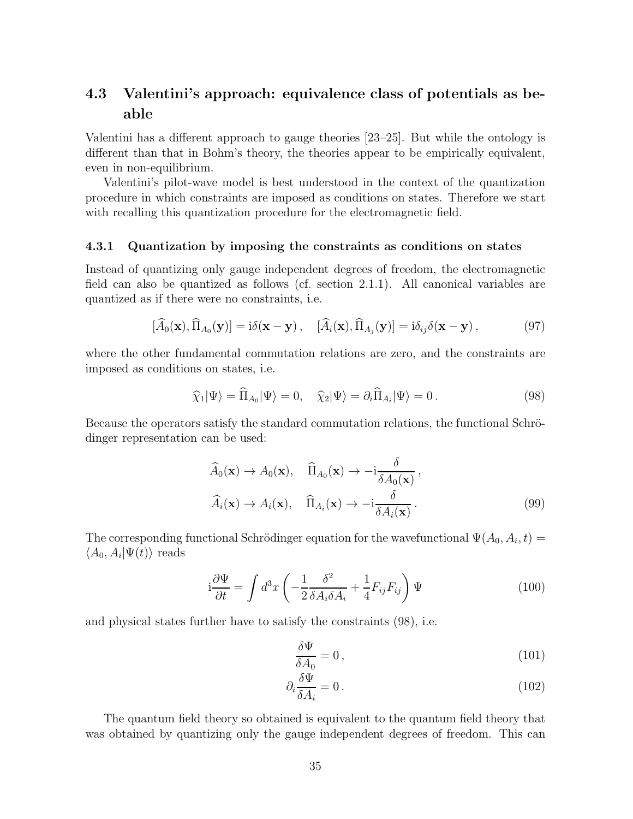## 4.3 Valentini's approach: equivalence class of potentials as beable

Valentini has a different approach to gauge theories [23–25]. But while the ontology is different than that in Bohm's theory, the theories appear to be empirically equivalent, even in non-equilibrium.

Valentini's pilot-wave model is best understood in the context of the quantization procedure in which constraints are imposed as conditions on states. Therefore we start with recalling this quantization procedure for the electromagnetic field.

#### 4.3.1 Quantization by imposing the constraints as conditions on states

Instead of quantizing only gauge independent degrees of freedom, the electromagnetic field can also be quantized as follows (cf. section 2.1.1). All canonical variables are quantized as if there were no constraints, i.e.

$$
[\widehat{A}_0(\mathbf{x}), \widehat{\Pi}_{A_0}(\mathbf{y})] = i\delta(\mathbf{x} - \mathbf{y}), \quad [\widehat{A}_i(\mathbf{x}), \widehat{\Pi}_{A_j}(\mathbf{y})] = i\delta_{ij}\delta(\mathbf{x} - \mathbf{y}), \quad (97)
$$

where the other fundamental commutation relations are zero, and the constraints are imposed as conditions on states, i.e.

$$
\widehat{\chi}_1|\Psi\rangle = \widehat{\Pi}_{A_0}|\Psi\rangle = 0, \quad \widehat{\chi}_2|\Psi\rangle = \partial_i \widehat{\Pi}_{A_i}|\Psi\rangle = 0. \tag{98}
$$

Because the operators satisfy the standard commutation relations, the functional Schrödinger representation can be used:

$$
\widehat{A}_0(\mathbf{x}) \to A_0(\mathbf{x}), \quad \widehat{\Pi}_{A_0}(\mathbf{x}) \to -i\frac{\delta}{\delta A_0(\mathbf{x})},
$$

$$
\widehat{A}_i(\mathbf{x}) \to A_i(\mathbf{x}), \quad \widehat{\Pi}_{A_i}(\mathbf{x}) \to -i\frac{\delta}{\delta A_i(\mathbf{x})}.
$$
(99)

The corresponding functional Schrödinger equation for the wavefunctional  $\Psi(A_0, A_i, t) =$  $\langle A_0, A_i | \Psi(t) \rangle$  reads

$$
i\frac{\partial\Psi}{\partial t} = \int d^3x \left( -\frac{1}{2} \frac{\delta^2}{\delta A_i \delta A_i} + \frac{1}{4} F_{ij} F_{ij} \right) \Psi \tag{100}
$$

and physical states further have to satisfy the constraints (98), i.e.

$$
\frac{\delta\Psi}{\delta A_0} = 0\,,\tag{101}
$$

$$
\partial_i \frac{\delta \Psi}{\delta A_i} = 0 \,. \tag{102}
$$

The quantum field theory so obtained is equivalent to the quantum field theory that was obtained by quantizing only the gauge independent degrees of freedom. This can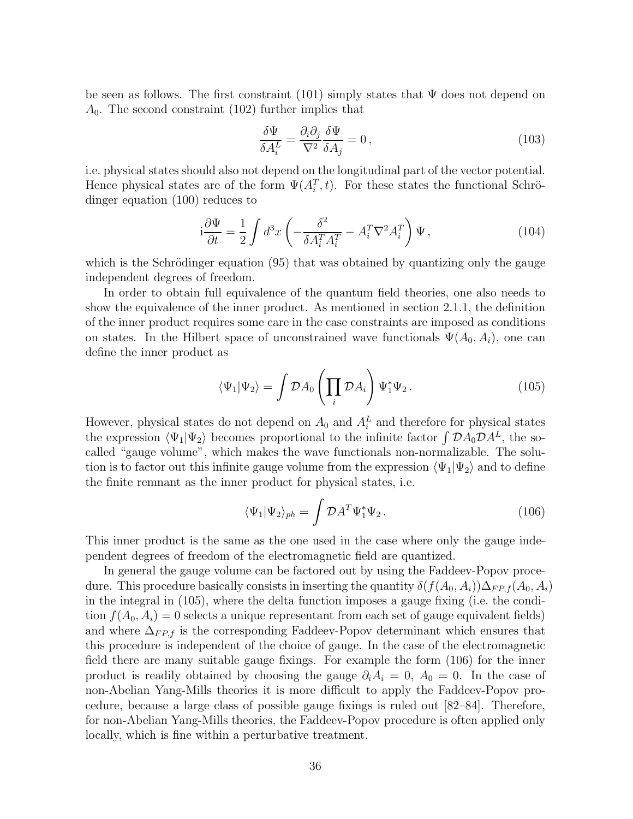be seen as follows. The first constraint  $(101)$  simply states that  $\Psi$  does not depend on  $A_0$ . The second constraint (102) further implies that

$$
\frac{\delta\Psi}{\delta A_i^L} = \frac{\partial_i \partial_j}{\nabla^2} \frac{\delta\Psi}{\delta A_j} = 0, \qquad (103)
$$

i.e. physical states should also not depend on the longitudinal part of the vector potential. Hence physical states are of the form  $\Psi(A_i^T, t)$ . For these states the functional Schrödinger equation (100) reduces to

$$
i\frac{\partial \Psi}{\partial t} = \frac{1}{2} \int d^3x \left( -\frac{\delta^2}{\delta A_i^T A_i^T} - A_i^T \nabla^2 A_i^T \right) \Psi , \qquad (104)
$$

which is the Schrödinger equation  $(95)$  that was obtained by quantizing only the gauge independent degrees of freedom.

In order to obtain full equivalence of the quantum field theories, one also needs to show the equivalence of the inner product. As mentioned in section 2.1.1, the definition of the inner product requires some care in the case constraints are imposed as conditions on states. In the Hilbert space of unconstrained wave functionals  $\Psi(A_0, A_i)$ , one can define the inner product as

$$
\langle \Psi_1 | \Psi_2 \rangle = \int \mathcal{D}A_0 \left( \prod_i \mathcal{D}A_i \right) \Psi_1^* \Psi_2 \,. \tag{105}
$$

However, physical states do not depend on  $A_0$  and  $A_i^L$  and therefore for physical states the expression  $\langle \Psi_1 | \Psi_2 \rangle$  becomes proportional to the infinite factor  $\int \mathcal{D}A_0 \mathcal{D}A^L$ , the socalled "gauge volume", which makes the wave functionals non-normalizable. The solution is to factor out this infinite gauge volume from the expression  $\langle \Psi_1 | \Psi_2 \rangle$  and to define the finite remnant as the inner product for physical states, i.e.

$$
\langle \Psi_1 | \Psi_2 \rangle_{ph} = \int \mathcal{D}A^T \Psi_1^* \Psi_2 \,. \tag{106}
$$

This inner product is the same as the one used in the case where only the gauge independent degrees of freedom of the electromagnetic field are quantized.

In general the gauge volume can be factored out by using the Faddeev-Popov procedure. This procedure basically consists in inserting the quantity  $\delta(f(A_0, A_i))\Delta_{FP,f}(A_0, A_i)$ in the integral in (105), where the delta function imposes a gauge fixing (i.e. the condition  $f(A_0, A_i) = 0$  selects a unique representant from each set of gauge equivalent fields) and where  $\Delta_{FP,f}$  is the corresponding Faddeev-Popov determinant which ensures that this procedure is independent of the choice of gauge. In the case of the electromagnetic field there are many suitable gauge fixings. For example the form (106) for the inner product is readily obtained by choosing the gauge  $\partial_i A_i = 0$ ,  $A_0 = 0$ . In the case of non-Abelian Yang-Mills theories it is more difficult to apply the Faddeev-Popov procedure, because a large class of possible gauge fixings is ruled out [82–84]. Therefore, for non-Abelian Yang-Mills theories, the Faddeev-Popov procedure is often applied only locally, which is fine within a perturbative treatment.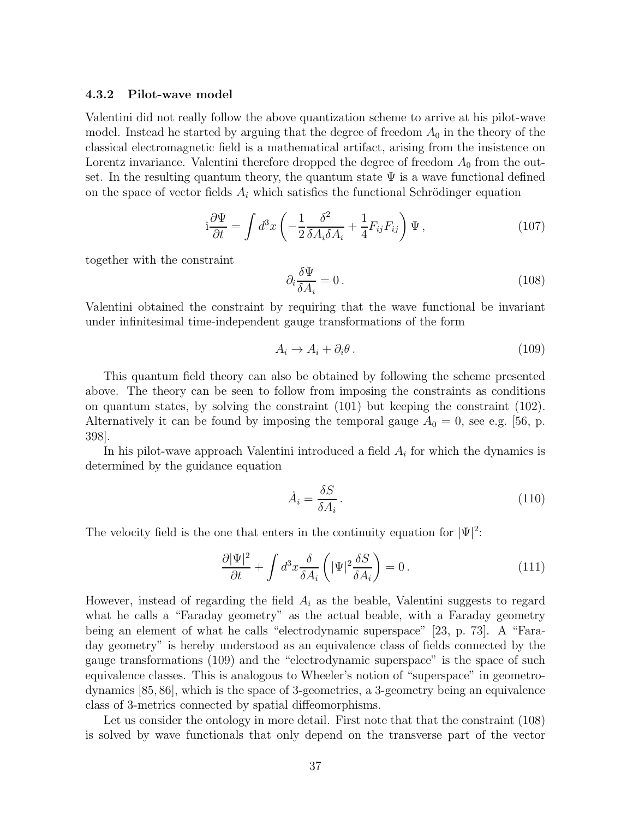#### 4.3.2 Pilot-wave model

Valentini did not really follow the above quantization scheme to arrive at his pilot-wave model. Instead he started by arguing that the degree of freedom  $A_0$  in the theory of the classical electromagnetic field is a mathematical artifact, arising from the insistence on Lorentz invariance. Valentini therefore dropped the degree of freedom  $A_0$  from the outset. In the resulting quantum theory, the quantum state  $\Psi$  is a wave functional defined on the space of vector fields  $A_i$  which satisfies the functional Schrödinger equation

$$
i\frac{\partial\Psi}{\partial t} = \int d^3x \left( -\frac{1}{2} \frac{\delta^2}{\delta A_i \delta A_i} + \frac{1}{4} F_{ij} F_{ij} \right) \Psi , \qquad (107)
$$

together with the constraint

$$
\partial_i \frac{\delta \Psi}{\delta A_i} = 0 \,. \tag{108}
$$

Valentini obtained the constraint by requiring that the wave functional be invariant under infinitesimal time-independent gauge transformations of the form

$$
A_i \to A_i + \partial_i \theta \,. \tag{109}
$$

This quantum field theory can also be obtained by following the scheme presented above. The theory can be seen to follow from imposing the constraints as conditions on quantum states, by solving the constraint (101) but keeping the constraint (102). Alternatively it can be found by imposing the temporal gauge  $A_0 = 0$ , see e.g. [56, p. 398].

In his pilot-wave approach Valentini introduced a field  $A_i$  for which the dynamics is determined by the guidance equation

$$
\dot{A}_i = \frac{\delta S}{\delta A_i} \,. \tag{110}
$$

The velocity field is the one that enters in the continuity equation for  $|\Psi|^2$ :

$$
\frac{\partial |\Psi|^2}{\partial t} + \int d^3x \frac{\delta}{\delta A_i} \left( |\Psi|^2 \frac{\delta S}{\delta A_i} \right) = 0. \tag{111}
$$

However, instead of regarding the field  $A_i$  as the beable, Valentini suggests to regard what he calls a "Faraday geometry" as the actual beable, with a Faraday geometry being an element of what he calls "electrodynamic superspace" [23, p. 73]. A "Faraday geometry" is hereby understood as an equivalence class of fields connected by the gauge transformations (109) and the "electrodynamic superspace" is the space of such equivalence classes. This is analogous to Wheeler's notion of "superspace" in geometrodynamics [85, 86], which is the space of 3-geometries, a 3-geometry being an equivalence class of 3-metrics connected by spatial diffeomorphisms.

Let us consider the ontology in more detail. First note that that the constraint (108) is solved by wave functionals that only depend on the transverse part of the vector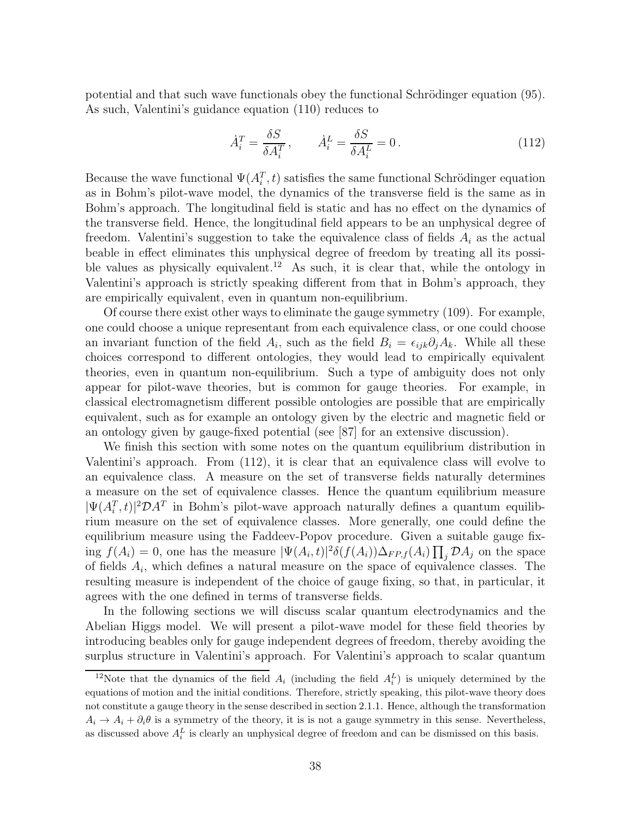potential and that such wave functionals obey the functional Schrödinger equation (95). As such, Valentini's guidance equation (110) reduces to

$$
\dot{A}_i^T = \frac{\delta S}{\delta A_i^T}, \qquad \dot{A}_i^L = \frac{\delta S}{\delta A_i^L} = 0. \tag{112}
$$

Because the wave functional  $\Psi(A_i^T, t)$  satisfies the same functional Schrödinger equation as in Bohm's pilot-wave model, the dynamics of the transverse field is the same as in Bohm's approach. The longitudinal field is static and has no effect on the dynamics of the transverse field. Hence, the longitudinal field appears to be an unphysical degree of freedom. Valentini's suggestion to take the equivalence class of fields  $A_i$  as the actual beable in effect eliminates this unphysical degree of freedom by treating all its possible values as physically equivalent.<sup>12</sup> As such, it is clear that, while the ontology in Valentini's approach is strictly speaking different from that in Bohm's approach, they are empirically equivalent, even in quantum non-equilibrium.

Of course there exist other ways to eliminate the gauge symmetry (109). For example, one could choose a unique representant from each equivalence class, or one could choose an invariant function of the field  $A_i$ , such as the field  $B_i = \epsilon_{ijk}\partial_j A_k$ . While all these choices correspond to different ontologies, they would lead to empirically equivalent theories, even in quantum non-equilibrium. Such a type of ambiguity does not only appear for pilot-wave theories, but is common for gauge theories. For example, in classical electromagnetism different possible ontologies are possible that are empirically equivalent, such as for example an ontology given by the electric and magnetic field or an ontology given by gauge-fixed potential (see [87] for an extensive discussion).

We finish this section with some notes on the quantum equilibrium distribution in Valentini's approach. From (112), it is clear that an equivalence class will evolve to an equivalence class. A measure on the set of transverse fields naturally determines a measure on the set of equivalence classes. Hence the quantum equilibrium measure  $|\Psi(A_i^T, t)|^2 \mathcal{D}A^T$  in Bohm's pilot-wave approach naturally defines a quantum equilibrium measure on the set of equivalence classes. More generally, one could define the equilibrium measure using the Faddeev-Popov procedure. Given a suitable gauge fixing  $f(A_i) = 0$ , one has the measure  $|\Psi(A_i, t)|^2 \delta(f(A_i)) \Delta_{FP,f}(A_i) \prod_j \mathcal{D}A_j$  on the space of fields  $A_i$ , which defines a natural measure on the space of equivalence classes. The resulting measure is independent of the choice of gauge fixing, so that, in particular, it agrees with the one defined in terms of transverse fields.

In the following sections we will discuss scalar quantum electrodynamics and the Abelian Higgs model. We will present a pilot-wave model for these field theories by introducing beables only for gauge independent degrees of freedom, thereby avoiding the surplus structure in Valentini's approach. For Valentini's approach to scalar quantum

<sup>&</sup>lt;sup>12</sup>Note that the dynamics of the field  $A_i$  (including the field  $A_i^L$ ) is uniquely determined by the equations of motion and the initial conditions. Therefore, strictly speaking, this pilot-wave theory does not constitute a gauge theory in the sense described in section 2.1.1. Hence, although the transformation  $A_i \to A_i + \partial_i \theta$  is a symmetry of the theory, it is is not a gauge symmetry in this sense. Nevertheless, as discussed above  $A_i^L$  is clearly an unphysical degree of freedom and can be dismissed on this basis.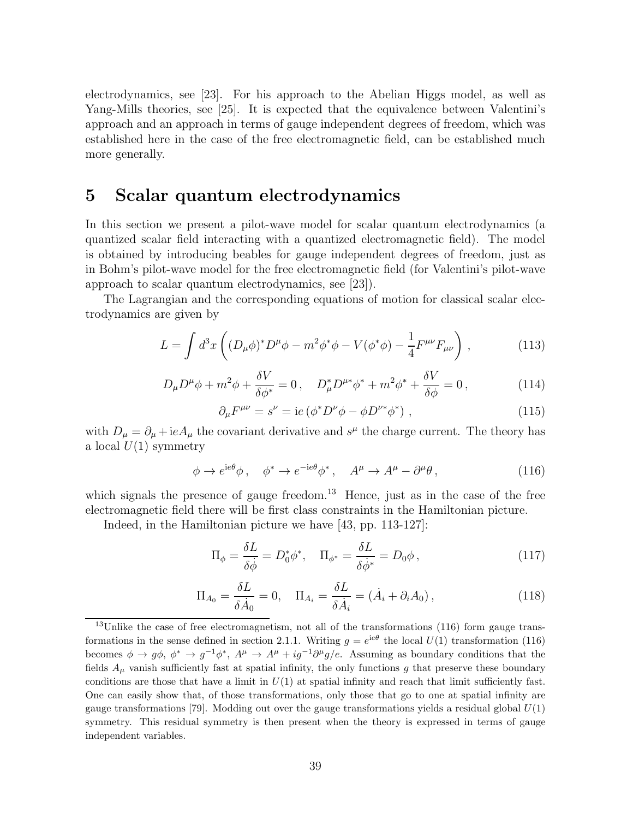electrodynamics, see [23]. For his approach to the Abelian Higgs model, as well as Yang-Mills theories, see [25]. It is expected that the equivalence between Valentini's approach and an approach in terms of gauge independent degrees of freedom, which was established here in the case of the free electromagnetic field, can be established much more generally.

## 5 Scalar quantum electrodynamics

In this section we present a pilot-wave model for scalar quantum electrodynamics (a quantized scalar field interacting with a quantized electromagnetic field). The model is obtained by introducing beables for gauge independent degrees of freedom, just as in Bohm's pilot-wave model for the free electromagnetic field (for Valentini's pilot-wave approach to scalar quantum electrodynamics, see [23]).

The Lagrangian and the corresponding equations of motion for classical scalar electrodynamics are given by

$$
L = \int d^3x \left( (D_\mu \phi)^* D^\mu \phi - m^2 \phi^* \phi - V(\phi^* \phi) - \frac{1}{4} F^{\mu \nu} F_{\mu \nu} \right), \qquad (113)
$$

$$
D_{\mu}D^{\mu}\phi + m^{2}\phi + \frac{\delta V}{\delta \phi^{*}} = 0, \quad D_{\mu}^{*}D^{\mu*}\phi^{*} + m^{2}\phi^{*} + \frac{\delta V}{\delta \phi} = 0, \quad (114)
$$

$$
\partial_{\mu}F^{\mu\nu} = s^{\nu} = i e \left(\phi^* D^{\nu} \phi - \phi D^{\nu*} \phi^*\right),\tag{115}
$$

with  $D_{\mu} = \partial_{\mu} + ieA_{\mu}$  the covariant derivative and  $s^{\mu}$  the charge current. The theory has a local  $U(1)$  symmetry

$$
\phi \to e^{ie\theta} \phi \,, \quad \phi^* \to e^{-ie\theta} \phi^* \,, \quad A^\mu \to A^\mu - \partial^\mu \theta \,, \tag{116}
$$

which signals the presence of gauge freedom.<sup>13</sup> Hence, just as in the case of the free electromagnetic field there will be first class constraints in the Hamiltonian picture.

Indeed, in the Hamiltonian picture we have [43, pp. 113-127]:

$$
\Pi_{\phi} = \frac{\delta L}{\delta \dot{\phi}} = D_0^* \phi^*, \quad \Pi_{\phi^*} = \frac{\delta L}{\delta \dot{\phi}^*} = D_0 \phi \,, \tag{117}
$$

$$
\Pi_{A_0} = \frac{\delta L}{\delta \dot{A}_0} = 0, \quad \Pi_{A_i} = \frac{\delta L}{\delta \dot{A}_i} = (\dot{A}_i + \partial_i A_0), \tag{118}
$$

<sup>&</sup>lt;sup>13</sup>Unlike the case of free electromagnetism, not all of the transformations (116) form gauge transformations in the sense defined in section 2.1.1. Writing  $g = e^{i\epsilon\theta}$  the local  $U(1)$  transformation (116) becomes  $\phi \to g\phi$ ,  $\phi^* \to g^{-1}\phi^*$ ,  $A^{\mu} \to A^{\mu} + ig^{-1}\partial^{\mu}g/e$ . Assuming as boundary conditions that the fields  $A<sub>u</sub>$  vanish sufficiently fast at spatial infinity, the only functions g that preserve these boundary conditions are those that have a limit in  $U(1)$  at spatial infinity and reach that limit sufficiently fast. One can easily show that, of those transformations, only those that go to one at spatial infinity are gauge transformations [79]. Modding out over the gauge transformations yields a residual global  $U(1)$ symmetry. This residual symmetry is then present when the theory is expressed in terms of gauge independent variables.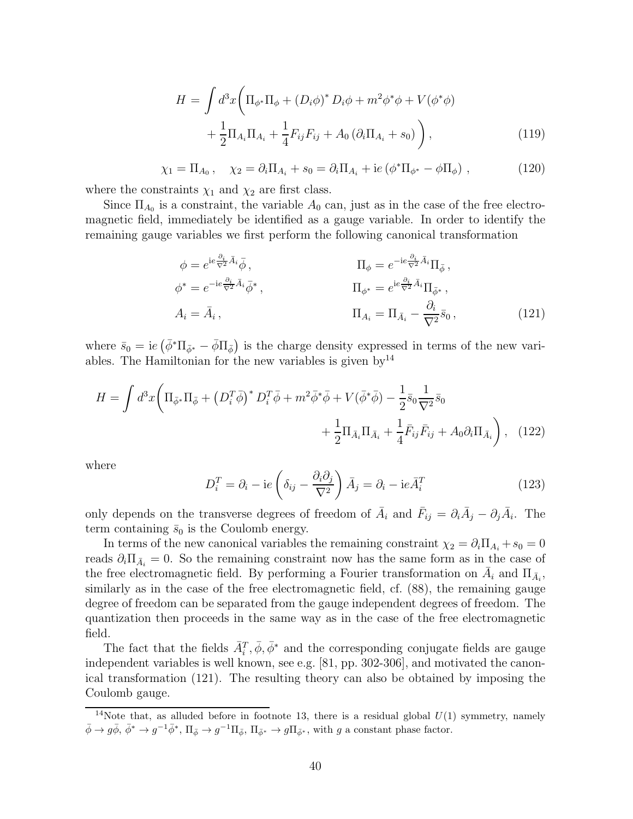$$
H = \int d^3x \left( \Pi_{\phi^*} \Pi_{\phi} + (D_i \phi)^* D_i \phi + m^2 \phi^* \phi + V(\phi^* \phi) + \frac{1}{2} \Pi_{A_i} \Pi_{A_i} + \frac{1}{4} F_{ij} F_{ij} + A_0 \left( \partial_i \Pi_{A_i} + s_0 \right) \right),
$$
\n(119)

$$
\chi_1 = \Pi_{A_0}, \quad \chi_2 = \partial_i \Pi_{A_i} + s_0 = \partial_i \Pi_{A_i} + ie \left( \phi^* \Pi_{\phi^*} - \phi \Pi_{\phi} \right), \tag{120}
$$

where the constraints  $\chi_1$  and  $\chi_2$  are first class.

Since  $\Pi_{A_0}$  is a constraint, the variable  $A_0$  can, just as in the case of the free electromagnetic field, immediately be identified as a gauge variable. In order to identify the remaining gauge variables we first perform the following canonical transformation

$$
\phi = e^{ie \frac{\partial_i}{\nabla^2} \bar{A}_i} \bar{\phi}, \qquad \Pi_{\phi} = e^{-ie \frac{\partial_i}{\nabla^2} \bar{A}_i} \Pi_{\bar{\phi}},
$$
\n
$$
\phi^* = e^{-ie \frac{\partial_i}{\nabla^2} \bar{A}_i} \bar{\phi}^*, \qquad \Pi_{\phi^*} = e^{ie \frac{\partial_i}{\nabla^2} \bar{A}_i} \Pi_{\bar{\phi}^*},
$$
\n
$$
A_i = \bar{A}_i, \qquad \Pi_{A_i} = \Pi_{\bar{A}_i} - \frac{\partial_i}{\nabla^2} \bar{s}_0,
$$
\n(121)

where  $\bar{s}_0 = ie \left( \bar{\phi}^* \Pi_{\bar{\phi}^*} - \bar{\phi} \Pi_{\bar{\phi}} \right)$  is the charge density expressed in terms of the new variables. The Hamiltonian for the new variables is given  $by<sup>14</sup>$ 

$$
H = \int d^3x \left( \Pi_{\bar{\phi}^*} \Pi_{\bar{\phi}} + \left( D_i^T \bar{\phi} \right)^* D_i^T \bar{\phi} + m^2 \bar{\phi}^* \bar{\phi} + V(\bar{\phi}^* \bar{\phi}) - \frac{1}{2} \bar{s}_0 \frac{1}{\nabla^2} \bar{s}_0 \right. \\
\left. + \frac{1}{2} \Pi_{\bar{A}_i} \Pi_{\bar{A}_i} + \frac{1}{4} \bar{F}_{ij} \bar{F}_{ij} + A_0 \partial_i \Pi_{\bar{A}_i} \right), \tag{122}
$$

where

$$
D_i^T = \partial_i - ie \left( \delta_{ij} - \frac{\partial_i \partial_j}{\nabla^2} \right) \bar{A}_j = \partial_i - ie \bar{A}_i^T
$$
 (123)

only depends on the transverse degrees of freedom of  $\bar{A}_i$  and  $\bar{F}_{ij} = \partial_i \bar{A}_j - \partial_j \bar{A}_i$ . The term containing  $\bar{s}_0$  is the Coulomb energy.

In terms of the new canonical variables the remaining constraint  $\chi_2 = \partial_i \Pi_{A_i} + s_0 = 0$ reads  $\partial_i \Pi_{\bar{A}_i} = 0$ . So the remaining constraint now has the same form as in the case of the free electromagnetic field. By performing a Fourier transformation on  $\bar{A}_i$  and  $\Pi_{\bar{A}_i}$ , similarly as in the case of the free electromagnetic field, cf. (88), the remaining gauge degree of freedom can be separated from the gauge independent degrees of freedom. The quantization then proceeds in the same way as in the case of the free electromagnetic field.

The fact that the fields  $\bar{A}_i^T$ ,  $\bar{\phi}$ ,  $\bar{\phi}^*$  and the corresponding conjugate fields are gauge independent variables is well known, see e.g. [81, pp. 302-306], and motivated the canonical transformation (121). The resulting theory can also be obtained by imposing the Coulomb gauge.

<sup>&</sup>lt;sup>14</sup>Note that, as alluded before in footnote 13, there is a residual global  $U(1)$  symmetry, namely  $\bar{\phi} \to g\bar{\phi}, \bar{\phi}^* \to g^{-1}\bar{\phi}^*, \Pi_{\bar{\phi}} \to g^{-1}\Pi_{\bar{\phi}}, \Pi_{\bar{\phi}^*} \to g\Pi_{\bar{\phi}^*},$  with g a constant phase factor.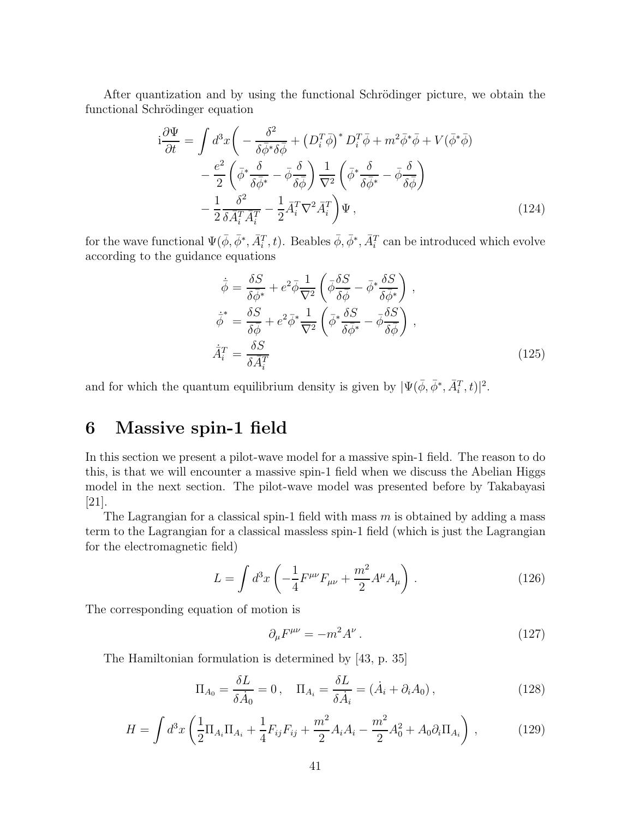After quantization and by using the functional Schrödinger picture, we obtain the functional Schrödinger equation

$$
i\frac{\partial\Psi}{\partial t} = \int d^3x \left( -\frac{\delta^2}{\delta\bar{\phi}^*\delta\bar{\phi}} + \left( D_i^T\bar{\phi} \right)^* D_i^T\bar{\phi} + m^2\bar{\phi}^*\bar{\phi} + V(\bar{\phi}^*\bar{\phi}) - \frac{e^2}{2} \left( \bar{\phi}^*\frac{\delta}{\delta\bar{\phi}^*} - \bar{\phi}\frac{\delta}{\delta\bar{\phi}} \right) \frac{1}{\nabla^2} \left( \bar{\phi}^*\frac{\delta}{\delta\bar{\phi}^*} - \bar{\phi}\frac{\delta}{\delta\bar{\phi}} \right) - \frac{1}{2} \frac{\delta^2}{\delta\bar{A}_i^T\bar{A}_i^T} - \frac{1}{2}\bar{A}_i^T \nabla^2 \bar{A}_i^T \right) \Psi,
$$
\n(124)

for the wave functional  $\Psi(\bar{\phi}, \bar{\phi}^*, \bar{A}_i^T, t)$ . Beables  $\bar{\phi}, \bar{\phi}^*, \bar{A}_i^T$  can be introduced which evolve according to the guidance equations

$$
\dot{\bar{\phi}} = \frac{\delta S}{\delta \bar{\phi}^*} + e^2 \bar{\phi} \frac{1}{\nabla^2} \left( \bar{\phi} \frac{\delta S}{\delta \bar{\phi}} - \bar{\phi}^* \frac{\delta S}{\delta \bar{\phi}^*} \right) ,
$$
\n
$$
\dot{\bar{\phi}}^* = \frac{\delta S}{\delta \bar{\phi}} + e^2 \bar{\phi}^* \frac{1}{\nabla^2} \left( \bar{\phi}^* \frac{\delta S}{\delta \bar{\phi}^*} - \bar{\phi} \frac{\delta S}{\delta \bar{\phi}} \right) ,
$$
\n
$$
\dot{A}_i^T = \frac{\delta S}{\delta \bar{A}_i^T}
$$
\n(125)

and for which the quantum equilibrium density is given by  $|\Psi(\bar{\phi}, \bar{\phi}^*, \bar{A}_i^T, t)|^2$ .

## 6 Massive spin-1 field

In this section we present a pilot-wave model for a massive spin-1 field. The reason to do this, is that we will encounter a massive spin-1 field when we discuss the Abelian Higgs model in the next section. The pilot-wave model was presented before by Takabayasi [21].

The Lagrangian for a classical spin-1 field with mass  $m$  is obtained by adding a mass term to the Lagrangian for a classical massless spin-1 field (which is just the Lagrangian for the electromagnetic field)

$$
L = \int d^3x \left( -\frac{1}{4} F^{\mu\nu} F_{\mu\nu} + \frac{m^2}{2} A^{\mu} A_{\mu} \right) . \tag{126}
$$

The corresponding equation of motion is

$$
\partial_{\mu}F^{\mu\nu} = -m^2 A^{\nu} \,. \tag{127}
$$

The Hamiltonian formulation is determined by [43, p. 35]

$$
\Pi_{A_0} = \frac{\delta L}{\delta \dot{A}_0} = 0 \,, \quad \Pi_{A_i} = \frac{\delta L}{\delta \dot{A}_i} = (\dot{A}_i + \partial_i A_0) \,, \tag{128}
$$

$$
H = \int d^3x \left( \frac{1}{2} \Pi_{A_i} \Pi_{A_i} + \frac{1}{4} F_{ij} F_{ij} + \frac{m^2}{2} A_i A_i - \frac{m^2}{2} A_0^2 + A_0 \partial_i \Pi_{A_i} \right) , \qquad (129)
$$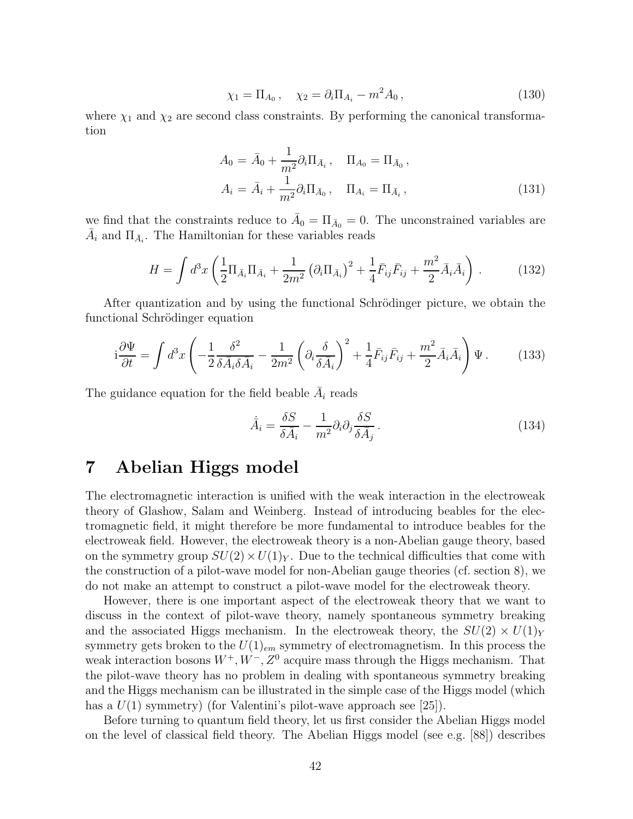$$
\chi_1 = \Pi_{A_0}, \quad \chi_2 = \partial_i \Pi_{A_i} - m^2 A_0, \tag{130}
$$

where  $\chi_1$  and  $\chi_2$  are second class constraints. By performing the canonical transformation

$$
A_0 = \bar{A}_0 + \frac{1}{m^2} \partial_i \Pi_{\bar{A}_i}, \quad \Pi_{A_0} = \Pi_{\bar{A}_0},
$$
  

$$
A_i = \bar{A}_i + \frac{1}{m^2} \partial_i \Pi_{\bar{A}_0}, \quad \Pi_{A_i} = \Pi_{\bar{A}_i},
$$
 (131)

we find that the constraints reduce to  $\bar{A}_0 = \Pi_{\bar{A}_0} = 0$ . The unconstrained variables are  $\bar{A}_i$  and  $\Pi_{\bar{A}_i}$ . The Hamiltonian for these variables reads

$$
H = \int d^3x \left( \frac{1}{2} \Pi_{\bar{A}_i} \Pi_{\bar{A}_i} + \frac{1}{2m^2} \left( \partial_i \Pi_{\bar{A}_i} \right)^2 + \frac{1}{4} \bar{F}_{ij} \bar{F}_{ij} + \frac{m^2}{2} \bar{A}_i \bar{A}_i \right) . \tag{132}
$$

After quantization and by using the functional Schrödinger picture, we obtain the functional Schrödinger equation

$$
i\frac{\partial\Psi}{\partial t} = \int d^3x \left( -\frac{1}{2} \frac{\delta^2}{\delta \bar{A}_i \delta \bar{A}_i} - \frac{1}{2m^2} \left( \partial_i \frac{\delta}{\delta \bar{A}_i} \right)^2 + \frac{1}{4} \bar{F}_{ij} \bar{F}_{ij} + \frac{m^2}{2} \bar{A}_i \bar{A}_i \right) \Psi. \tag{133}
$$

The guidance equation for the field beable  $\bar{A}_i$  reads

$$
\dot{\bar{A}}_i = \frac{\delta S}{\delta \bar{A}_i} - \frac{1}{m^2} \partial_i \partial_j \frac{\delta S}{\delta \bar{A}_j}.
$$
\n(134)

## 7 Abelian Higgs model

The electromagnetic interaction is unified with the weak interaction in the electroweak theory of Glashow, Salam and Weinberg. Instead of introducing beables for the electromagnetic field, it might therefore be more fundamental to introduce beables for the electroweak field. However, the electroweak theory is a non-Abelian gauge theory, based on the symmetry group  $SU(2) \times U(1)_Y$ . Due to the technical difficulties that come with the construction of a pilot-wave model for non-Abelian gauge theories (cf. section 8), we do not make an attempt to construct a pilot-wave model for the electroweak theory.

However, there is one important aspect of the electroweak theory that we want to discuss in the context of pilot-wave theory, namely spontaneous symmetry breaking and the associated Higgs mechanism. In the electroweak theory, the  $SU(2) \times U(1)_Y$ symmetry gets broken to the  $U(1)_{em}$  symmetry of electromagnetism. In this process the weak interaction bosons  $W^+, W^-, Z^0$  acquire mass through the Higgs mechanism. That the pilot-wave theory has no problem in dealing with spontaneous symmetry breaking and the Higgs mechanism can be illustrated in the simple case of the Higgs model (which has a  $U(1)$  symmetry) (for Valentini's pilot-wave approach see [25]).

Before turning to quantum field theory, let us first consider the Abelian Higgs model on the level of classical field theory. The Abelian Higgs model (see e.g. [88]) describes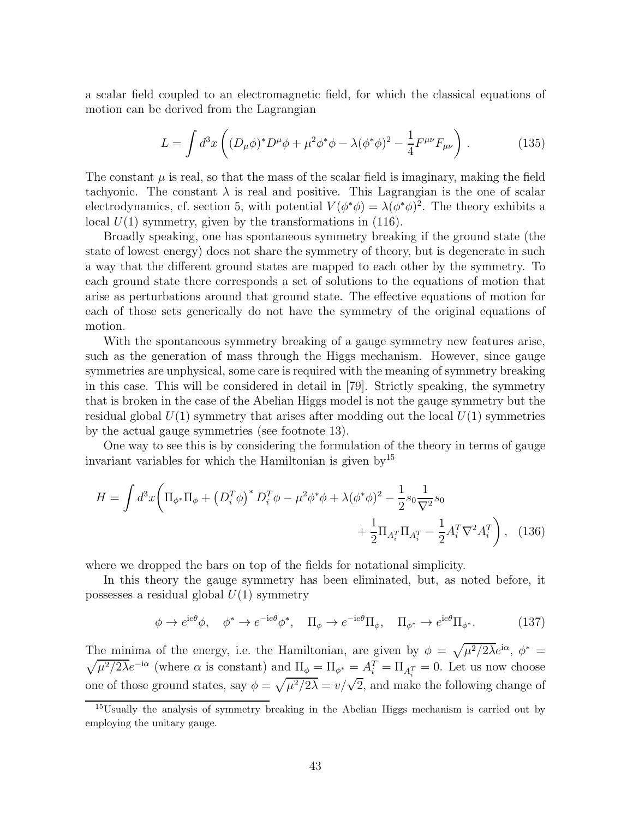a scalar field coupled to an electromagnetic field, for which the classical equations of motion can be derived from the Lagrangian

$$
L = \int d^3x \left( (D_\mu \phi)^* D^\mu \phi + \mu^2 \phi^* \phi - \lambda (\phi^* \phi)^2 - \frac{1}{4} F^{\mu \nu} F_{\mu \nu} \right). \tag{135}
$$

The constant  $\mu$  is real, so that the mass of the scalar field is imaginary, making the field tachyonic. The constant  $\lambda$  is real and positive. This Lagrangian is the one of scalar electrodynamics, cf. section 5, with potential  $V(\phi^*\phi) = \lambda(\phi^*\phi)^2$ . The theory exhibits a local  $U(1)$  symmetry, given by the transformations in (116).

Broadly speaking, one has spontaneous symmetry breaking if the ground state (the state of lowest energy) does not share the symmetry of theory, but is degenerate in such a way that the different ground states are mapped to each other by the symmetry. To each ground state there corresponds a set of solutions to the equations of motion that arise as perturbations around that ground state. The effective equations of motion for each of those sets generically do not have the symmetry of the original equations of motion.

With the spontaneous symmetry breaking of a gauge symmetry new features arise, such as the generation of mass through the Higgs mechanism. However, since gauge symmetries are unphysical, some care is required with the meaning of symmetry breaking in this case. This will be considered in detail in [79]. Strictly speaking, the symmetry that is broken in the case of the Abelian Higgs model is not the gauge symmetry but the residual global  $U(1)$  symmetry that arises after modding out the local  $U(1)$  symmetries by the actual gauge symmetries (see footnote 13).

One way to see this is by considering the formulation of the theory in terms of gauge invariant variables for which the Hamiltonian is given by  $15$ 

$$
H = \int d^3x \left( \Pi_{\phi^*} \Pi_{\phi} + \left( D_i^T \phi \right)^* D_i^T \phi - \mu^2 \phi^* \phi + \lambda (\phi^* \phi)^2 - \frac{1}{2} s_0 \frac{1}{\nabla^2} s_0 \right. \\ \left. + \frac{1}{2} \Pi_{A_i^T} \Pi_{A_i^T} - \frac{1}{2} A_i^T \nabla^2 A_i^T \right), \tag{136}
$$

where we dropped the bars on top of the fields for notational simplicity.

In this theory the gauge symmetry has been eliminated, but, as noted before, it possesses a residual global  $U(1)$  symmetry

$$
\phi \to e^{ie\theta}\phi, \quad \phi^* \to e^{-ie\theta}\phi^*, \quad \Pi_\phi \to e^{-ie\theta}\Pi_\phi, \quad \Pi_{\phi^*} \to e^{ie\theta}\Pi_{\phi^*}.\tag{137}
$$

The minima of the energy, i.e. the Hamiltonian, are given by  $\phi = \sqrt{\mu^2/2\lambda}e^{i\alpha}, \phi^* =$  $\sqrt{\mu^2/2\lambda}e^{-i\alpha}$  (where  $\alpha$  is constant) and  $\Pi_{\phi} = \Pi_{\phi^*} = A_i^T = \Pi_{A_i^T} = 0$ . Let us now choose one of those ground states, say  $\phi = \sqrt{\mu^2/2\lambda} = v/\sqrt{2}$ , and make the following change of

<sup>15</sup>Usually the analysis of symmetry breaking in the Abelian Higgs mechanism is carried out by employing the unitary gauge.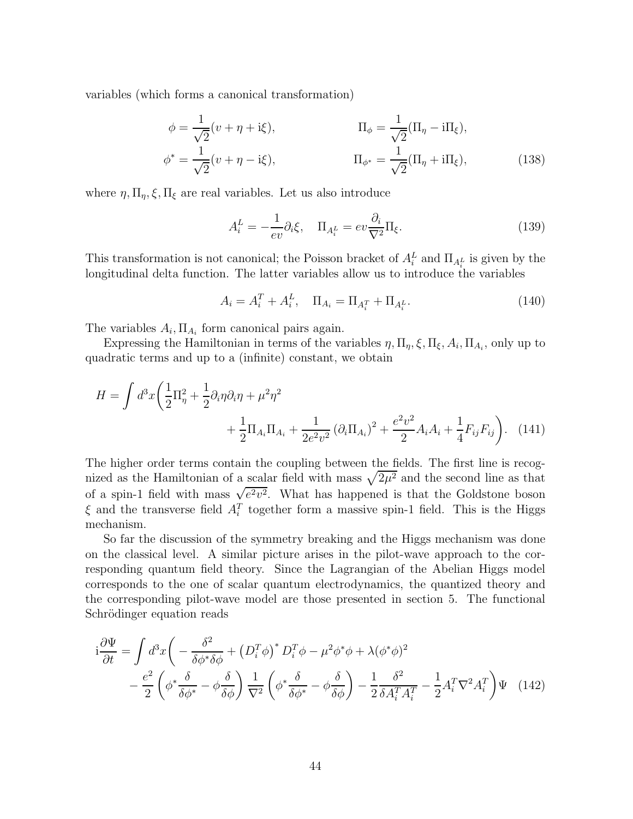variables (which forms a canonical transformation)

$$
\phi = \frac{1}{\sqrt{2}}(v + \eta + i\xi), \qquad \Pi_{\phi} = \frac{1}{\sqrt{2}}(\Pi_{\eta} - i\Pi_{\xi}),
$$
  

$$
\phi^* = \frac{1}{\sqrt{2}}(v + \eta - i\xi), \qquad \Pi_{\phi^*} = \frac{1}{\sqrt{2}}(\Pi_{\eta} + i\Pi_{\xi}), \qquad (138)
$$

where  $\eta$ ,  $\Pi_{\eta}$ ,  $\xi$ ,  $\Pi_{\xi}$  are real variables. Let us also introduce

$$
A_i^L = -\frac{1}{ev}\partial_i \xi, \quad \Pi_{A_i^L} = ev \frac{\partial_i}{\nabla^2} \Pi_{\xi}.
$$
 (139)

This transformation is not canonical; the Poisson bracket of  $A_i^L$  and  $\Pi_{A_i^L}$  is given by the longitudinal delta function. The latter variables allow us to introduce the variables

$$
A_i = A_i^T + A_i^L, \quad \Pi_{A_i} = \Pi_{A_i^T} + \Pi_{A_i^L}.
$$
\n(140)

The variables  $A_i$ ,  $\Pi_{A_i}$  form canonical pairs again.

Expressing the Hamiltonian in terms of the variables  $\eta$ ,  $\Pi_{\eta}$ ,  $\xi$ ,  $\Pi_{\xi}$ ,  $A_i$ ,  $\Pi_{A_i}$ , only up to quadratic terms and up to a (infinite) constant, we obtain

$$
H = \int d^3x \left( \frac{1}{2} \Pi_{\eta}^2 + \frac{1}{2} \partial_i \eta \partial_i \eta + \mu^2 \eta^2 + \frac{1}{2} \Pi_{A_i} \Pi_{A_i} + \frac{1}{2e^2 v^2} (\partial_i \Pi_{A_i})^2 + \frac{e^2 v^2}{2} A_i A_i + \frac{1}{4} F_{ij} F_{ij} \right). \tag{141}
$$

The higher order terms contain the coupling between the fields. The first line is recognized as the Hamiltonian of a scalar field with mass  $\sqrt{2\mu^2}$  and the second line as that of a spin-1 field with mass  $\sqrt{e^2v^2}$ . What has happened is that the Goldstone boson  $\xi$  and the transverse field  $A_i^T$  together form a massive spin-1 field. This is the Higgs mechanism.

So far the discussion of the symmetry breaking and the Higgs mechanism was done on the classical level. A similar picture arises in the pilot-wave approach to the corresponding quantum field theory. Since the Lagrangian of the Abelian Higgs model corresponds to the one of scalar quantum electrodynamics, the quantized theory and the corresponding pilot-wave model are those presented in section 5. The functional Schrödinger equation reads

$$
i\frac{\partial\Psi}{\partial t} = \int d^3x \left( -\frac{\delta^2}{\delta\phi^*\delta\phi} + \left( D_i^T\phi \right)^* D_i^T\phi - \mu^2\phi^*\phi + \lambda(\phi^*\phi)^2 - \frac{e^2}{2} \left( \phi^*\frac{\delta}{\delta\phi^*} - \phi\frac{\delta}{\delta\phi} \right) \frac{1}{\nabla^2} \left( \phi^*\frac{\delta}{\delta\phi^*} - \phi\frac{\delta}{\delta\phi} \right) - \frac{1}{2} \frac{\delta^2}{\delta A_i^T A_i^T} - \frac{1}{2} A_i^T \nabla^2 A_i^T \right) \Psi \quad (142)
$$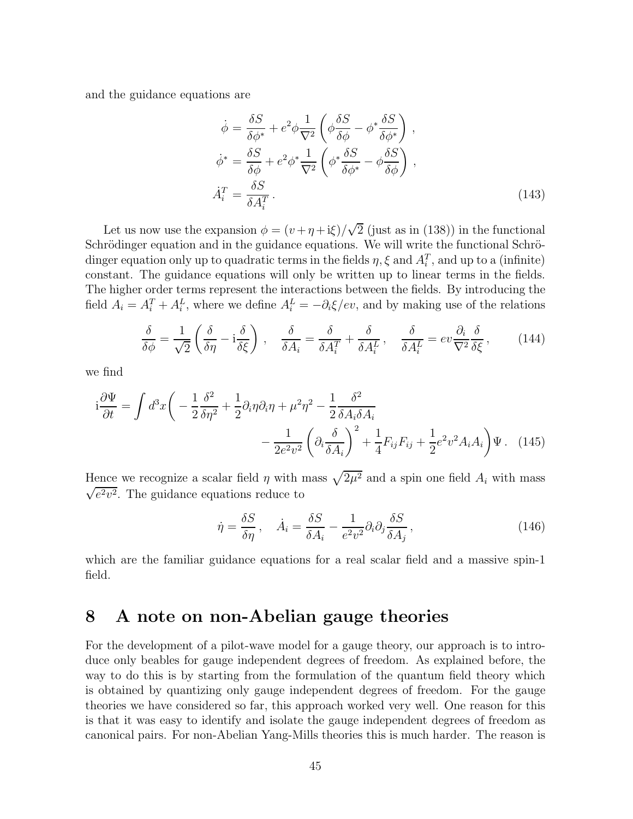and the guidance equations are

$$
\dot{\phi} = \frac{\delta S}{\delta \phi^*} + e^2 \phi \frac{1}{\nabla^2} \left( \phi \frac{\delta S}{\delta \phi} - \phi^* \frac{\delta S}{\delta \phi^*} \right) ,
$$
\n
$$
\dot{\phi}^* = \frac{\delta S}{\delta \phi} + e^2 \phi^* \frac{1}{\nabla^2} \left( \phi^* \frac{\delta S}{\delta \phi^*} - \phi \frac{\delta S}{\delta \phi} \right) ,
$$
\n
$$
\dot{A}_i^T = \frac{\delta S}{\delta A_i^T} .
$$
\n(143)

Let us now use the expansion  $\phi = (v + \eta + i\xi)/\sqrt{2}$  (just as in (138)) in the functional Schrödinger equation and in the guidance equations. We will write the functional Schrödinger equation only up to quadratic terms in the fields  $\eta$ ,  $\xi$  and  $A_i^T$ , and up to a (infinite) constant. The guidance equations will only be written up to linear terms in the fields. The higher order terms represent the interactions between the fields. By introducing the field  $A_i = A_i^T + A_i^L$ , where we define  $A_i^L = -\partial_i \xi / ev$ , and by making use of the relations

$$
\frac{\delta}{\delta \phi} = \frac{1}{\sqrt{2}} \left( \frac{\delta}{\delta \eta} - \mathbf{i} \frac{\delta}{\delta \xi} \right) , \quad \frac{\delta}{\delta A_i} = \frac{\delta}{\delta A_i^T} + \frac{\delta}{\delta A_i^L} , \quad \frac{\delta}{\delta A_i^L} = ev \frac{\partial_i}{\nabla^2} \frac{\delta}{\delta \xi} , \tag{144}
$$

we find

$$
i\frac{\partial\Psi}{\partial t} = \int d^3x \left( -\frac{1}{2}\frac{\delta^2}{\delta \eta^2} + \frac{1}{2}\partial_i\eta\partial_i\eta + \mu^2\eta^2 - \frac{1}{2}\frac{\delta^2}{\delta A_i \delta A_i} - \frac{1}{2e^2v^2} \left(\partial_i\frac{\delta}{\delta A_i}\right)^2 + \frac{1}{4}F_{ij}F_{ij} + \frac{1}{2}e^2v^2A_iA_i\right)\Psi. \tag{145}
$$

Hence we recognize a scalar field  $\eta$  with mass  $\sqrt{2\mu^2}$  and a spin one field  $A_i$  with mass  $\sqrt{e^2v^2}$ . The guidance equations reduce to

$$
\dot{\eta} = \frac{\delta S}{\delta \eta} , \quad \dot{A}_i = \frac{\delta S}{\delta A_i} - \frac{1}{e^2 v^2} \partial_i \partial_j \frac{\delta S}{\delta A_j} , \tag{146}
$$

which are the familiar guidance equations for a real scalar field and a massive spin-1 field.

## 8 A note on non-Abelian gauge theories

For the development of a pilot-wave model for a gauge theory, our approach is to introduce only beables for gauge independent degrees of freedom. As explained before, the way to do this is by starting from the formulation of the quantum field theory which is obtained by quantizing only gauge independent degrees of freedom. For the gauge theories we have considered so far, this approach worked very well. One reason for this is that it was easy to identify and isolate the gauge independent degrees of freedom as canonical pairs. For non-Abelian Yang-Mills theories this is much harder. The reason is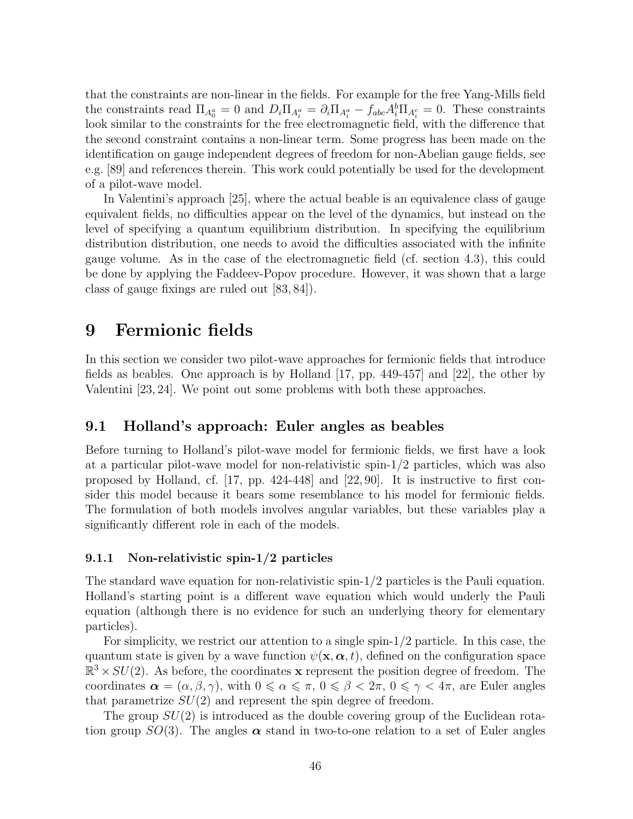that the constraints are non-linear in the fields. For example for the free Yang-Mills field the constraints read  $\Pi_{A_0^a} = 0$  and  $D_i \Pi_{A_i^a} = \partial_i \Pi_{A_i^a} - f_{abc} A_i^b \Pi_{A_i^c} = 0$ . These constraints look similar to the constraints for the free electromagnetic field, with the difference that the second constraint contains a non-linear term. Some progress has been made on the identification on gauge independent degrees of freedom for non-Abelian gauge fields, see e.g. [89] and references therein. This work could potentially be used for the development of a pilot-wave model.

In Valentini's approach [25], where the actual beable is an equivalence class of gauge equivalent fields, no difficulties appear on the level of the dynamics, but instead on the level of specifying a quantum equilibrium distribution. In specifying the equilibrium distribution distribution, one needs to avoid the difficulties associated with the infinite gauge volume. As in the case of the electromagnetic field (cf. section 4.3), this could be done by applying the Faddeev-Popov procedure. However, it was shown that a large class of gauge fixings are ruled out [83, 84]).

## 9 Fermionic fields

In this section we consider two pilot-wave approaches for fermionic fields that introduce fields as beables. One approach is by Holland [17, pp. 449-457] and [22], the other by Valentini [23, 24]. We point out some problems with both these approaches.

### 9.1 Holland's approach: Euler angles as beables

Before turning to Holland's pilot-wave model for fermionic fields, we first have a look at a particular pilot-wave model for non-relativistic spin-1/2 particles, which was also proposed by Holland, cf. [17, pp. 424-448] and [22, 90]. It is instructive to first consider this model because it bears some resemblance to his model for fermionic fields. The formulation of both models involves angular variables, but these variables play a significantly different role in each of the models.

### 9.1.1 Non-relativistic spin-1/2 particles

The standard wave equation for non-relativistic spin-1/2 particles is the Pauli equation. Holland's starting point is a different wave equation which would underly the Pauli equation (although there is no evidence for such an underlying theory for elementary particles).

For simplicity, we restrict our attention to a single spin-1/2 particle. In this case, the quantum state is given by a wave function  $\psi(\mathbf{x}, \alpha, t)$ , defined on the configuration space  $\mathbb{R}^3 \times SU(2)$ . As before, the coordinates **x** represent the position degree of freedom. The coordinates  $\alpha = (\alpha, \beta, \gamma)$ , with  $0 \le \alpha \le \pi$ ,  $0 \le \beta < 2\pi$ ,  $0 \le \gamma < 4\pi$ , are Euler angles that parametrize  $SU(2)$  and represent the spin degree of freedom.

The group  $SU(2)$  is introduced as the double covering group of the Euclidean rotation group  $SO(3)$ . The angles  $\alpha$  stand in two-to-one relation to a set of Euler angles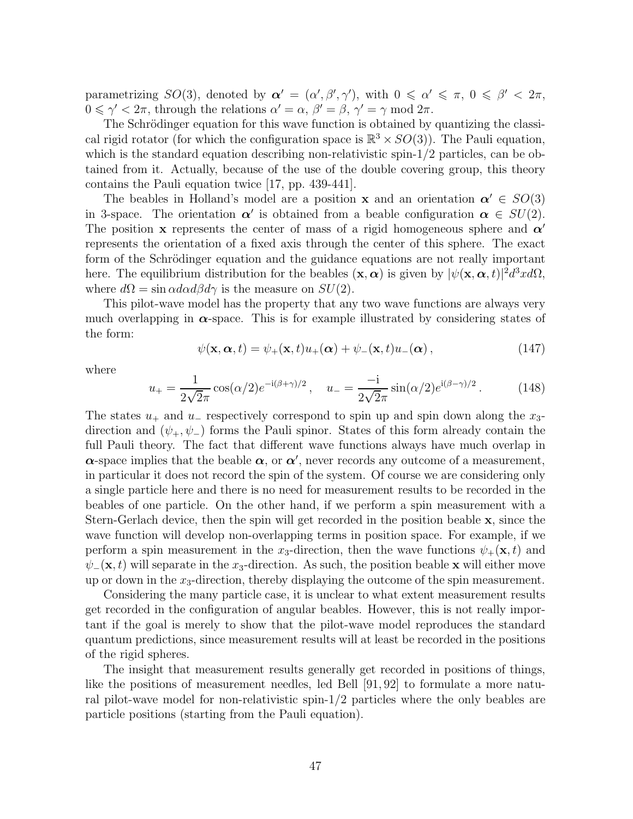parametrizing  $SO(3)$ , denoted by  $\alpha' = (\alpha', \beta', \gamma')$ , with  $0 \le \alpha' \le \pi$ ,  $0 \le \beta' < 2\pi$ ,  $0 \le \gamma' < 2\pi$ , through the relations  $\alpha' = \alpha$ ,  $\beta' = \beta$ ,  $\gamma' = \gamma \mod 2\pi$ .

The Schrödinger equation for this wave function is obtained by quantizing the classical rigid rotator (for which the configuration space is  $\mathbb{R}^3 \times SO(3)$ ). The Pauli equation, which is the standard equation describing non-relativistic spin-1/2 particles, can be obtained from it. Actually, because of the use of the double covering group, this theory contains the Pauli equation twice [17, pp. 439-441].

The beables in Holland's model are a position **x** and an orientation  $\alpha' \in SO(3)$ in 3-space. The orientation  $\alpha'$  is obtained from a beable configuration  $\alpha \in SU(2)$ . The position x represents the center of mass of a rigid homogeneous sphere and  $\alpha'$ represents the orientation of a fixed axis through the center of this sphere. The exact form of the Schrödinger equation and the guidance equations are not really important here. The equilibrium distribution for the beables  $(\mathbf{x}, \alpha)$  is given by  $|\psi(\mathbf{x}, \alpha, t)|^2 d^3x d\Omega$ , where  $d\Omega = \sin \alpha d\alpha d\beta d\gamma$  is the measure on  $SU(2)$ .

This pilot-wave model has the property that any two wave functions are always very much overlapping in  $\alpha$ -space. This is for example illustrated by considering states of the form:

$$
\psi(\mathbf{x}, \boldsymbol{\alpha}, t) = \psi_+(\mathbf{x}, t)u_+(\boldsymbol{\alpha}) + \psi_-(\mathbf{x}, t)u_-(\boldsymbol{\alpha}), \qquad (147)
$$

where

$$
u_{+} = \frac{1}{2\sqrt{2}\pi} \cos(\alpha/2) e^{-i(\beta + \gamma)/2}, \quad u_{-} = \frac{-i}{2\sqrt{2}\pi} \sin(\alpha/2) e^{i(\beta - \gamma)/2}.
$$
 (148)

The states  $u_+$  and  $u_-$  respectively correspond to spin up and spin down along the  $x_3$ direction and  $(\psi_+, \psi_-)$  forms the Pauli spinor. States of this form already contain the full Pauli theory. The fact that different wave functions always have much overlap in  $\alpha$ -space implies that the beable  $\alpha$ , or  $\alpha'$ , never records any outcome of a measurement, in particular it does not record the spin of the system. Of course we are considering only a single particle here and there is no need for measurement results to be recorded in the beables of one particle. On the other hand, if we perform a spin measurement with a Stern-Gerlach device, then the spin will get recorded in the position beable x, since the wave function will develop non-overlapping terms in position space. For example, if we perform a spin measurement in the x<sub>3</sub>-direction, then the wave functions  $\psi_+(\mathbf{x}, t)$  and  $\psi_-(\mathbf{x},t)$  will separate in the x<sub>3</sub>-direction. As such, the position beable x will either move up or down in the  $x_3$ -direction, thereby displaying the outcome of the spin measurement.

Considering the many particle case, it is unclear to what extent measurement results get recorded in the configuration of angular beables. However, this is not really important if the goal is merely to show that the pilot-wave model reproduces the standard quantum predictions, since measurement results will at least be recorded in the positions of the rigid spheres.

The insight that measurement results generally get recorded in positions of things, like the positions of measurement needles, led Bell [91, 92] to formulate a more natural pilot-wave model for non-relativistic spin-1/2 particles where the only beables are particle positions (starting from the Pauli equation).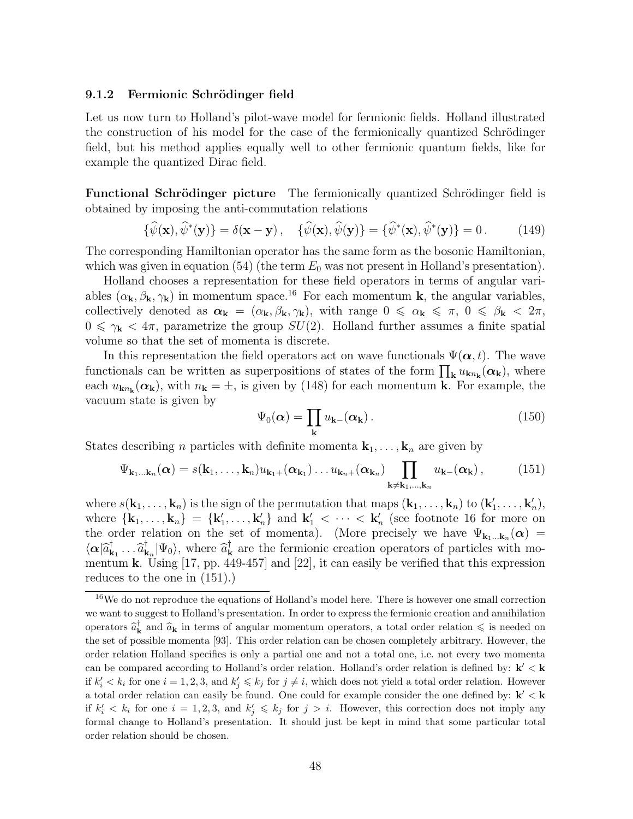#### 9.1.2 Fermionic Schrödinger field

Let us now turn to Holland's pilot-wave model for fermionic fields. Holland illustrated the construction of his model for the case of the fermionically quantized Schrödinger field, but his method applies equally well to other fermionic quantum fields, like for example the quantized Dirac field.

**Functional Schrödinger picture** The fermionically quantized Schrödinger field is obtained by imposing the anti-commutation relations

$$
\{\widehat{\psi}(\mathbf{x}),\widehat{\psi}^*(\mathbf{y})\} = \delta(\mathbf{x} - \mathbf{y}), \quad \{\widehat{\psi}(\mathbf{x}),\widehat{\psi}(\mathbf{y})\} = \{\widehat{\psi}^*(\mathbf{x}),\widehat{\psi}^*(\mathbf{y})\} = 0. \tag{149}
$$

The corresponding Hamiltonian operator has the same form as the bosonic Hamiltonian, which was given in equation (54) (the term  $E_0$  was not present in Holland's presentation).

Holland chooses a representation for these field operators in terms of angular variables  $(\alpha_k, \beta_k, \gamma_k)$  in momentum space.<sup>16</sup> For each momentum k, the angular variables, collectively denoted as  $\alpha_{\mathbf{k}} = (\alpha_{\mathbf{k}}, \beta_{\mathbf{k}}, \gamma_{\mathbf{k}})$ , with range  $0 \le \alpha_{\mathbf{k}} \le \pi$ ,  $0 \le \beta_{\mathbf{k}} < 2\pi$ ,  $0 \leq \gamma_{\mathbf{k}} < 4\pi$ , parametrize the group  $SU(2)$ . Holland further assumes a finite spatial volume so that the set of momenta is discrete.

In this representation the field operators act on wave functionals  $\Psi(\alpha, t)$ . The wave functionals can be written as superpositions of states of the form  $\prod_{\mathbf{k}} u_{\mathbf{k}n_{\mathbf{k}}}(\alpha_{\mathbf{k}})$ , where each  $u_{\mathbf{k}n_{\mathbf{k}}}(\alpha_{\mathbf{k}})$ , with  $n_{\mathbf{k}} = \pm$ , is given by (148) for each momentum **k**. For example, the vacuum state is given by

$$
\Psi_0(\alpha) = \prod_{\mathbf{k}} u_{\mathbf{k}-}(\alpha_{\mathbf{k}}).
$$
\n(150)

States describing *n* particles with definite momenta  $\mathbf{k}_1, \ldots, \mathbf{k}_n$  are given by

$$
\Psi_{\mathbf{k}_1\ldots\mathbf{k}_n}(\boldsymbol{\alpha})=s(\mathbf{k}_1,\ldots,\mathbf{k}_n)u_{\mathbf{k}_1+}(\boldsymbol{\alpha}_{\mathbf{k}_1})\ldots u_{\mathbf{k}_n+}(\boldsymbol{\alpha}_{\mathbf{k}_n})\prod_{\mathbf{k}\neq\mathbf{k}_1,\ldots,\mathbf{k}_n}u_{\mathbf{k}-}(\boldsymbol{\alpha}_{\mathbf{k}}),
$$
\n(151)

where  $s(\mathbf{k}_1,\ldots,\mathbf{k}_n)$  is the sign of the permutation that maps  $(\mathbf{k}_1,\ldots,\mathbf{k}_n)$  to  $(\mathbf{k}'_1,\ldots,\mathbf{k}'_n)$ , where  $\{\mathbf k_1,\ldots,\mathbf k_n\} = \{\mathbf k'_1,\ldots,\mathbf k'_n\}$  and  $\mathbf k'_1 < \cdots < \mathbf k'_n$  (see footnote 16 for more on the order relation on the set of momenta). (More precisely we have  $\Psi_{\mathbf{k}_1...\mathbf{k}_n}(\boldsymbol{\alpha}) =$  $\langle \alpha | \hat{a}_{\mathbf{k}_1}^{\dagger} \dots \hat{a}_{\mathbf{k}_n}^{\dagger} | \Psi_0 \rangle$ , where  $\hat{a}_{\mathbf{k}}^{\dagger}$  are the fermionic creation operators of particles with momentum k. Using [17, pp. 449-457] and [22], it can easily be verified that this expression reduces to the one in (151).)

<sup>&</sup>lt;sup>16</sup>We do not reproduce the equations of Holland's model here. There is however one small correction we want to suggest to Holland's presentation. In order to express the fermionic creation and annihilation operators  $\hat{a}_{\mathbf{k}}^{\dagger}$  and  $\hat{a}_{\mathbf{k}}$  in terms of angular momentum operators, a total order relation  $\leq$  is needed on the set of possible momenta [93]. This order relation can be chosen completely arbitrary. However, the order relation Holland specifies is only a partial one and not a total one, i.e. not every two momenta can be compared according to Holland's order relation. Holland's order relation is defined by:  $k' < k$ if  $k'_i < k_i$  for one  $i = 1, 2, 3$ , and  $k'_j \leq k_j$  for  $j \neq i$ , which does not yield a total order relation. However a total order relation can easily be found. One could for example consider the one defined by:  $k' < k$ if  $k'_i < k_i$  for one  $i = 1, 2, 3$ , and  $k'_j \leq k_j$  for  $j > i$ . However, this correction does not imply any formal change to Holland's presentation. It should just be kept in mind that some particular total order relation should be chosen.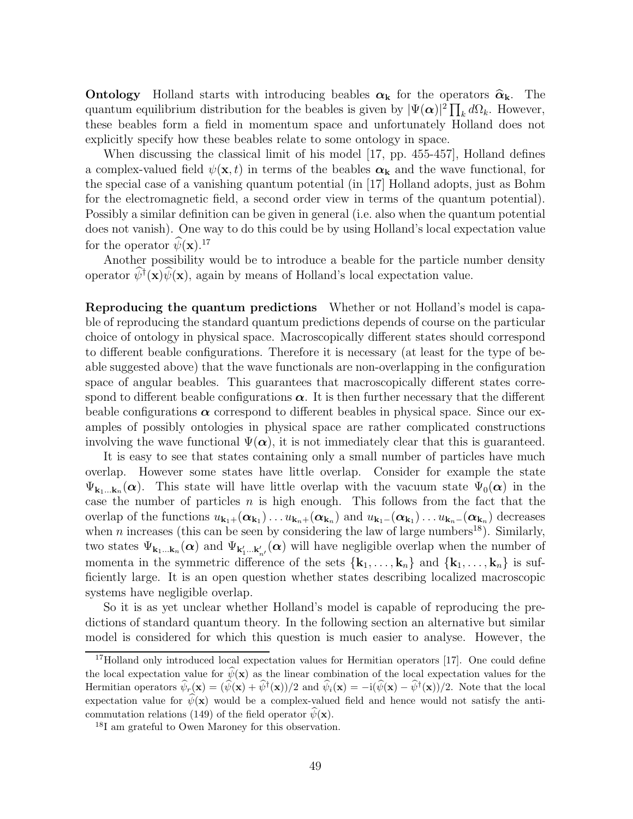**Ontology** Holland starts with introducing beables  $\alpha_k$  for the operators  $\hat{\alpha}_k$ . The quantum equilibrium distribution for the beables is given by  $|\Psi(\alpha)|^2 \prod_k d\Omega_k$ . However, these beables form a field in momentum space and unfortunately Holland does not explicitly specify how these beables relate to some ontology in space.

When discussing the classical limit of his model [17, pp. 455-457], Holland defines a complex-valued field  $\psi(\mathbf{x},t)$  in terms of the beables  $\alpha_k$  and the wave functional, for the special case of a vanishing quantum potential (in [17] Holland adopts, just as Bohm for the electromagnetic field, a second order view in terms of the quantum potential). Possibly a similar definition can be given in general (i.e. also when the quantum potential does not vanish). One way to do this could be by using Holland's local expectation value for the operator  $\hat{\psi}(\mathbf{x})$ .<sup>17</sup>

Another possibility would be to introduce a beable for the particle number density operator  $\psi^{\dagger}(\mathbf{x})\psi(\mathbf{x})$ , again by means of Holland's local expectation value.

Reproducing the quantum predictions Whether or not Holland's model is capable of reproducing the standard quantum predictions depends of course on the particular choice of ontology in physical space. Macroscopically different states should correspond to different beable configurations. Therefore it is necessary (at least for the type of beable suggested above) that the wave functionals are non-overlapping in the configuration space of angular beables. This guarantees that macroscopically different states correspond to different beable configurations  $\alpha$ . It is then further necessary that the different beable configurations  $\alpha$  correspond to different beables in physical space. Since our examples of possibly ontologies in physical space are rather complicated constructions involving the wave functional  $\Psi(\boldsymbol{\alpha})$ , it is not immediately clear that this is guaranteed.

It is easy to see that states containing only a small number of particles have much overlap. However some states have little overlap. Consider for example the state  $\Psi_{\mathbf{k}_1...\mathbf{k}_n}(\boldsymbol{\alpha})$ . This state will have little overlap with the vacuum state  $\Psi_0(\boldsymbol{\alpha})$  in the case the number of particles  $n$  is high enough. This follows from the fact that the overlap of the functions  $u_{\mathbf{k}_1+}(\boldsymbol{\alpha}_{\mathbf{k}_1})\dots u_{\mathbf{k}_n+}(\boldsymbol{\alpha}_{\mathbf{k}_n})$  and  $u_{\mathbf{k}_1-}(\boldsymbol{\alpha}_{\mathbf{k}_1})\dots u_{\mathbf{k}_n-}(\boldsymbol{\alpha}_{\mathbf{k}_n})$  decreases when *n* increases (this can be seen by considering the law of large numbers<sup>18</sup>). Similarly, two states  $\Psi_{\mathbf{k}_1...\mathbf{k}_n}(\alpha)$  and  $\Psi_{\mathbf{k}'_1...\mathbf{k}'_{n'}}(\alpha)$  will have negligible overlap when the number of momenta in the symmetric difference of the sets  $\{k_1, \ldots, k_n\}$  and  $\{k_1, \ldots, k_n\}$  is sufficiently large. It is an open question whether states describing localized macroscopic systems have negligible overlap.

So it is as yet unclear whether Holland's model is capable of reproducing the predictions of standard quantum theory. In the following section an alternative but similar model is considered for which this question is much easier to analyse. However, the

<sup>&</sup>lt;sup>17</sup>Holland only introduced local expectation values for Hermitian operators [17]. One could define the local expectation value for  $\hat{\psi}(\mathbf{x})$  as the linear combination of the local expectation values for the Hermitian operators  $\widehat{\psi}_r(\mathbf{x}) = (\widehat{\psi}(\mathbf{x}) + \widehat{\psi}^{\dagger}(\mathbf{x}))/2$  and  $\widehat{\psi}_i(\mathbf{x}) = -i(\widehat{\psi}(\mathbf{x}) - \widehat{\psi}^{\dagger}(\mathbf{x}))/2$ . Note that the local expectation value for  $\psi(\mathbf{x})$  would be a complex-valued field and hence would not satisfy the anticommutation relations (149) of the field operator  $\psi(\mathbf{x})$ .

<sup>&</sup>lt;sup>18</sup>I am grateful to Owen Maroney for this observation.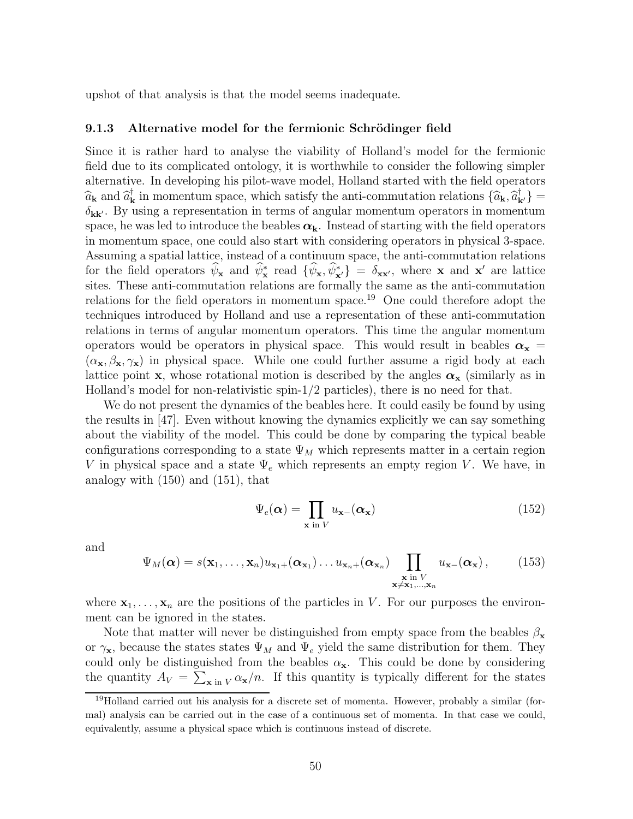upshot of that analysis is that the model seems inadequate.

#### 9.1.3 Alternative model for the fermionic Schrödinger field

Since it is rather hard to analyse the viability of Holland's model for the fermionic field due to its complicated ontology, it is worthwhile to consider the following simpler alternative. In developing his pilot-wave model, Holland started with the field operators  $\hat{a}_{\mathbf{k}}$  and  $\hat{a}_{\mathbf{k}}^{\dagger}$  in momentum space, which satisfy the anti-commutation relations  $\{\hat{a}_{\mathbf{k}}, \hat{a}_{\mathbf{k'}}^{\dagger}\}$  $\delta_{kk'}$ . By using a representation in terms of angular momentum operators in momentum space, he was led to introduce the beables  $\alpha_k$ . Instead of starting with the field operators in momentum space, one could also start with considering operators in physical 3-space. Assuming a spatial lattice, instead of a continuum space, the anti-commutation relations for the field operators  $\psi_{\mathbf{x}}$  and  $\psi_{\mathbf{x}}^*$  read  $\{\psi_{\mathbf{x}}, \psi_{\mathbf{x}'}^*\} = \delta_{\mathbf{x} \mathbf{x}'}$ , where **x** and **x'** are lattice sites. These anti-commutation relations are formally the same as the anti-commutation relations for the field operators in momentum space.<sup>19</sup> One could therefore adopt the techniques introduced by Holland and use a representation of these anti-commutation relations in terms of angular momentum operators. This time the angular momentum operators would be operators in physical space. This would result in beables  $\alpha_x$  $(\alpha_{\mathbf{x}}, \beta_{\mathbf{x}}, \gamma_{\mathbf{x}})$  in physical space. While one could further assume a rigid body at each lattice point **x**, whose rotational motion is described by the angles  $\alpha_x$  (similarly as in Holland's model for non-relativistic spin-1/2 particles), there is no need for that.

We do not present the dynamics of the beables here. It could easily be found by using the results in [47]. Even without knowing the dynamics explicitly we can say something about the viability of the model. This could be done by comparing the typical beable configurations corresponding to a state  $\Psi_M$  which represents matter in a certain region V in physical space and a state  $\Psi_e$  which represents an empty region V. We have, in analogy with (150) and (151), that

$$
\Psi_e(\alpha) = \prod_{\mathbf{x} \text{ in } V} u_{\mathbf{x} -}(\alpha_{\mathbf{x}})
$$
\n(152)

and

$$
\Psi_M(\boldsymbol{\alpha}) = s(\mathbf{x}_1, \dots, \mathbf{x}_n) u_{\mathbf{x}_1 +}(\boldsymbol{\alpha}_{\mathbf{x}_1}) \dots u_{\mathbf{x}_n +}(\boldsymbol{\alpha}_{\mathbf{x}_n}) \prod_{\substack{\mathbf{x} \text{ in } V \\ \mathbf{x} \neq \mathbf{x}_1, \dots, \mathbf{x}_n}} u_{\mathbf{x} -}(\boldsymbol{\alpha}_{\mathbf{x}}),
$$
(153)

where  $x_1, \ldots, x_n$  are the positions of the particles in V. For our purposes the environment can be ignored in the states.

Note that matter will never be distinguished from empty space from the beables  $\beta_{\mathbf{x}}$ or  $\gamma_{\mathbf{x}}$ , because the states states  $\Psi_M$  and  $\Psi_e$  yield the same distribution for them. They could only be distinguished from the beables  $\alpha_{x}$ . This could be done by considering the quantity  $A_V = \sum_{\mathbf{x} \in \mathbb{R}^N} \alpha_{\mathbf{x}}/n$ . If this quantity is typically different for the states

<sup>&</sup>lt;sup>19</sup>Holland carried out his analysis for a discrete set of momenta. However, probably a similar (formal) analysis can be carried out in the case of a continuous set of momenta. In that case we could, equivalently, assume a physical space which is continuous instead of discrete.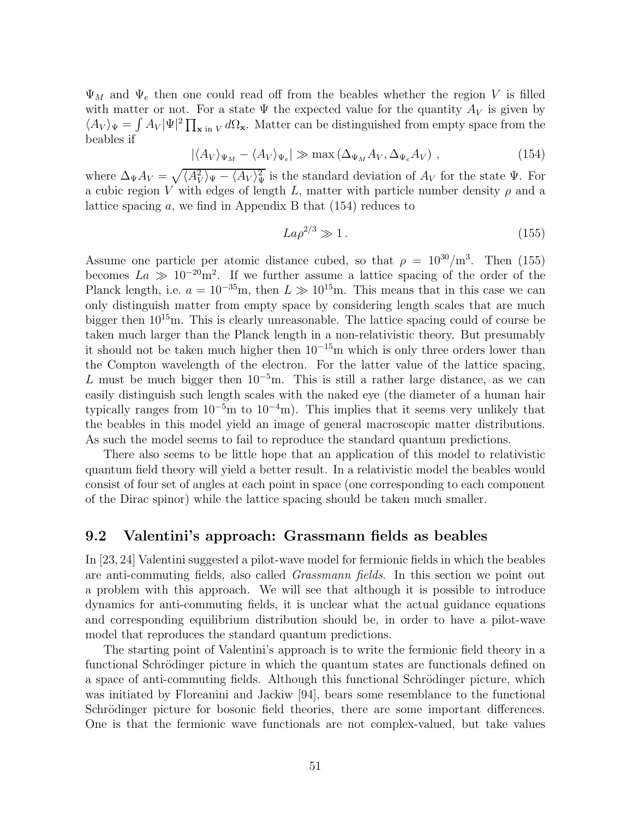$\Psi_M$  and  $\Psi_e$  then one could read off from the beables whether the region V is filled with matter or not. For a state  $\Psi$  the expected value for the quantity  $A_V$  is given by  $\langle A_V \rangle_{\Psi} = \int A_V |\Psi|^2 \prod_{\mathbf{x} \in \mathbb{N}} V d\Omega_{\mathbf{x}}$ . Matter can be distinguished from empty space from the beables if

$$
|\langle A_V \rangle_{\Psi_M} - \langle A_V \rangle_{\Psi_e}| \gg \max\left(\Delta_{\Psi_M} A_V, \Delta_{\Psi_e} A_V\right), \tag{154}
$$

where  $\Delta_{\Psi}A_V = \sqrt{\langle A_V^2 \rangle_{\Psi} - \langle A_V \rangle_{\Psi}^2}$  is the standard deviation of  $A_V$  for the state  $\Psi$ . For a cubic region V with edges of length L, matter with particle number density  $\rho$  and a lattice spacing a, we find in Appendix B that (154) reduces to

$$
La\rho^{2/3} \gg 1. \tag{155}
$$

Assume one particle per atomic distance cubed, so that  $\rho = 10^{30} / \text{m}^3$ . Then (155) becomes  $La \gg 10^{-20}$ m<sup>2</sup>. If we further assume a lattice spacing of the order of the Planck length, i.e.  $a = 10^{-35}$ m, then  $L \gg 10^{15}$ m. This means that in this case we can only distinguish matter from empty space by considering length scales that are much bigger then  $10^{15}$ m. This is clearly unreasonable. The lattice spacing could of course be taken much larger than the Planck length in a non-relativistic theory. But presumably it should not be taken much higher then  $10^{-15}$ m which is only three orders lower than the Compton wavelength of the electron. For the latter value of the lattice spacing, L must be much bigger then  $10^{-5}$ m. This is still a rather large distance, as we can easily distinguish such length scales with the naked eye (the diameter of a human hair typically ranges from  $10^{-5}$ m to  $10^{-4}$ m). This implies that it seems very unlikely that the beables in this model yield an image of general macroscopic matter distributions. As such the model seems to fail to reproduce the standard quantum predictions.

There also seems to be little hope that an application of this model to relativistic quantum field theory will yield a better result. In a relativistic model the beables would consist of four set of angles at each point in space (one corresponding to each component of the Dirac spinor) while the lattice spacing should be taken much smaller.

### 9.2 Valentini's approach: Grassmann fields as beables

In [23, 24] Valentini suggested a pilot-wave model for fermionic fields in which the beables are anti-commuting fields, also called *Grassmann fields*. In this section we point out a problem with this approach. We will see that although it is possible to introduce dynamics for anti-commuting fields, it is unclear what the actual guidance equations and corresponding equilibrium distribution should be, in order to have a pilot-wave model that reproduces the standard quantum predictions.

The starting point of Valentini's approach is to write the fermionic field theory in a functional Schrödinger picture in which the quantum states are functionals defined on a space of anti-commuting fields. Although this functional Schrödinger picture, which was initiated by Floreanini and Jackiw [94], bears some resemblance to the functional Schrödinger picture for bosonic field theories, there are some important differences. One is that the fermionic wave functionals are not complex-valued, but take values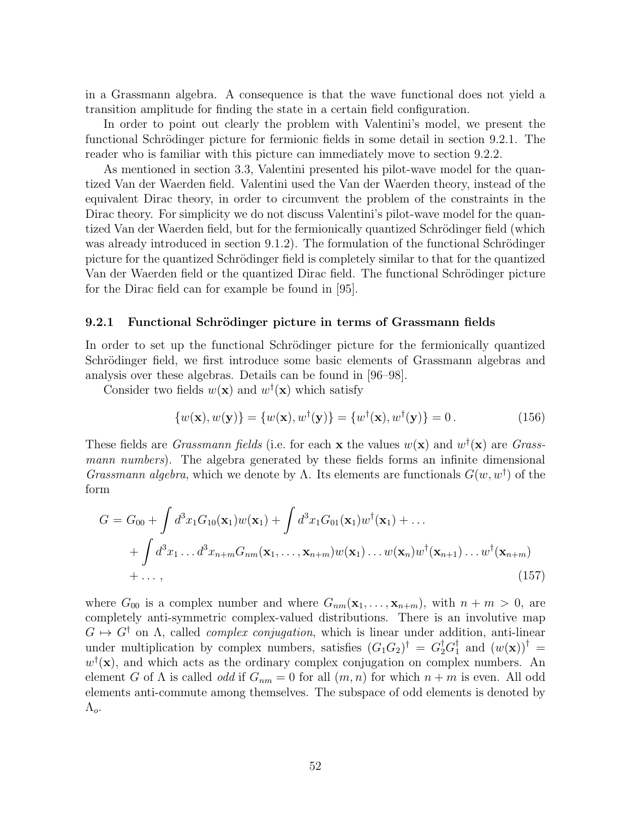in a Grassmann algebra. A consequence is that the wave functional does not yield a transition amplitude for finding the state in a certain field configuration.

In order to point out clearly the problem with Valentini's model, we present the functional Schrödinger picture for fermionic fields in some detail in section 9.2.1. The reader who is familiar with this picture can immediately move to section 9.2.2.

As mentioned in section 3.3, Valentini presented his pilot-wave model for the quantized Van der Waerden field. Valentini used the Van der Waerden theory, instead of the equivalent Dirac theory, in order to circumvent the problem of the constraints in the Dirac theory. For simplicity we do not discuss Valentini's pilot-wave model for the quantized Van der Waerden field, but for the fermionically quantized Schrödinger field (which was already introduced in section  $(9.1.2)$ . The formulation of the functional Schrödinger picture for the quantized Schrödinger field is completely similar to that for the quantized Van der Waerden field or the quantized Dirac field. The functional Schrödinger picture for the Dirac field can for example be found in [95].

#### 9.2.1 Functional Schrödinger picture in terms of Grassmann fields

In order to set up the functional Schrödinger picture for the fermionically quantized Schrödinger field, we first introduce some basic elements of Grassmann algebras and analysis over these algebras. Details can be found in [96–98].

Consider two fields  $w(\mathbf{x})$  and  $w^{\dagger}(\mathbf{x})$  which satisfy

$$
\{w(\mathbf{x}), w(\mathbf{y})\} = \{w(\mathbf{x}), w^{\dagger}(\mathbf{y})\} = \{w^{\dagger}(\mathbf{x}), w^{\dagger}(\mathbf{y})\} = 0.
$$
 (156)

These fields are *Grassmann fields* (i.e. for each **x** the values  $w(\mathbf{x})$  and  $w^{\dagger}(\mathbf{x})$  are *Grassmann numbers*). The algebra generated by these fields forms an infinite dimensional *Grassmann algebra*, which we denote by  $\Lambda$ . Its elements are functionals  $G(w, w^{\dagger})$  of the form

$$
G = G_{00} + \int d^3x_1 G_{10}(\mathbf{x}_1) w(\mathbf{x}_1) + \int d^3x_1 G_{01}(\mathbf{x}_1) w^{\dagger}(\mathbf{x}_1) + \dots
$$
  
+ 
$$
\int d^3x_1 \dots d^3x_{n+m} G_{nm}(\mathbf{x}_1, \dots, \mathbf{x}_{n+m}) w(\mathbf{x}_1) \dots w(\mathbf{x}_n) w^{\dagger}(\mathbf{x}_{n+1}) \dots w^{\dagger}(\mathbf{x}_{n+m})
$$
  
+ 
$$
\dots,
$$
 (157)

where  $G_{00}$  is a complex number and where  $G_{nm}(\mathbf{x}_1,\ldots,\mathbf{x}_{n+m})$ , with  $n+m>0$ , are completely anti-symmetric complex-valued distributions. There is an involutive map  $G \mapsto G^{\dagger}$  on  $\Lambda$ , called *complex conjugation*, which is linear under addition, anti-linear under multiplication by complex numbers, satisfies  $(G_1G_2)^{\dagger} = G_2^{\dagger}G_1^{\dagger}$  and  $(w(\mathbf{x}))^{\dagger} =$  $w^{\dagger}(\mathbf{x})$ , and which acts as the ordinary complex conjugation on complex numbers. An element G of  $\Lambda$  is called *odd* if  $G_{nm} = 0$  for all  $(m, n)$  for which  $n + m$  is even. All odd elements anti-commute among themselves. The subspace of odd elements is denoted by  $\Lambda_o$ .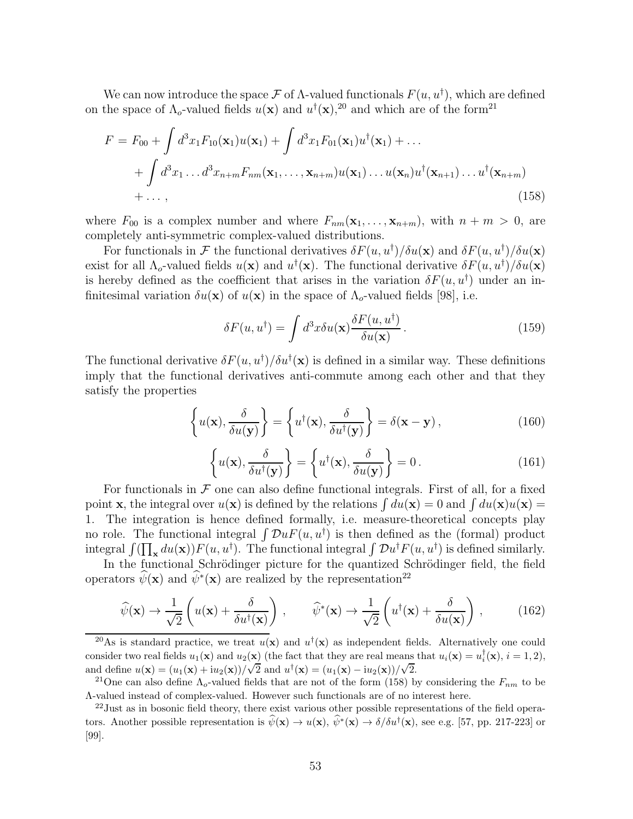We can now introduce the space  $\mathcal F$  of  $\Lambda$ -valued functionals  $F(u, u^{\dagger})$ , which are defined on the space of  $\Lambda_o$ -valued fields  $u(\mathbf{x})$  and  $u^{\dagger}(\mathbf{x})$ ,<sup>20</sup> and which are of the form<sup>21</sup>

$$
F = F_{00} + \int d^3x_1 F_{10}(\mathbf{x}_1)u(\mathbf{x}_1) + \int d^3x_1 F_{01}(\mathbf{x}_1)u^{\dagger}(\mathbf{x}_1) + \dots
$$
  
+ 
$$
\int d^3x_1 \dots d^3x_{n+m} F_{nm}(\mathbf{x}_1, \dots, \mathbf{x}_{n+m})u(\mathbf{x}_1) \dots u(\mathbf{x}_n)u^{\dagger}(\mathbf{x}_{n+1}) \dots u^{\dagger}(\mathbf{x}_{n+m})
$$
  
+ 
$$
\dots,
$$
 (158)

where  $F_{00}$  is a complex number and where  $F_{nm}(\mathbf{x}_1, \ldots, \mathbf{x}_{n+m})$ , with  $n + m > 0$ , are completely anti-symmetric complex-valued distributions.

For functionals in F the functional derivatives  $\delta F(u, u^{\dagger})/\delta u(\mathbf{x})$  and  $\delta F(u, u^{\dagger})/\delta u(\mathbf{x})$ exist for all  $\Lambda_o$ -valued fields  $u(\mathbf{x})$  and  $u^{\dagger}(\mathbf{x})$ . The functional derivative  $\delta F(u, u^{\dagger})/\delta u(\mathbf{x})$ is hereby defined as the coefficient that arises in the variation  $\delta F(u, u^{\dagger})$  under an infinitesimal variation  $\delta u(\mathbf{x})$  of  $u(\mathbf{x})$  in the space of  $\Lambda_o$ -valued fields [98], i.e.

$$
\delta F(u, u^{\dagger}) = \int d^3x \delta u(\mathbf{x}) \frac{\delta F(u, u^{\dagger})}{\delta u(\mathbf{x})}.
$$
 (159)

The functional derivative  $\delta F(u, u^{\dagger})/\delta u^{\dagger}(\mathbf{x})$  is defined in a similar way. These definitions imply that the functional derivatives anti-commute among each other and that they satisfy the properties

$$
\left\{ u(\mathbf{x}), \frac{\delta}{\delta u(\mathbf{y})} \right\} = \left\{ u^{\dagger}(\mathbf{x}), \frac{\delta}{\delta u^{\dagger}(\mathbf{y})} \right\} = \delta(\mathbf{x} - \mathbf{y}), \tag{160}
$$

$$
\left\{ u(\mathbf{x}), \frac{\delta}{\delta u^{\dagger}(\mathbf{y})} \right\} = \left\{ u^{\dagger}(\mathbf{x}), \frac{\delta}{\delta u(\mathbf{y})} \right\} = 0.
$$
 (161)

For functionals in  $\mathcal F$  one can also define functional integrals. First of all, for a fixed point **x**, the integral over  $u(\mathbf{x})$  is defined by the relations  $\int du(\mathbf{x}) = 0$  and  $\int du(\mathbf{x})u(\mathbf{x}) = 0$ 1. The integration is hence defined formally, i.e. measure-theoretical concepts play no role. The functional integral  $\int \mathcal{D}u F(u, u^{\dagger})$  is then defined as the (formal) product integral  $\int (\prod_{\mathbf{x}} du(\mathbf{x})) F(u, u^{\dagger})$ . The functional integral  $\int \mathcal{D}u^{\dagger} F(u, u^{\dagger})$  is defined similarly.

In the functional Schrödinger picture for the quantized Schrödinger field, the field operators  $\hat{\psi}(\mathbf{x})$  and  $\hat{\psi}^*(\mathbf{x})$  are realized by the representation<sup>22</sup>

$$
\widehat{\psi}(\mathbf{x}) \to \frac{1}{\sqrt{2}} \left( u(\mathbf{x}) + \frac{\delta}{\delta u^{\dagger}(\mathbf{x})} \right) , \qquad \widehat{\psi}^*(\mathbf{x}) \to \frac{1}{\sqrt{2}} \left( u^{\dagger}(\mathbf{x}) + \frac{\delta}{\delta u(\mathbf{x})} \right) , \qquad (162)
$$

<sup>&</sup>lt;sup>20</sup>As is standard practice, we treat  $u(\mathbf{x})$  and  $u^{\dagger}(\mathbf{x})$  as independent fields. Alternatively one could consider two real fields  $u_1(\mathbf{x})$  and  $u_2(\mathbf{x})$  (the fact that they are real means that  $u_i(\mathbf{x}) = u_i^{\dagger}(\mathbf{x}), i = 1, 2$ ), and define  $u(\mathbf{x}) = (u_1(\mathbf{x}) + iu_2(\mathbf{x}))/\sqrt{2}$  and  $u^{\dagger}(\mathbf{x}) = (u_1(\mathbf{x}) - iu_2(\mathbf{x}))/\sqrt{2}$ .

<sup>&</sup>lt;sup>21</sup>One can also define  $\Lambda_o$ -valued fields that are not of the form (158) by considering the  $F_{nm}$  to be Λ-valued instead of complex-valued. However such functionals are of no interest here.

 $22$ Just as in bosonic field theory, there exist various other possible representations of the field operators. Another possible representation is  $\hat{\psi}(\mathbf{x}) \to u(\mathbf{x}), \hat{\psi}^*(\mathbf{x}) \to \delta/\delta u^{\dagger}(\mathbf{x})$ , see e.g. [57, pp. 217-223] or [99].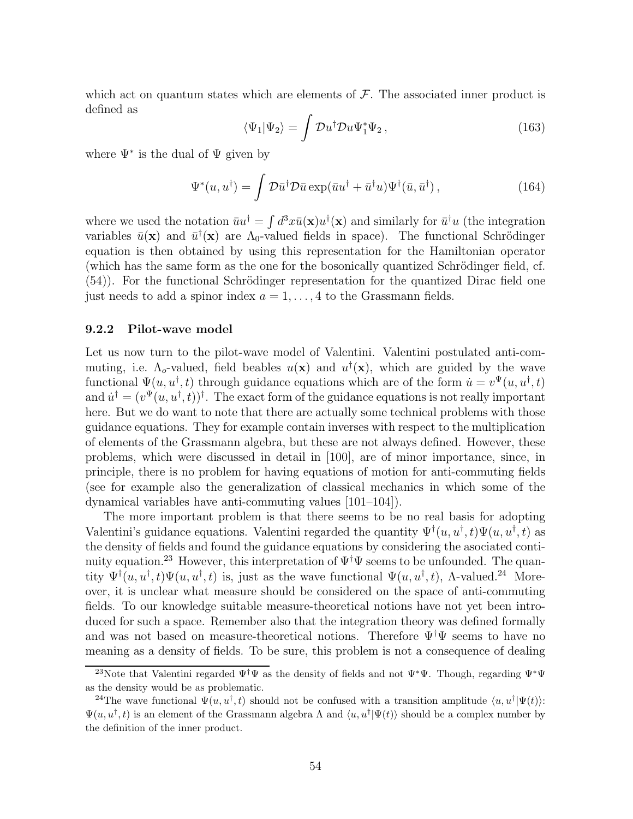which act on quantum states which are elements of  $\mathcal{F}$ . The associated inner product is defined as

$$
\langle \Psi_1 | \Psi_2 \rangle = \int \mathcal{D}u^\dagger \mathcal{D}u \Psi_1^* \Psi_2 , \qquad (163)
$$

where  $\Psi^*$  is the dual of  $\Psi$  given by

$$
\Psi^*(u, u^\dagger) = \int \mathcal{D}\bar{u}^\dagger \mathcal{D}\bar{u} \exp(\bar{u}u^\dagger + \bar{u}^\dagger u)\Psi^\dagger(\bar{u}, \bar{u}^\dagger), \qquad (164)
$$

where we used the notation  $\bar{u}u^{\dagger} = \int d^3x \bar{u}(\mathbf{x})u^{\dagger}(\mathbf{x})$  and similarly for  $\bar{u}^{\dagger}u$  (the integration variables  $\bar{u}(\mathbf{x})$  and  $\bar{u}^{\dagger}(\mathbf{x})$  are  $\Lambda_0$ -valued fields in space). The functional Schrödinger equation is then obtained by using this representation for the Hamiltonian operator (which has the same form as the one for the bosonically quantized Schrödinger field, cf.  $(54)$ ). For the functional Schrödinger representation for the quantized Dirac field one just needs to add a spinor index  $a = 1, \ldots, 4$  to the Grassmann fields.

#### 9.2.2 Pilot-wave model

Let us now turn to the pilot-wave model of Valentini. Valentini postulated anti-commuting, i.e.  $\Lambda_o$ -valued, field beables  $u(\mathbf{x})$  and  $u^{\dagger}(\mathbf{x})$ , which are guided by the wave functional  $\Psi(u, u^{\dagger}, t)$  through guidance equations which are of the form  $\dot{u} = v^{\Psi}(u, u^{\dagger}, t)$ and  $\dot{u}^{\dagger} = (v^{\Psi}(u, u^{\dagger}, t))^{\dagger}$ . The exact form of the guidance equations is not really important here. But we do want to note that there are actually some technical problems with those guidance equations. They for example contain inverses with respect to the multiplication of elements of the Grassmann algebra, but these are not always defined. However, these problems, which were discussed in detail in [100], are of minor importance, since, in principle, there is no problem for having equations of motion for anti-commuting fields (see for example also the generalization of classical mechanics in which some of the dynamical variables have anti-commuting values [101–104]).

The more important problem is that there seems to be no real basis for adopting Valentini's guidance equations. Valentini regarded the quantity  $\Psi^{\dagger}(u, u^{\dagger}, t)\Psi(u, u^{\dagger}, t)$  as the density of fields and found the guidance equations by considering the asociated continuity equation.<sup>23</sup> However, this interpretation of  $\Psi^{\dagger}\Psi$  seems to be unfounded. The quantity  $\Psi^{\dagger}(u, u^{\dagger}, t) \Psi(u, u^{\dagger}, t)$  is, just as the wave functional  $\Psi(u, u^{\dagger}, t)$ , A-valued.<sup>24</sup> Moreover, it is unclear what measure should be considered on the space of anti-commuting fields. To our knowledge suitable measure-theoretical notions have not yet been introduced for such a space. Remember also that the integration theory was defined formally and was not based on measure-theoretical notions. Therefore  $\Psi^{\dagger}\Psi$  seems to have no meaning as a density of fields. To be sure, this problem is not a consequence of dealing

<sup>&</sup>lt;sup>23</sup>Note that Valentini regarded  $\Psi^{\dagger}\Psi$  as the density of fields and not  $\Psi^*\Psi$ . Though, regarding  $\Psi^*\Psi$ as the density would be as problematic.

<sup>&</sup>lt;sup>24</sup>The wave functional  $\Psi(u, u^{\dagger}, t)$  should not be confused with a transition amplitude  $\langle u, u^{\dagger} | \Psi(t) \rangle$ :  $\Psi(u, u^{\dagger}, t)$  is an element of the Grassmann algebra  $\Lambda$  and  $\langle u, u^{\dagger} | \Psi(t) \rangle$  should be a complex number by the definition of the inner product.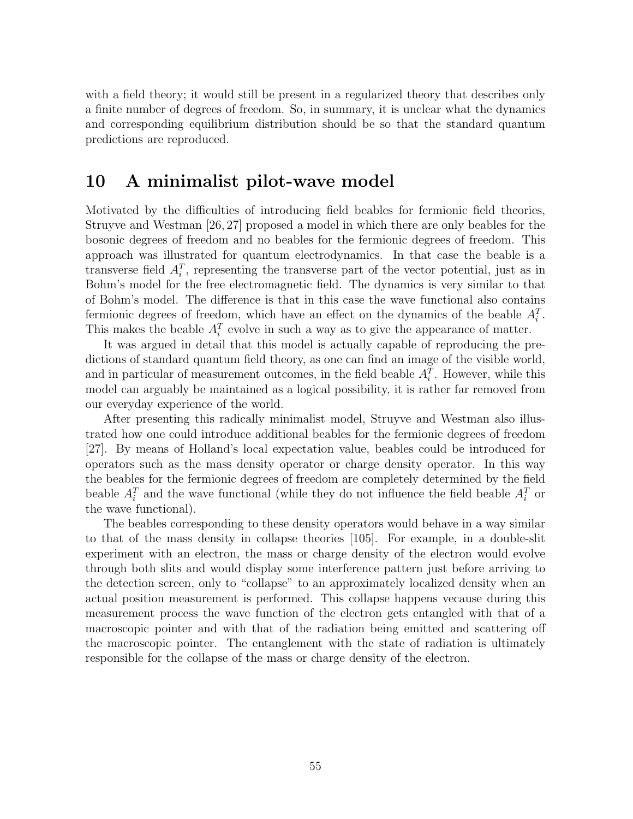with a field theory; it would still be present in a regularized theory that describes only a finite number of degrees of freedom. So, in summary, it is unclear what the dynamics and corresponding equilibrium distribution should be so that the standard quantum predictions are reproduced.

## 10 A minimalist pilot-wave model

Motivated by the difficulties of introducing field beables for fermionic field theories, Struyve and Westman [26, 27] proposed a model in which there are only beables for the bosonic degrees of freedom and no beables for the fermionic degrees of freedom. This approach was illustrated for quantum electrodynamics. In that case the beable is a transverse field  $A_i^T$ , representing the transverse part of the vector potential, just as in Bohm's model for the free electromagnetic field. The dynamics is very similar to that of Bohm's model. The difference is that in this case the wave functional also contains fermionic degrees of freedom, which have an effect on the dynamics of the beable  $A_i^T$ . This makes the beable  $A_i^T$  evolve in such a way as to give the appearance of matter.

It was argued in detail that this model is actually capable of reproducing the predictions of standard quantum field theory, as one can find an image of the visible world, and in particular of measurement outcomes, in the field beable  $A_i^T$ . However, while this model can arguably be maintained as a logical possibility, it is rather far removed from our everyday experience of the world.

After presenting this radically minimalist model, Struyve and Westman also illustrated how one could introduce additional beables for the fermionic degrees of freedom [27]. By means of Holland's local expectation value, beables could be introduced for operators such as the mass density operator or charge density operator. In this way the beables for the fermionic degrees of freedom are completely determined by the field beable  $A_i^T$  and the wave functional (while they do not influence the field beable  $A_i^T$  or the wave functional).

The beables corresponding to these density operators would behave in a way similar to that of the mass density in collapse theories [105]. For example, in a double-slit experiment with an electron, the mass or charge density of the electron would evolve through both slits and would display some interference pattern just before arriving to the detection screen, only to "collapse" to an approximately localized density when an actual position measurement is performed. This collapse happens vecause during this measurement process the wave function of the electron gets entangled with that of a macroscopic pointer and with that of the radiation being emitted and scattering off the macroscopic pointer. The entanglement with the state of radiation is ultimately responsible for the collapse of the mass or charge density of the electron.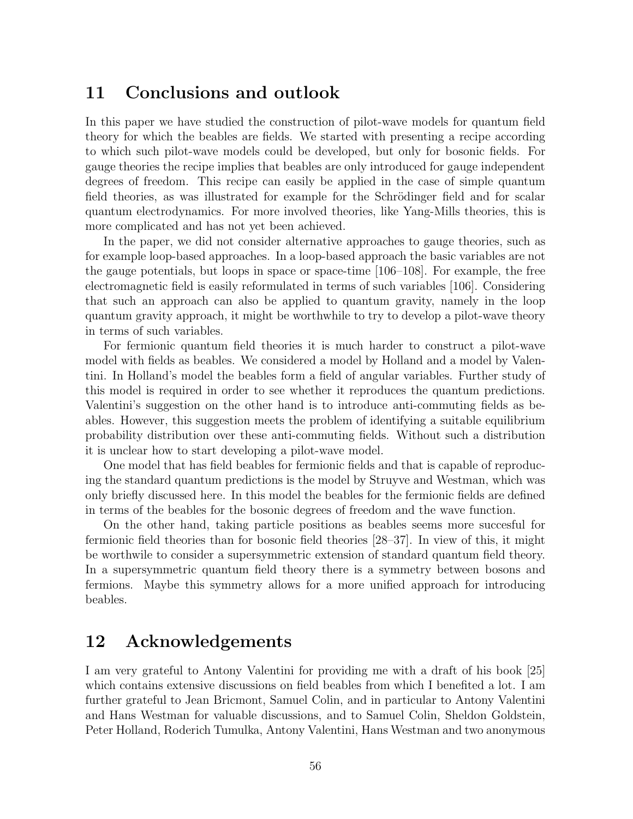## 11 Conclusions and outlook

In this paper we have studied the construction of pilot-wave models for quantum field theory for which the beables are fields. We started with presenting a recipe according to which such pilot-wave models could be developed, but only for bosonic fields. For gauge theories the recipe implies that beables are only introduced for gauge independent degrees of freedom. This recipe can easily be applied in the case of simple quantum field theories, as was illustrated for example for the Schrödinger field and for scalar quantum electrodynamics. For more involved theories, like Yang-Mills theories, this is more complicated and has not yet been achieved.

In the paper, we did not consider alternative approaches to gauge theories, such as for example loop-based approaches. In a loop-based approach the basic variables are not the gauge potentials, but loops in space or space-time [106–108]. For example, the free electromagnetic field is easily reformulated in terms of such variables [106]. Considering that such an approach can also be applied to quantum gravity, namely in the loop quantum gravity approach, it might be worthwhile to try to develop a pilot-wave theory in terms of such variables.

For fermionic quantum field theories it is much harder to construct a pilot-wave model with fields as beables. We considered a model by Holland and a model by Valentini. In Holland's model the beables form a field of angular variables. Further study of this model is required in order to see whether it reproduces the quantum predictions. Valentini's suggestion on the other hand is to introduce anti-commuting fields as beables. However, this suggestion meets the problem of identifying a suitable equilibrium probability distribution over these anti-commuting fields. Without such a distribution it is unclear how to start developing a pilot-wave model.

One model that has field beables for fermionic fields and that is capable of reproducing the standard quantum predictions is the model by Struyve and Westman, which was only briefly discussed here. In this model the beables for the fermionic fields are defined in terms of the beables for the bosonic degrees of freedom and the wave function.

On the other hand, taking particle positions as beables seems more succesful for fermionic field theories than for bosonic field theories [28–37]. In view of this, it might be worthwile to consider a supersymmetric extension of standard quantum field theory. In a supersymmetric quantum field theory there is a symmetry between bosons and fermions. Maybe this symmetry allows for a more unified approach for introducing beables.

## 12 Acknowledgements

I am very grateful to Antony Valentini for providing me with a draft of his book [25] which contains extensive discussions on field beables from which I benefited a lot. I am further grateful to Jean Bricmont, Samuel Colin, and in particular to Antony Valentini and Hans Westman for valuable discussions, and to Samuel Colin, Sheldon Goldstein, Peter Holland, Roderich Tumulka, Antony Valentini, Hans Westman and two anonymous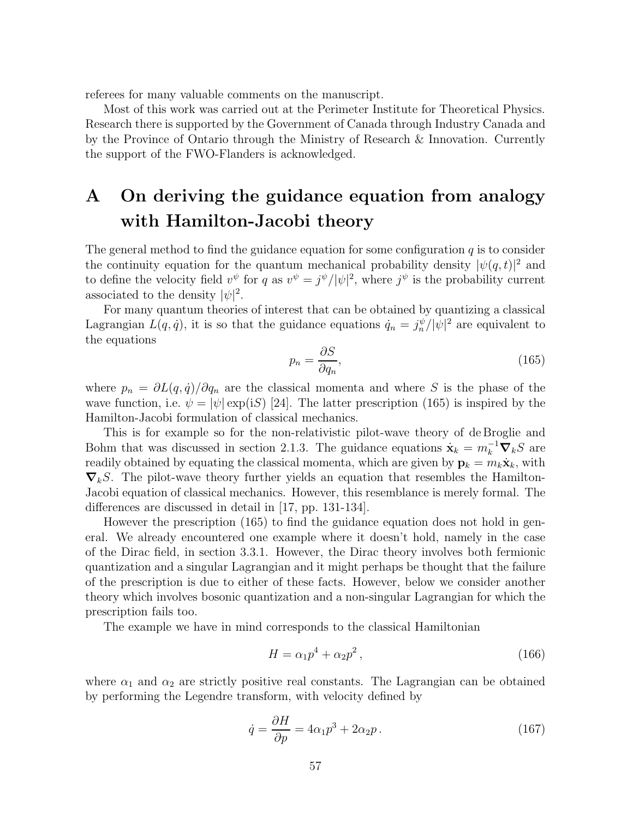referees for many valuable comments on the manuscript.

Most of this work was carried out at the Perimeter Institute for Theoretical Physics. Research there is supported by the Government of Canada through Industry Canada and by the Province of Ontario through the Ministry of Research & Innovation. Currently the support of the FWO-Flanders is acknowledged.

# A On deriving the guidance equation from analogy with Hamilton-Jacobi theory

The general method to find the guidance equation for some configuration  $q$  is to consider the continuity equation for the quantum mechanical probability density  $|\psi(q, t)|^2$  and to define the velocity field  $v^{\psi}$  for q as  $v^{\psi} = j^{\psi}/|\psi|^2$ , where  $j^{\psi}$  is the probability current associated to the density  $|\psi|^2$ .

For many quantum theories of interest that can be obtained by quantizing a classical Lagrangian  $L(q, \dot{q})$ , it is so that the guidance equations  $\dot{q}_n = j_n^{\psi}/|\psi|^2$  are equivalent to the equations

$$
p_n = \frac{\partial S}{\partial q_n},\tag{165}
$$

where  $p_n = \partial L(q, \dot{q})/\partial q_n$  are the classical momenta and where S is the phase of the wave function, i.e.  $\psi = |\psi| \exp(iS)$  [24]. The latter prescription (165) is inspired by the Hamilton-Jacobi formulation of classical mechanics.

This is for example so for the non-relativistic pilot-wave theory of deBroglie and Bohm that was discussed in section 2.1.3. The guidance equations  $\dot{\mathbf{x}}_k = m_k^{-1} \nabla_k S$  are readily obtained by equating the classical momenta, which are given by  $\mathbf{p}_k = m_k \dot{\mathbf{x}}_k$ , with  $\nabla_k S$ . The pilot-wave theory further yields an equation that resembles the Hamilton-Jacobi equation of classical mechanics. However, this resemblance is merely formal. The differences are discussed in detail in [17, pp. 131-134].

However the prescription (165) to find the guidance equation does not hold in general. We already encountered one example where it doesn't hold, namely in the case of the Dirac field, in section 3.3.1. However, the Dirac theory involves both fermionic quantization and a singular Lagrangian and it might perhaps be thought that the failure of the prescription is due to either of these facts. However, below we consider another theory which involves bosonic quantization and a non-singular Lagrangian for which the prescription fails too.

The example we have in mind corresponds to the classical Hamiltonian

$$
H = \alpha_1 p^4 + \alpha_2 p^2 \,,\tag{166}
$$

where  $\alpha_1$  and  $\alpha_2$  are strictly positive real constants. The Lagrangian can be obtained by performing the Legendre transform, with velocity defined by

$$
\dot{q} = \frac{\partial H}{\partial p} = 4\alpha_1 p^3 + 2\alpha_2 p. \tag{167}
$$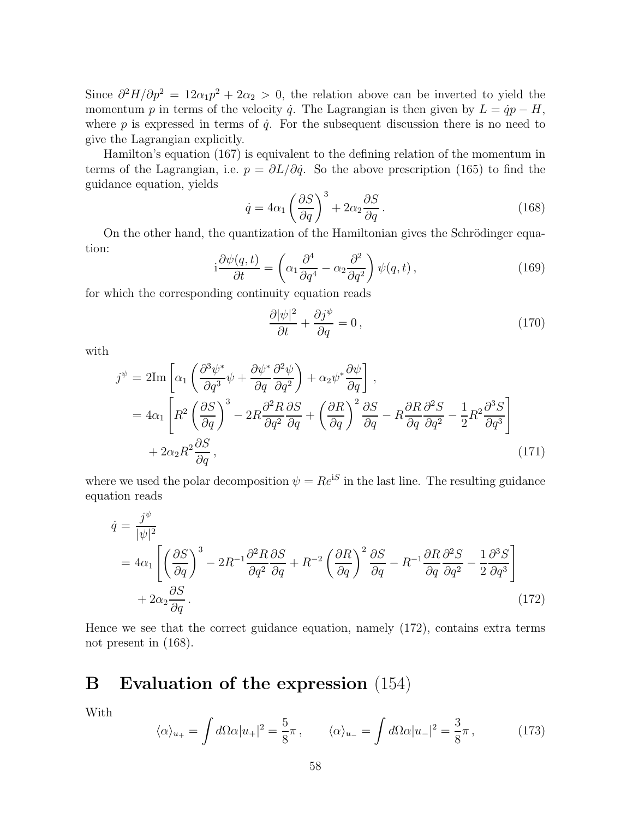Since  $\partial^2 H/\partial p^2 = 12\alpha_1 p^2 + 2\alpha_2 > 0$ , the relation above can be inverted to yield the momentum p in terms of the velocity  $\dot{q}$ . The Lagrangian is then given by  $L = \dot{q}p - H$ , where  $p$  is expressed in terms of  $\dot{q}$ . For the subsequent discussion there is no need to give the Lagrangian explicitly.

Hamilton's equation (167) is equivalent to the defining relation of the momentum in terms of the Lagrangian, i.e.  $p = \partial L / \partial \dot{q}$ . So the above prescription (165) to find the guidance equation, yields

$$
\dot{q} = 4\alpha_1 \left(\frac{\partial S}{\partial q}\right)^3 + 2\alpha_2 \frac{\partial S}{\partial q}.
$$
\n(168)

On the other hand, the quantization of the Hamiltonian gives the Schrödinger equation:

$$
i\frac{\partial\psi(q,t)}{\partial t} = \left(\alpha_1 \frac{\partial^4}{\partial q^4} - \alpha_2 \frac{\partial^2}{\partial q^2}\right) \psi(q,t),\qquad(169)
$$

for which the corresponding continuity equation reads

$$
\frac{\partial |\psi|^2}{\partial t} + \frac{\partial j^{\psi}}{\partial q} = 0, \qquad (170)
$$

with

$$
j^{\psi} = 2\mathrm{Im}\left[\alpha_1 \left(\frac{\partial^3 \psi^*}{\partial q^3} \psi + \frac{\partial \psi^*}{\partial q} \frac{\partial^2 \psi}{\partial q^2}\right) + \alpha_2 \psi^* \frac{\partial \psi}{\partial q}\right],
$$
  
\n
$$
= 4\alpha_1 \left[ R^2 \left(\frac{\partial S}{\partial q}\right)^3 - 2R \frac{\partial^2 R}{\partial q^2} \frac{\partial S}{\partial q} + \left(\frac{\partial R}{\partial q}\right)^2 \frac{\partial S}{\partial q} - R \frac{\partial R}{\partial q} \frac{\partial^2 S}{\partial q^2} - \frac{1}{2} R^2 \frac{\partial^3 S}{\partial q^3}\right]
$$
  
\n
$$
+ 2\alpha_2 R^2 \frac{\partial S}{\partial q}, \qquad (171)
$$

where we used the polar decomposition  $\psi = Re^{iS}$  in the last line. The resulting guidance equation reads

$$
\dot{q} = \frac{j^{\psi}}{|\psi|^2}
$$
\n
$$
= 4\alpha_1 \left[ \left( \frac{\partial S}{\partial q} \right)^3 - 2R^{-1} \frac{\partial^2 R}{\partial q^2} \frac{\partial S}{\partial q} + R^{-2} \left( \frac{\partial R}{\partial q} \right)^2 \frac{\partial S}{\partial q} - R^{-1} \frac{\partial R}{\partial q} \frac{\partial^2 S}{\partial q^2} - \frac{1}{2} \frac{\partial^3 S}{\partial q^3} \right] + 2\alpha_2 \frac{\partial S}{\partial q}.
$$
\n(172)

Hence we see that the correct guidance equation, namely (172), contains extra terms not present in (168).

## B Evaluation of the expression (154)

With

$$
\langle \alpha \rangle_{u_{+}} = \int d\Omega \alpha |u_{+}|^{2} = \frac{5}{8}\pi \,, \qquad \langle \alpha \rangle_{u_{-}} = \int d\Omega \alpha |u_{-}|^{2} = \frac{3}{8}\pi \,, \tag{173}
$$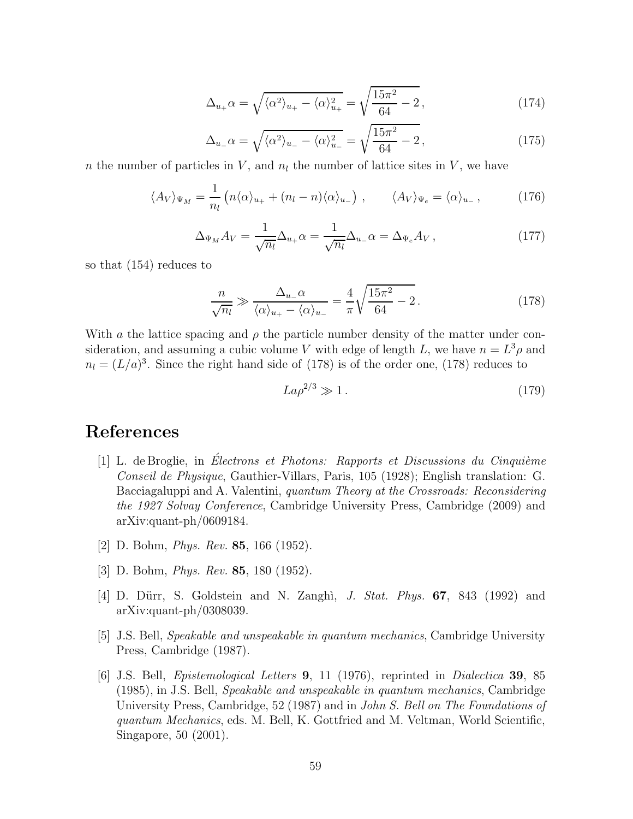$$
\Delta_{u_+}\alpha = \sqrt{\langle \alpha^2 \rangle_{u_+} - \langle \alpha \rangle_{u_+}^2} = \sqrt{\frac{15\pi^2}{64} - 2},\tag{174}
$$

$$
\Delta_{u_{-}}\alpha = \sqrt{\langle \alpha^2 \rangle_{u_{-}} - \langle \alpha \rangle_{u_{-}}^2} = \sqrt{\frac{15\pi^2}{64} - 2},\tag{175}
$$

n the number of particles in  $V$ , and  $n_l$  the number of lattice sites in  $V$ , we have

$$
\langle A_V \rangle_{\Psi_M} = \frac{1}{n_l} \left( n \langle \alpha \rangle_{u_+} + (n_l - n) \langle \alpha \rangle_{u_-} \right) , \qquad \langle A_V \rangle_{\Psi_e} = \langle \alpha \rangle_{u_-} , \qquad (176)
$$

$$
\Delta_{\Psi_M} A_V = \frac{1}{\sqrt{n_l}} \Delta_{u_+} \alpha = \frac{1}{\sqrt{n_l}} \Delta_{u_-} \alpha = \Delta_{\Psi_e} A_V , \qquad (177)
$$

so that (154) reduces to

$$
\frac{n}{\sqrt{n_l}} \gg \frac{\Delta_{u_{-}}\alpha}{\langle \alpha \rangle_{u_{+}} - \langle \alpha \rangle_{u_{-}}} = \frac{4}{\pi} \sqrt{\frac{15\pi^2}{64} - 2} \,. \tag{178}
$$

With a the lattice spacing and  $\rho$  the particle number density of the matter under consideration, and assuming a cubic volume V with edge of length L, we have  $n = L^3 \rho$  and  $n_l = (L/a)^3$ . Since the right hand side of (178) is of the order one, (178) reduces to

$$
La\rho^{2/3} \gg 1. \tag{179}
$$

## References

- $[1]$  L. de Broglie, in *Électrons et Photons: Rapports et Discussions du Cinquième Conseil de Physique*, Gauthier-Villars, Paris, 105 (1928); English translation: G. Bacciagaluppi and A. Valentini, *quantum Theory at the Crossroads: Reconsidering the 1927 Solvay Conference*, Cambridge University Press, Cambridge (2009) and arXiv:quant-ph/0609184.
- [2] D. Bohm, *Phys. Rev.* 85, 166 (1952).
- [3] D. Bohm, *Phys. Rev.* 85, 180 (1952).
- [4] D. D¨urr, S. Goldstein and N. Zangh`ı, *J. Stat. Phys.* 67, 843 (1992) and arXiv:quant-ph/0308039.
- [5] J.S. Bell, *Speakable and unspeakable in quantum mechanics*, Cambridge University Press, Cambridge (1987).
- [6] J.S. Bell, *Epistemological Letters* 9, 11 (1976), reprinted in *Dialectica* 39, 85 (1985), in J.S. Bell, *Speakable and unspeakable in quantum mechanics*, Cambridge University Press, Cambridge, 52 (1987) and in *John S. Bell on The Foundations of quantum Mechanics*, eds. M. Bell, K. Gottfried and M. Veltman, World Scientific, Singapore, 50 (2001).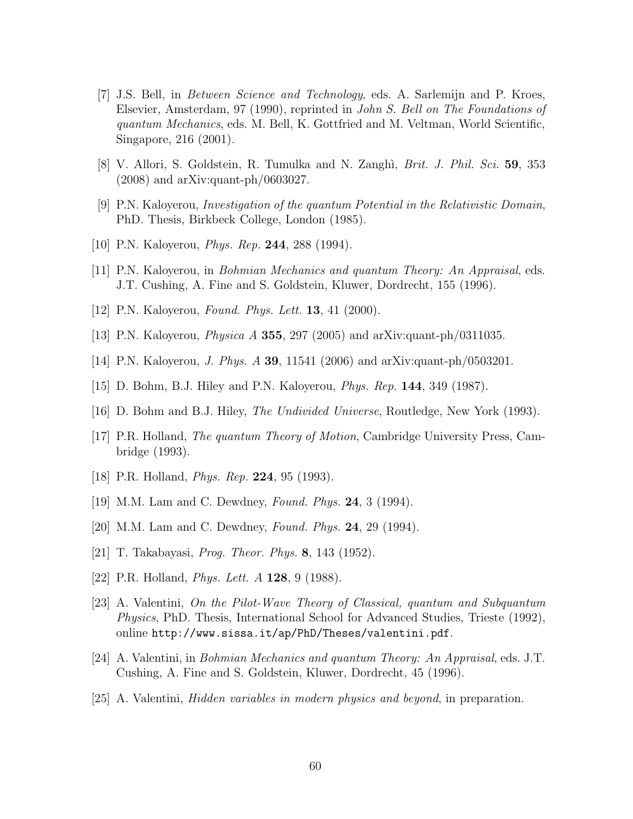- [7] J.S. Bell, in *Between Science and Technology*, eds. A. Sarlemijn and P. Kroes, Elsevier, Amsterdam, 97 (1990), reprinted in *John S. Bell on The Foundations of quantum Mechanics*, eds. M. Bell, K. Gottfried and M. Veltman, World Scientific, Singapore, 216 (2001).
- [8] V. Allori, S. Goldstein, R. Tumulka and N. Zangh`ı, *Brit. J. Phil. Sci.* 59, 353 (2008) and arXiv:quant-ph/0603027.
- [9] P.N. Kaloyerou, *Investigation of the quantum Potential in the Relativistic Domain*, PhD. Thesis, Birkbeck College, London (1985).
- [10] P.N. Kaloyerou, *Phys. Rep.* 244, 288 (1994).
- [11] P.N. Kaloyerou, in *Bohmian Mechanics and quantum Theory: An Appraisal*, eds. J.T. Cushing, A. Fine and S. Goldstein, Kluwer, Dordrecht, 155 (1996).
- [12] P.N. Kaloyerou, *Found. Phys. Lett.* 13, 41 (2000).
- [13] P.N. Kaloyerou, *Physica A* 355, 297 (2005) and arXiv:quant-ph/0311035.
- [14] P.N. Kaloyerou, *J. Phys. A* 39, 11541 (2006) and arXiv:quant-ph/0503201.
- [15] D. Bohm, B.J. Hiley and P.N. Kaloyerou, *Phys. Rep.* 144, 349 (1987).
- [16] D. Bohm and B.J. Hiley, *The Undivided Universe*, Routledge, New York (1993).
- [17] P.R. Holland, *The quantum Theory of Motion*, Cambridge University Press, Cambridge (1993).
- [18] P.R. Holland, *Phys. Rep.* 224, 95 (1993).
- [19] M.M. Lam and C. Dewdney, *Found. Phys.* 24, 3 (1994).
- [20] M.M. Lam and C. Dewdney, *Found. Phys.* 24, 29 (1994).
- [21] T. Takabayasi, *Prog. Theor. Phys.* 8, 143 (1952).
- [22] P.R. Holland, *Phys. Lett. A* 128, 9 (1988).
- [23] A. Valentini, *On the Pilot-Wave Theory of Classical, quantum and Subquantum Physics*, PhD. Thesis, International School for Advanced Studies, Trieste (1992), online http://www.sissa.it/ap/PhD/Theses/valentini.pdf.
- [24] A. Valentini, in *Bohmian Mechanics and quantum Theory: An Appraisal*, eds. J.T. Cushing, A. Fine and S. Goldstein, Kluwer, Dordrecht, 45 (1996).
- [25] A. Valentini, *Hidden variables in modern physics and beyond*, in preparation.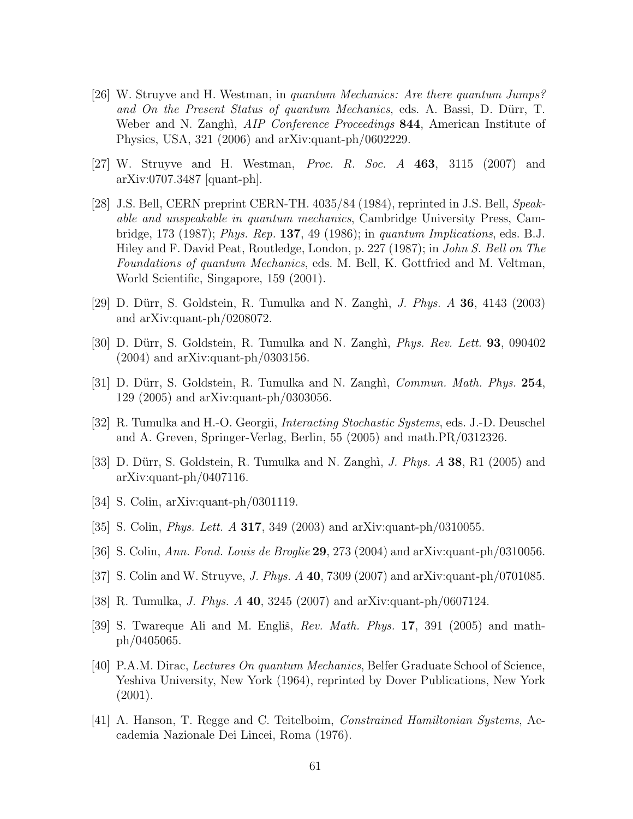- [26] W. Struyve and H. Westman, in *quantum Mechanics: Are there quantum Jumps? and On the Present Status of quantum Mechanics*, eds. A. Bassi, D. Dürr, T. Weber and N. Zangh`ı, *AIP Conference Proceedings* 844, American Institute of Physics, USA, 321 (2006) and arXiv:quant-ph/0602229.
- [27] W. Struyve and H. Westman, *Proc. R. Soc. A* 463, 3115 (2007) and arXiv:0707.3487 [quant-ph].
- [28] J.S. Bell, CERN preprint CERN-TH. 4035/84 (1984), reprinted in J.S. Bell, *Speakable and unspeakable in quantum mechanics*, Cambridge University Press, Cambridge, 173 (1987); *Phys. Rep.* 137, 49 (1986); in *quantum Implications*, eds. B.J. Hiley and F. David Peat, Routledge, London, p. 227 (1987); in *John S. Bell on The Foundations of quantum Mechanics*, eds. M. Bell, K. Gottfried and M. Veltman, World Scientific, Singapore, 159 (2001).
- [29] D. D¨urr, S. Goldstein, R. Tumulka and N. Zangh`ı, *J. Phys. A* 36, 4143 (2003) and arXiv:quant-ph/0208072.
- [30] D. Dürr, S. Goldstein, R. Tumulka and N. Zanghì, *Phys. Rev. Lett.* **93**, 090402 (2004) and arXiv:quant-ph/0303156.
- [31] D. D¨urr, S. Goldstein, R. Tumulka and N. Zangh`ı, *Commun. Math. Phys.* 254, 129 (2005) and arXiv:quant-ph/0303056.
- [32] R. Tumulka and H.-O. Georgii, *Interacting Stochastic Systems*, eds. J.-D. Deuschel and A. Greven, Springer-Verlag, Berlin, 55 (2005) and math.PR/0312326.
- [33] D. D¨urr, S. Goldstein, R. Tumulka and N. Zangh`ı, *J. Phys. A* 38, R1 (2005) and arXiv:quant-ph/0407116.
- [34] S. Colin, arXiv:quant-ph/0301119.
- [35] S. Colin, *Phys. Lett. A* 317, 349 (2003) and arXiv:quant-ph/0310055.
- [36] S. Colin, *Ann. Fond. Louis de Broglie* 29, 273 (2004) and arXiv:quant-ph/0310056.
- [37] S. Colin and W. Struyve, *J. Phys. A* 40, 7309 (2007) and arXiv:quant-ph/0701085.
- [38] R. Tumulka, *J. Phys. A* 40, 3245 (2007) and arXiv:quant-ph/0607124.
- [39] S. Twareque Ali and M. Englis, *Rev. Math. Phys.* 17, 391 (2005) and mathph/0405065.
- [40] P.A.M. Dirac, *Lectures On quantum Mechanics*, Belfer Graduate School of Science, Yeshiva University, New York (1964), reprinted by Dover Publications, New York (2001).
- [41] A. Hanson, T. Regge and C. Teitelboim, *Constrained Hamiltonian Systems*, Accademia Nazionale Dei Lincei, Roma (1976).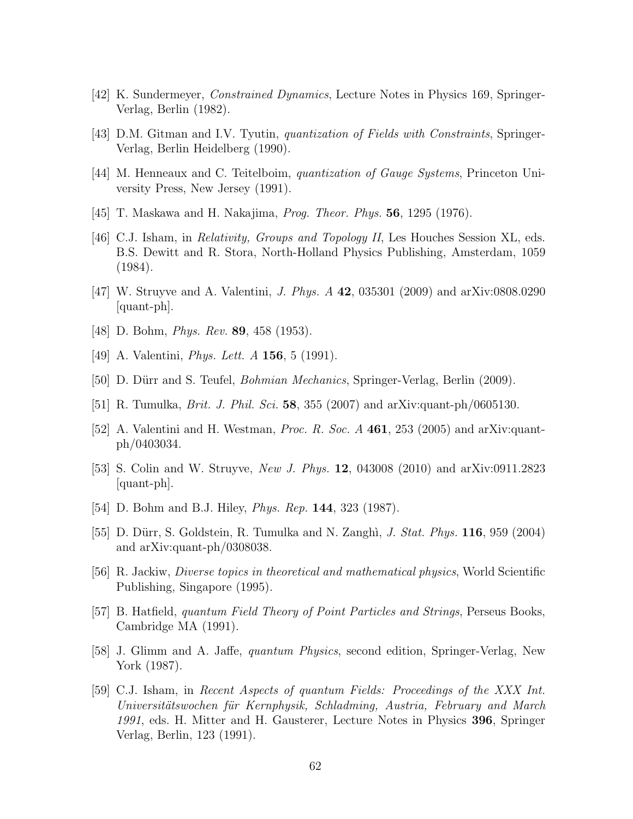- [42] K. Sundermeyer, *Constrained Dynamics*, Lecture Notes in Physics 169, Springer-Verlag, Berlin (1982).
- [43] D.M. Gitman and I.V. Tyutin, *quantization of Fields with Constraints*, Springer-Verlag, Berlin Heidelberg (1990).
- [44] M. Henneaux and C. Teitelboim, *quantization of Gauge Systems*, Princeton University Press, New Jersey (1991).
- [45] T. Maskawa and H. Nakajima, *Prog. Theor. Phys.* 56, 1295 (1976).
- [46] C.J. Isham, in *Relativity, Groups and Topology II*, Les Houches Session XL, eds. B.S. Dewitt and R. Stora, North-Holland Physics Publishing, Amsterdam, 1059 (1984).
- [47] W. Struyve and A. Valentini, *J. Phys. A* 42, 035301 (2009) and arXiv:0808.0290 [quant-ph].
- [48] D. Bohm, *Phys. Rev.* 89, 458 (1953).
- [49] A. Valentini, *Phys. Lett. A* 156, 5 (1991).
- [50] D. Dürr and S. Teufel, *Bohmian Mechanics*, Springer-Verlag, Berlin (2009).
- [51] R. Tumulka, *Brit. J. Phil. Sci.* 58, 355 (2007) and arXiv:quant-ph/0605130.
- [52] A. Valentini and H. Westman, *Proc. R. Soc. A* 461, 253 (2005) and arXiv:quantph/0403034.
- [53] S. Colin and W. Struyve, *New J. Phys.* 12, 043008 (2010) and arXiv:0911.2823 [quant-ph].
- [54] D. Bohm and B.J. Hiley, *Phys. Rep.* 144, 323 (1987).
- [55] D. D¨urr, S. Goldstein, R. Tumulka and N. Zangh`ı, *J. Stat. Phys.* 116, 959 (2004) and arXiv:quant-ph/0308038.
- [56] R. Jackiw, *Diverse topics in theoretical and mathematical physics*, World Scientific Publishing, Singapore (1995).
- [57] B. Hatfield, *quantum Field Theory of Point Particles and Strings*, Perseus Books, Cambridge MA (1991).
- [58] J. Glimm and A. Jaffe, *quantum Physics*, second edition, Springer-Verlag, New York (1987).
- [59] C.J. Isham, in *Recent Aspects of quantum Fields: Proceedings of the XXX Int. Universitätswochen für Kernphysik, Schladming, Austria, February and March 1991*, eds. H. Mitter and H. Gausterer, Lecture Notes in Physics 396, Springer Verlag, Berlin, 123 (1991).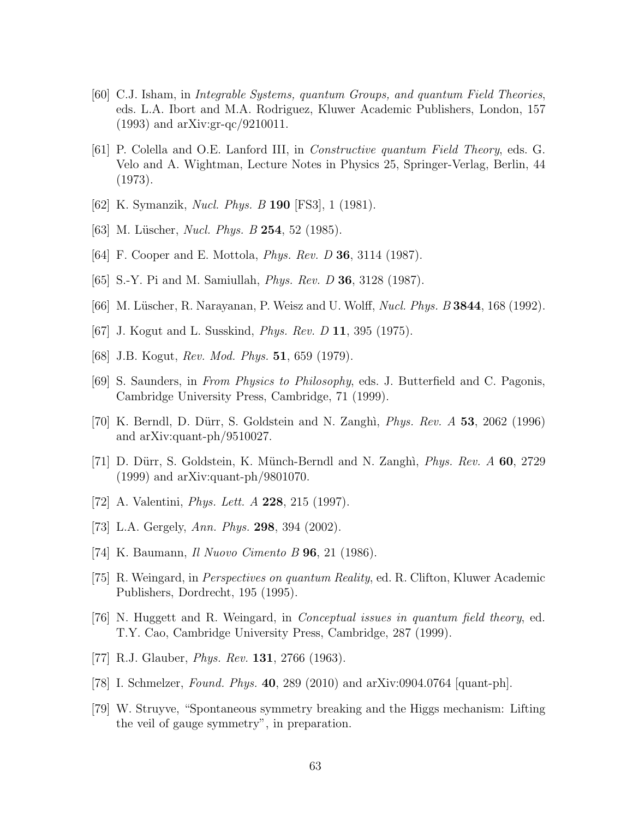- [60] C.J. Isham, in *Integrable Systems, quantum Groups, and quantum Field Theories*, eds. L.A. Ibort and M.A. Rodriguez, Kluwer Academic Publishers, London, 157 (1993) and arXiv:gr-qc/9210011.
- [61] P. Colella and O.E. Lanford III, in *Constructive quantum Field Theory*, eds. G. Velo and A. Wightman, Lecture Notes in Physics 25, Springer-Verlag, Berlin, 44 (1973).
- [62] K. Symanzik, *Nucl. Phys. B* 190 [FS3], 1 (1981).
- [63] M. Lüscher, *Nucl. Phys. B* **254**, 52 (1985).
- [64] F. Cooper and E. Mottola, *Phys. Rev. D* 36, 3114 (1987).
- [65] S.-Y. Pi and M. Samiullah, *Phys. Rev. D* 36, 3128 (1987).
- [66] M. L¨uscher, R. Narayanan, P. Weisz and U. Wolff, *Nucl. Phys. B* 3844, 168 (1992).
- [67] J. Kogut and L. Susskind, *Phys. Rev. D* 11, 395 (1975).
- [68] J.B. Kogut, *Rev. Mod. Phys.* 51, 659 (1979).
- [69] S. Saunders, in *From Physics to Philosophy*, eds. J. Butterfield and C. Pagonis, Cambridge University Press, Cambridge, 71 (1999).
- [70] K. Berndl, D. D¨urr, S. Goldstein and N. Zangh`ı, *Phys. Rev. A* 53, 2062 (1996) and arXiv:quant-ph/9510027.
- [71] D. D¨urr, S. Goldstein, K. M¨unch-Berndl and N. Zangh`ı, *Phys. Rev. A* 60, 2729 (1999) and arXiv:quant-ph/9801070.
- [72] A. Valentini, *Phys. Lett. A* 228, 215 (1997).
- [73] L.A. Gergely, *Ann. Phys.* 298, 394 (2002).
- [74] K. Baumann, *Il Nuovo Cimento B* 96, 21 (1986).
- [75] R. Weingard, in *Perspectives on quantum Reality*, ed. R. Clifton, Kluwer Academic Publishers, Dordrecht, 195 (1995).
- [76] N. Huggett and R. Weingard, in *Conceptual issues in quantum field theory*, ed. T.Y. Cao, Cambridge University Press, Cambridge, 287 (1999).
- [77] R.J. Glauber, *Phys. Rev.* 131, 2766 (1963).
- [78] I. Schmelzer, *Found. Phys.* 40, 289 (2010) and arXiv:0904.0764 [quant-ph].
- [79] W. Struyve, "Spontaneous symmetry breaking and the Higgs mechanism: Lifting the veil of gauge symmetry", in preparation.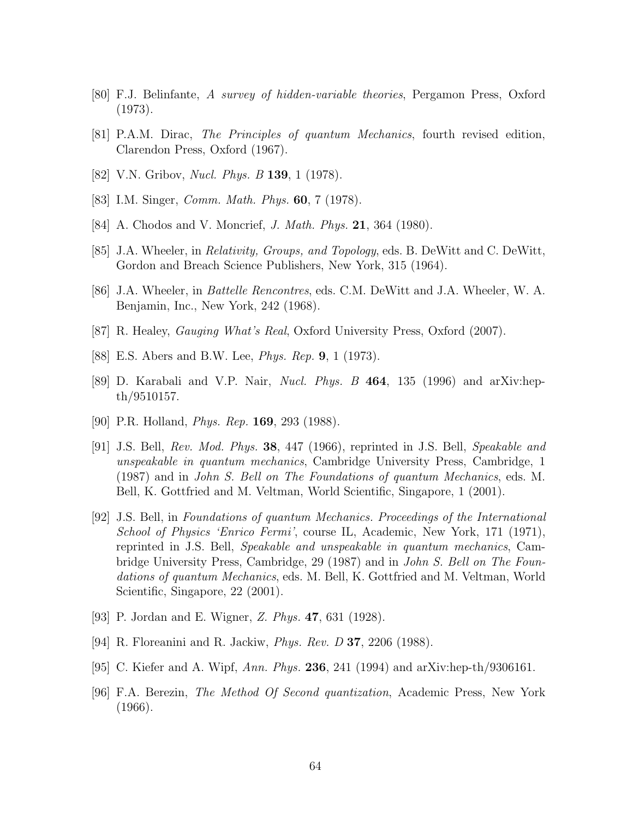- [80] F.J. Belinfante, *A survey of hidden-variable theories*, Pergamon Press, Oxford (1973).
- [81] P.A.M. Dirac, *The Principles of quantum Mechanics*, fourth revised edition, Clarendon Press, Oxford (1967).
- [82] V.N. Gribov, *Nucl. Phys. B* 139, 1 (1978).
- [83] I.M. Singer, *Comm. Math. Phys.* 60, 7 (1978).
- [84] A. Chodos and V. Moncrief, *J. Math. Phys.* 21, 364 (1980).
- [85] J.A. Wheeler, in *Relativity, Groups, and Topology*, eds. B. DeWitt and C. DeWitt, Gordon and Breach Science Publishers, New York, 315 (1964).
- [86] J.A. Wheeler, in *Battelle Rencontres*, eds. C.M. DeWitt and J.A. Wheeler, W. A. Benjamin, Inc., New York, 242 (1968).
- [87] R. Healey, *Gauging What's Real*, Oxford University Press, Oxford (2007).
- [88] E.S. Abers and B.W. Lee, *Phys. Rep.* 9, 1 (1973).
- [89] D. Karabali and V.P. Nair, *Nucl. Phys. B* 464, 135 (1996) and arXiv:hepth/9510157.
- [90] P.R. Holland, *Phys. Rep.* 169, 293 (1988).
- [91] J.S. Bell, *Rev. Mod. Phys.* 38, 447 (1966), reprinted in J.S. Bell, *Speakable and unspeakable in quantum mechanics*, Cambridge University Press, Cambridge, 1 (1987) and in *John S. Bell on The Foundations of quantum Mechanics*, eds. M. Bell, K. Gottfried and M. Veltman, World Scientific, Singapore, 1 (2001).
- [92] J.S. Bell, in *Foundations of quantum Mechanics. Proceedings of the International School of Physics 'Enrico Fermi'*, course IL, Academic, New York, 171 (1971), reprinted in J.S. Bell, *Speakable and unspeakable in quantum mechanics*, Cambridge University Press, Cambridge, 29 (1987) and in *John S. Bell on The Foundations of quantum Mechanics*, eds. M. Bell, K. Gottfried and M. Veltman, World Scientific, Singapore, 22 (2001).
- [93] P. Jordan and E. Wigner, *Z. Phys.* 47, 631 (1928).
- [94] R. Floreanini and R. Jackiw, *Phys. Rev. D* 37, 2206 (1988).
- [95] C. Kiefer and A. Wipf, *Ann. Phys.* 236, 241 (1994) and arXiv:hep-th/9306161.
- [96] F.A. Berezin, *The Method Of Second quantization*, Academic Press, New York (1966).